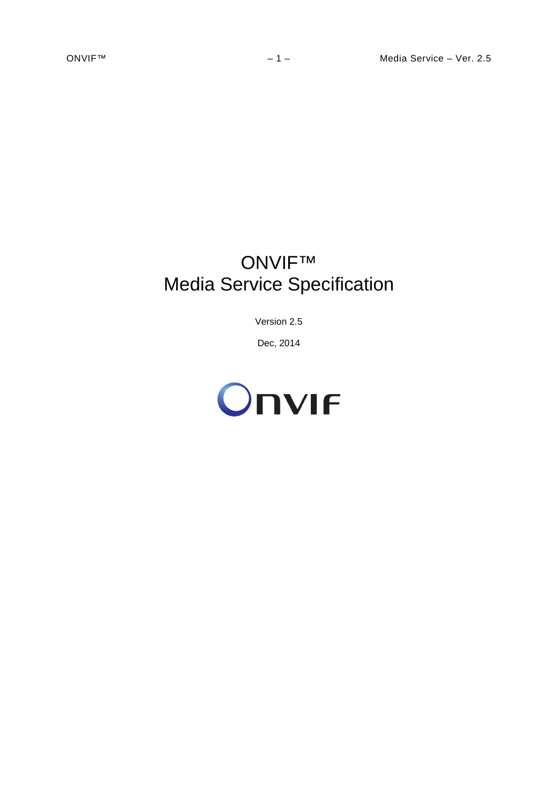# ONVIF™ Media Service Specification

Version 2.5

Dec, 2014

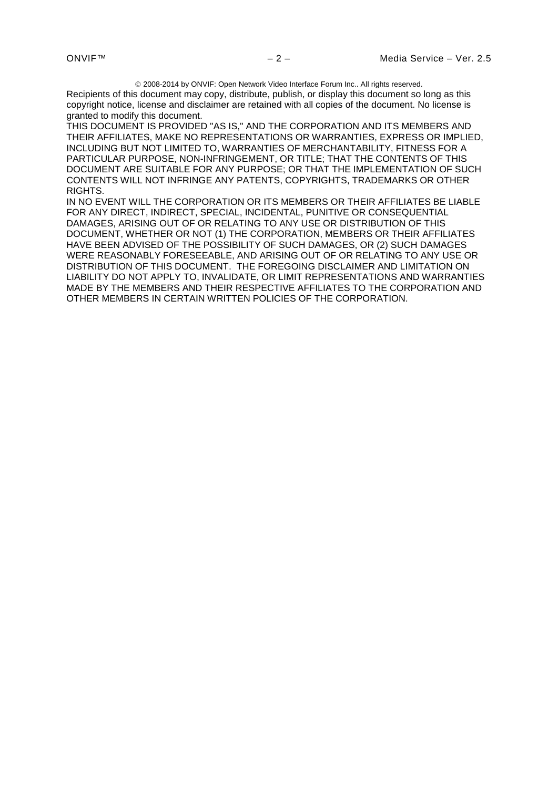2008-2014 by ONVIF: Open Network Video Interface Forum Inc.. All rights reserved.

Recipients of this document may copy, distribute, publish, or display this document so long as this copyright notice, license and disclaimer are retained with all copies of the document. No license is granted to modify this document.

THIS DOCUMENT IS PROVIDED "AS IS," AND THE CORPORATION AND ITS MEMBERS AND THEIR AFFILIATES, MAKE NO REPRESENTATIONS OR WARRANTIES, EXPRESS OR IMPLIED, INCLUDING BUT NOT LIMITED TO, WARRANTIES OF MERCHANTABILITY, FITNESS FOR A PARTICULAR PURPOSE, NON-INFRINGEMENT, OR TITLE; THAT THE CONTENTS OF THIS DOCUMENT ARE SUITABLE FOR ANY PURPOSE; OR THAT THE IMPLEMENTATION OF SUCH CONTENTS WILL NOT INFRINGE ANY PATENTS, COPYRIGHTS, TRADEMARKS OR OTHER RIGHTS.

IN NO EVENT WILL THE CORPORATION OR ITS MEMBERS OR THEIR AFFILIATES BE LIABLE FOR ANY DIRECT, INDIRECT, SPECIAL, INCIDENTAL, PUNITIVE OR CONSEQUENTIAL DAMAGES, ARISING OUT OF OR RELATING TO ANY USE OR DISTRIBUTION OF THIS DOCUMENT, WHETHER OR NOT (1) THE CORPORATION, MEMBERS OR THEIR AFFILIATES HAVE BEEN ADVISED OF THE POSSIBILITY OF SUCH DAMAGES, OR (2) SUCH DAMAGES WERE REASONABLY FORESEEABLE, AND ARISING OUT OF OR RELATING TO ANY USE OR DISTRIBUTION OF THIS DOCUMENT. THE FOREGOING DISCLAIMER AND LIMITATION ON LIABILITY DO NOT APPLY TO, INVALIDATE, OR LIMIT REPRESENTATIONS AND WARRANTIES MADE BY THE MEMBERS AND THEIR RESPECTIVE AFFILIATES TO THE CORPORATION AND OTHER MEMBERS IN CERTAIN WRITTEN POLICIES OF THE CORPORATION.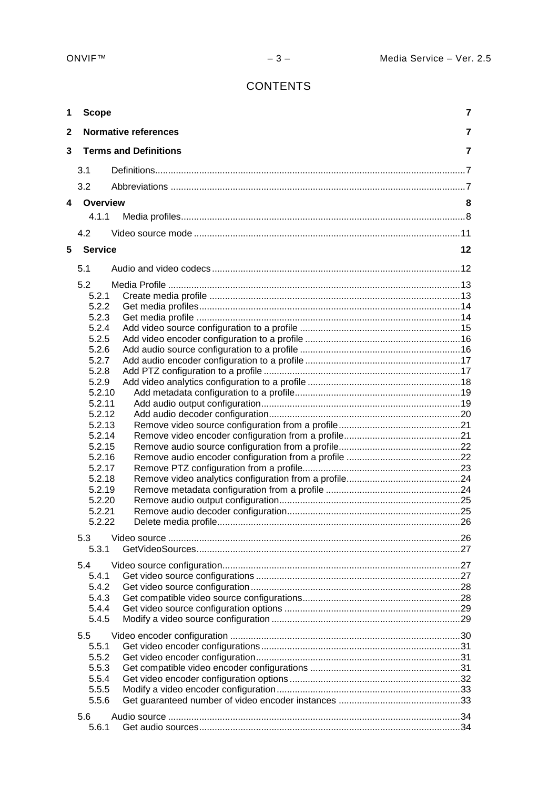## **CONTENTS**

| 1           | <b>Scope</b>                      |                             | $\overline{7}$ |
|-------------|-----------------------------------|-----------------------------|----------------|
| $\mathbf 2$ |                                   | <b>Normative references</b> | $\overline{7}$ |
| 3           | <b>Terms and Definitions</b><br>7 |                             |                |
|             | 3.1                               |                             |                |
|             | 3.2                               |                             |                |
| 4           | Overview                          |                             | 8              |
|             | 4.1.1                             |                             |                |
|             | 4.2                               |                             |                |
| 5           | <b>Service</b>                    |                             | $12 \,$        |
|             | 5.1                               |                             |                |
|             | 5.2                               |                             |                |
|             | 5.2.1                             |                             |                |
|             | 5.2.2                             |                             |                |
|             | 5.2.3                             |                             |                |
|             | 5.2.4<br>5.2.5                    |                             |                |
|             | 5.2.6                             |                             |                |
|             | 5.2.7                             |                             |                |
|             | 5.2.8                             |                             |                |
|             | 5.2.9                             |                             |                |
|             | 5.2.10                            |                             |                |
|             | 5.2.11                            |                             |                |
|             | 5.2.12<br>5.2.13                  |                             |                |
|             | 5.2.14                            |                             |                |
|             | 5.2.15                            |                             |                |
|             | 5.2.16                            |                             |                |
|             | 5.2.17                            |                             |                |
|             | 5.2.18                            |                             |                |
|             | 5.2.19                            |                             |                |
|             | 5.2.20                            |                             |                |
|             | 5.2.21<br>5.2.22                  |                             |                |
|             |                                   |                             |                |
|             | 5.3                               |                             |                |
|             | 5.3.1                             |                             |                |
|             | 5.4                               |                             |                |
|             | 5.4.1                             |                             |                |
|             | 5.4.2<br>5.4.3                    |                             |                |
|             | 5.4.4                             |                             |                |
|             | 5.4.5                             |                             |                |
|             | 5.5                               |                             |                |
|             | 5.5.1                             |                             |                |
|             | 5.5.2                             |                             |                |
|             | 5.5.3                             |                             |                |
|             | 5.5.4                             |                             |                |
|             | 5.5.5                             |                             |                |
|             | 5.5.6                             |                             |                |
|             | 5.6                               |                             |                |
|             | 5.6.1                             |                             |                |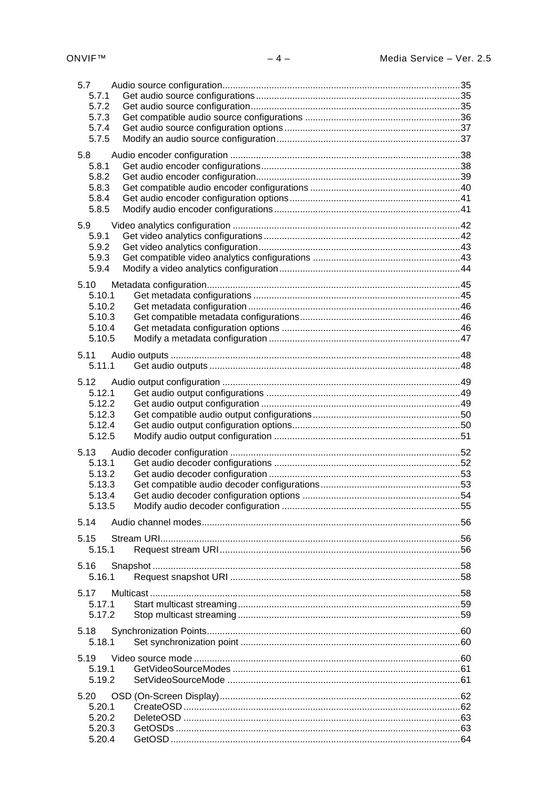| 5.7<br>5.7.1<br>5.7.2<br>5.7.3<br>5.7.4<br>5.7.5       |  |
|--------------------------------------------------------|--|
| 5.8<br>5.8.1<br>5.8.2<br>5.8.3<br>5.8.4<br>5.8.5       |  |
| 5.9<br>5.9.1<br>5.9.2<br>5.9.3<br>5.9.4                |  |
| 5.10<br>5.10.1<br>5.10.2<br>5.10.3<br>5.10.4<br>5.10.5 |  |
| 5.11<br>5.11.1                                         |  |
| 5.12<br>5.12.1<br>5.12.2<br>5.12.3<br>5.12.4<br>5.12.5 |  |
| 5.13<br>5.13.1<br>5.13.2<br>5.13.3<br>5.13.4<br>5.13.5 |  |
| 5.14                                                   |  |
| 5.15<br>5.15.1                                         |  |
| 5.16<br>5.16.1                                         |  |
| 5.17<br>5.17.1<br>5.17.2                               |  |
| 5.18<br>5.18.1                                         |  |
| 5.19<br>5.19.1<br>5.19.2                               |  |
| 5.20<br>5.20.1<br>5.20.2<br>5.20.3<br>5.20.4           |  |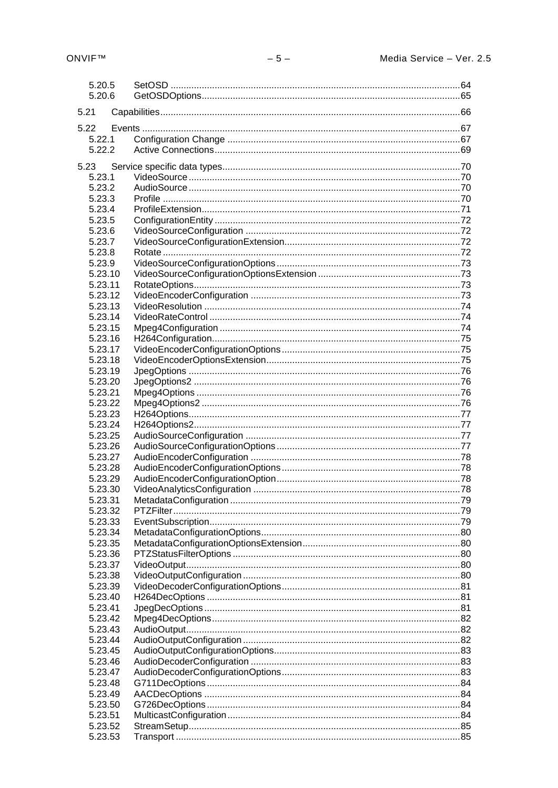|      | 5.20.5<br>5.20.6   |  |  |
|------|--------------------|--|--|
| 5.21 |                    |  |  |
|      | 5.22               |  |  |
|      | 5.22.1             |  |  |
|      | 5.22.2             |  |  |
|      | 5.23               |  |  |
|      | 5.23.1             |  |  |
|      | 5.23.2             |  |  |
|      | 5.23.3             |  |  |
|      | 5.23.4             |  |  |
|      | 5.23.5             |  |  |
|      | 5.23.6             |  |  |
|      | 5.23.7             |  |  |
|      | 5.23.8             |  |  |
|      | 5.23.9             |  |  |
|      | 5.23.10<br>5.23.11 |  |  |
|      | 5.23.12            |  |  |
|      | 5.23.13            |  |  |
|      | 5.23.14            |  |  |
|      | 5.23.15            |  |  |
|      | 5.23.16            |  |  |
|      | 5.23.17            |  |  |
|      | 5.23.18            |  |  |
|      | 5.23.19            |  |  |
|      | 5.23.20<br>5.23.21 |  |  |
|      | 5.23.22            |  |  |
|      | 5.23.23            |  |  |
|      | 5.23.24            |  |  |
|      | 5.23.25            |  |  |
|      | 5.23.26            |  |  |
|      | 5.23.27            |  |  |
|      | 5.23.28            |  |  |
|      | 5.23.29            |  |  |
|      | 5.23.30<br>5.23.31 |  |  |
|      | 5.23.32            |  |  |
|      | 5.23.33            |  |  |
|      | 5.23.34            |  |  |
|      | 5.23.35            |  |  |
|      | 5.23.36            |  |  |
|      | 5.23.37            |  |  |
|      | 5.23.38            |  |  |
|      | 5.23.39            |  |  |
|      | 5.23.40<br>5.23.41 |  |  |
|      | 5.23.42            |  |  |
|      | 5.23.43            |  |  |
|      | 5.23.44            |  |  |
|      | 5.23.45            |  |  |
|      | 5.23.46            |  |  |
|      | 5.23.47            |  |  |
|      | 5.23.48            |  |  |
|      | 5.23.49<br>5.23.50 |  |  |
|      | 5.23.51            |  |  |
|      | 5.23.52            |  |  |
|      | 5.23.53            |  |  |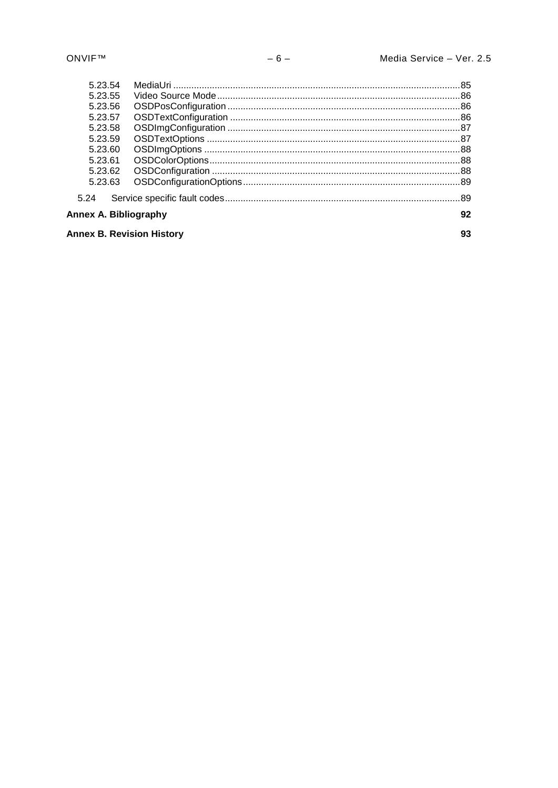| 5.23.54                          |  |    |
|----------------------------------|--|----|
| 5.23.55                          |  |    |
| 5.23.56                          |  |    |
| 5.23.57                          |  |    |
| 5.23.58                          |  |    |
| 5.23.59                          |  |    |
| 5.23.60                          |  |    |
| 5.23.61                          |  |    |
| 5.23.62                          |  |    |
| 5.23.63                          |  |    |
| 5.24                             |  |    |
| <b>Annex A. Bibliography</b>     |  | 92 |
| <b>Annex B. Revision History</b> |  | 93 |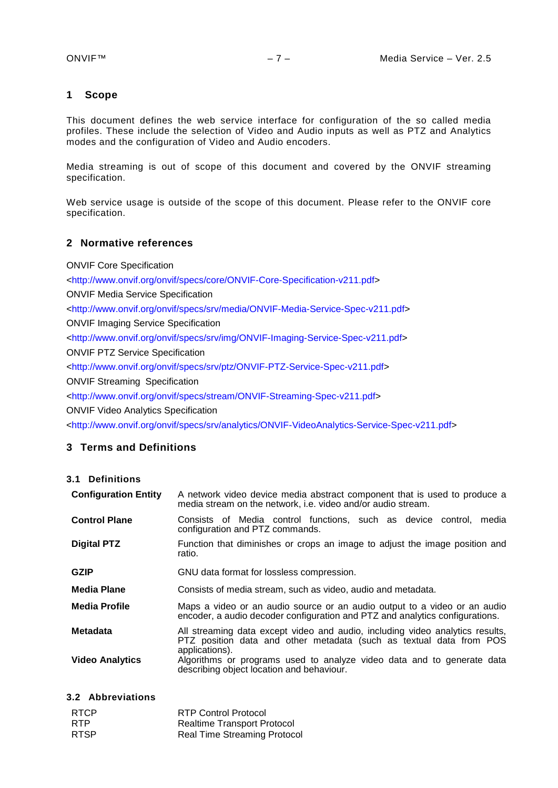#### <span id="page-6-5"></span><span id="page-6-0"></span>**1 Scope**

This document defines the web service interface for configuration of the so called media profiles. These include the selection of Video and Audio inputs as well as PTZ and Analytics modes and the configuration of Video and Audio encoders.

Media streaming is out of scope of this document and covered by the ONVIF streaming specification.

Web service usage is outside of the scope of this document. Please refer to the ONVIF core specification.

## <span id="page-6-1"></span>**2 Normative references**

ONVIF Core Specification

[<http://www.onvif.org/onvif/specs/core/ONVIF-Core-Specification-v211.pdf>](http://www.onvif.org/onvif/specs/core/ONVIF-Core-Specification-v211.pdf)

ONVIF Media Service Specification

[<http://www.onvif.org/onvif/specs/srv/media/ONVIF-Media-Service-Spec-v211.pdf>](http://www.onvif.org/onvif/specs/srv/media/ONVIF-Media-Service-Spec-v211.pdf)

ONVIF Imaging Service Specification

[<http://www.onvif.org/onvif/specs/srv/img/ONVIF-Imaging-Service-Spec-v211.pdf>](http://www.onvif.org/onvif/specs/srv/img/ONVIF-Imaging-Service-Spec-v211.pdf)

ONVIF PTZ Service Specification

[<http://www.onvif.org/onvif/specs/srv/ptz/ONVIF-PTZ-Service-Spec-v211.pdf>](http://www.onvif.org/onvif/specs/srv/ptz/ONVIF-PTZ-Service-Spec-v211.pdf)

ONVIF Streaming Specification

[<http://www.onvif.org/onvif/specs/stream/ONVIF-Streaming-Spec-v211.pdf>](http://www.onvif.org/onvif/specs/stream/ONVIF-Streaming-Spec-v211.pdf)

ONVIF Video Analytics Specification

[<http://www.onvif.org/onvif/specs/srv/analytics/ONVIF-VideoAnalytics-Service-Spec-v211.pdf>](http://www.onvif.org/onvif/specs/srv/analytics/ONVIF-VideoAnalytics-Service-Spec-v211.pdf)

## <span id="page-6-2"></span>**3 Terms and Definitions**

#### <span id="page-6-3"></span>**3.1 Definitions**

| <b>Configuration Entity</b>                                                                                                                                                        | A network video device media abstract component that is used to produce a<br>media stream on the network, i.e. video and/or audio stream. |  |  |
|------------------------------------------------------------------------------------------------------------------------------------------------------------------------------------|-------------------------------------------------------------------------------------------------------------------------------------------|--|--|
| <b>Control Plane</b>                                                                                                                                                               | Consists of Media control functions, such as device control,<br>media<br>configuration and PTZ commands.                                  |  |  |
| <b>Digital PTZ</b>                                                                                                                                                                 | Function that diminishes or crops an image to adjust the image position and<br>ratio.                                                     |  |  |
| <b>GZIP</b>                                                                                                                                                                        | GNU data format for lossless compression.                                                                                                 |  |  |
| Media Plane                                                                                                                                                                        | Consists of media stream, such as video, audio and metadata.                                                                              |  |  |
| <b>Media Profile</b><br>Maps a video or an audio source or an audio output to a video or an audio<br>encoder, a audio decoder configuration and PTZ and analytics configurations.  |                                                                                                                                           |  |  |
| Metadata<br>All streaming data except video and audio, including video analytics results,<br>PTZ position data and other metadata (such as textual data from POS<br>applications). |                                                                                                                                           |  |  |
| <b>Video Analytics</b>                                                                                                                                                             | Algorithms or programs used to analyze video data and to generate data<br>describing object location and behaviour.                       |  |  |

### <span id="page-6-4"></span>**3.2 Abbreviations**

| <b>RTCP</b> | <b>RTP Control Protocol</b>         |
|-------------|-------------------------------------|
| <b>RTP</b>  | <b>Realtime Transport Protocol</b>  |
| <b>RTSP</b> | <b>Real Time Streaming Protocol</b> |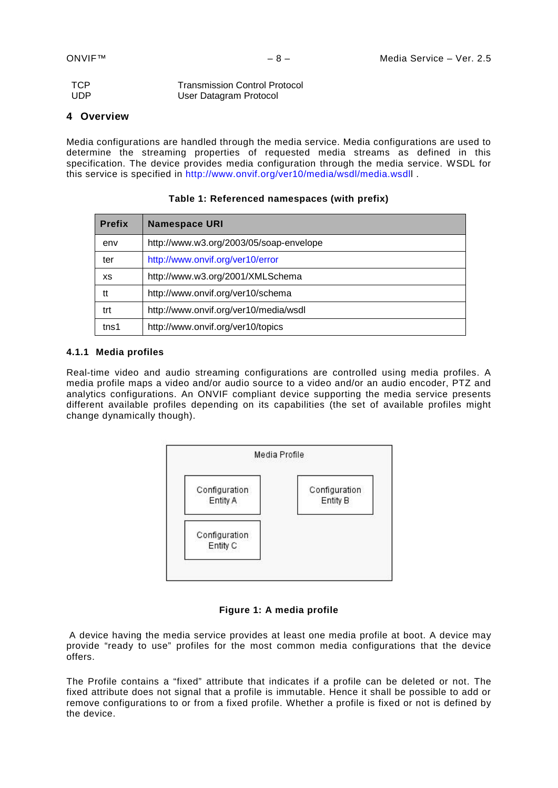| <b>TCP</b> | <b>Transmission Control Protocol</b> |
|------------|--------------------------------------|
| <b>UDP</b> | User Datagram Protocol               |

#### <span id="page-7-0"></span>**4 Overview**

Media configurations are handled through the media service. Media configurations are used to determine the streaming properties of requested media streams as defined in this specification. The device provides media configuration through the media service. WSDL for this service is specified in [http://www.onvif.org/ver10/media/wsdl/media.wsdll](http://www.onvif.org/ver10/media/wsdl/media.wsdl) .

| <b>Prefix</b>    | <b>Namespace URI</b>                    |
|------------------|-----------------------------------------|
| env              | http://www.w3.org/2003/05/soap-envelope |
| ter              | http://www.onvif.org/ver10/error        |
| хs               | http://www.w3.org/2001/XMLSchema        |
| tt               | http://www.onvif.org/ver10/schema       |
| trt              | http://www.onvif.org/ver10/media/wsdl   |
| tns <sub>1</sub> | http://www.onvif.org/ver10/topics       |

**Table 1: Referenced namespaces (with prefix)**

#### <span id="page-7-1"></span>**4.1.1 Media profiles**

Real-time video and audio streaming configurations are controlled using media profiles. A media profile maps a video and/or audio source to a video and/or an audio encoder, PTZ and analytics configurations. An ONVIF compliant device supporting the media service presents different available profiles depending on its capabilities (the set of available profiles might change dynamically though).



## **Figure 1: A media profile**

A device having the media service provides at least one media profile at boot. A device may provide "ready to use" profiles for the most common media configurations that the device offers.

The Profile contains a "fixed" attribute that indicates if a profile can be deleted or not. The fixed attribute does not signal that a profile is immutable. Hence it shall be possible to add or remove configurations to or from a fixed profile. Whether a profile is fixed or not is defined by the device.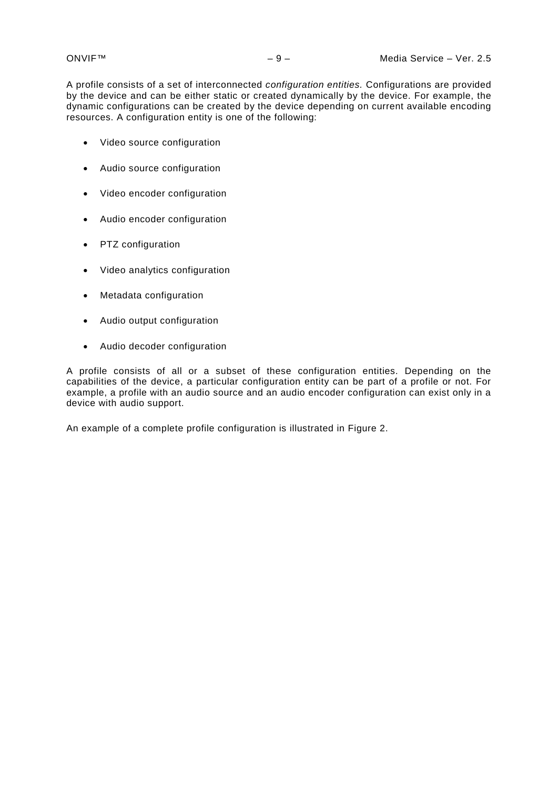A profile consists of a set of interconnected *configuration entities.* Configurations are provided by the device and can be either static or created dynamically by the device. For example, the dynamic configurations can be created by the device depending on current available encoding resources. A configuration entity is one of the following:

- Video source configuration
- Audio source configuration
- Video encoder configuration
- Audio encoder configuration
- PTZ configuration
- Video analytics configuration
- Metadata configuration
- Audio output configuration
- Audio decoder configuration

A profile consists of all or a subset of these configuration entities. Depending on the capabilities of the device, a particular configuration entity can be part of a profile or not. For example, a profile with an audio source and an audio encoder configuration can exist only in a device with audio support.

An example of a complete profile configuration is illustrated in [Figure 2.](#page-9-0)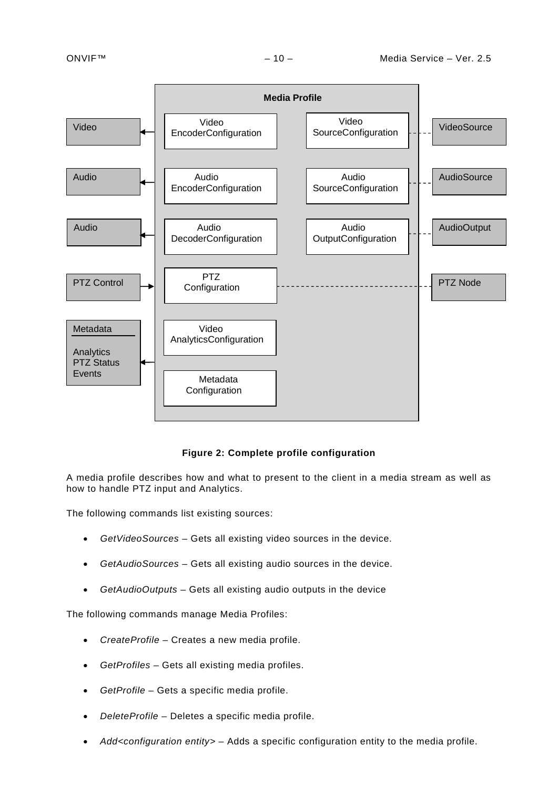

**Figure 2: Complete profile configuration** 

<span id="page-9-0"></span>A media profile describes how and what to present to the client in a media stream as well as how to handle PTZ input and Analytics.

The following commands list existing sources:

- *GetVideoSources* Gets all existing video sources in the device.
- *GetAudioSources* Gets all existing audio sources in the device.
- *GetAudioOutputs*  Gets all existing audio outputs in the device

The following commands manage Media Profiles:

- *CreateProfile*  Creates a new media profile.
- *GetProfiles* Gets all existing media profiles.
- *GetProfile* Gets a specific media profile.
- *DeleteProfile* Deletes a specific media profile.
- *Add<configuration entity>*  Adds a specific configuration entity to the media profile.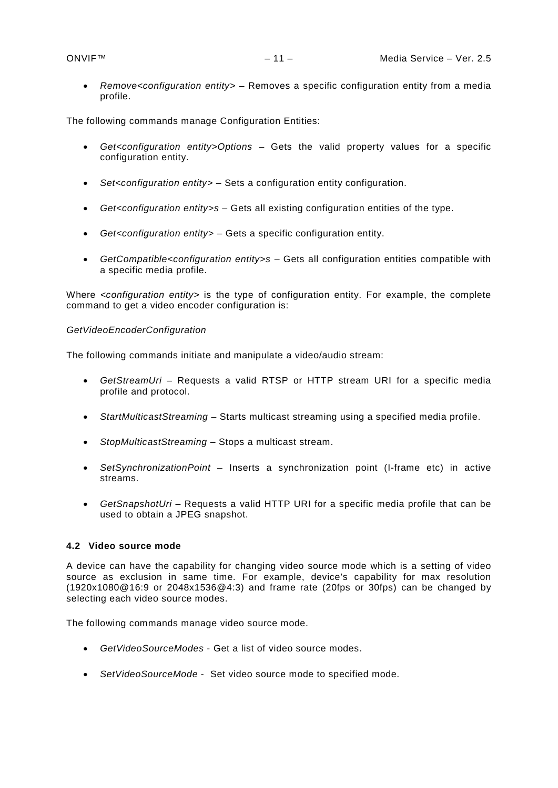• *Remove<configuration entity>* – Removes a specific configuration entity from a media profile.

The following commands manage Configuration Entities:

- *Get<configuration entity>Options* Gets the valid property values for a specific configuration entity.
- *Set<configuration entity>* Sets a configuration entity configuration.
- *Get<configuration entity>s*  Gets all existing configuration entities of the type.
- *Get<configuration entity>* Gets a specific configuration entity.
- *GetCompatible<configuration entity>s*  Gets all configuration entities compatible with a specific media profile.

Where *<configuration entity>* is the type of configuration entity. For example, the complete command to get a video encoder configuration is:

#### *GetVideoEncoderConfiguration*

The following commands initiate and manipulate a video/audio stream:

- *GetStreamUri*  Requests a valid RTSP or HTTP stream URI for a specific media profile and protocol.
- *StartMulticastStreaming*  Starts multicast streaming using a specified media profile.
- *StopMulticastStreaming*  Stops a multicast stream.
- *SetSynchronizationPoint* Inserts a synchronization point (I-frame etc) in active streams.
- *GetSnapshotUri*  Requests a valid HTTP URI for a specific media profile that can be used to obtain a JPEG snapshot.

#### <span id="page-10-0"></span>**4.2 Video source mode**

A device can have the capability for changing video source mode which is a setting of video source as exclusion in same time. For example, device's capability for max resolution (1920x1080@16:9 or 2048x1536@4:3) and frame rate (20fps or 30fps) can be changed by selecting each video source modes.

The following commands manage video source mode.

- *GetVideoSourceModes* Get a list of video source modes.
- *SetVideoSourceMode* Set video source mode to specified mode.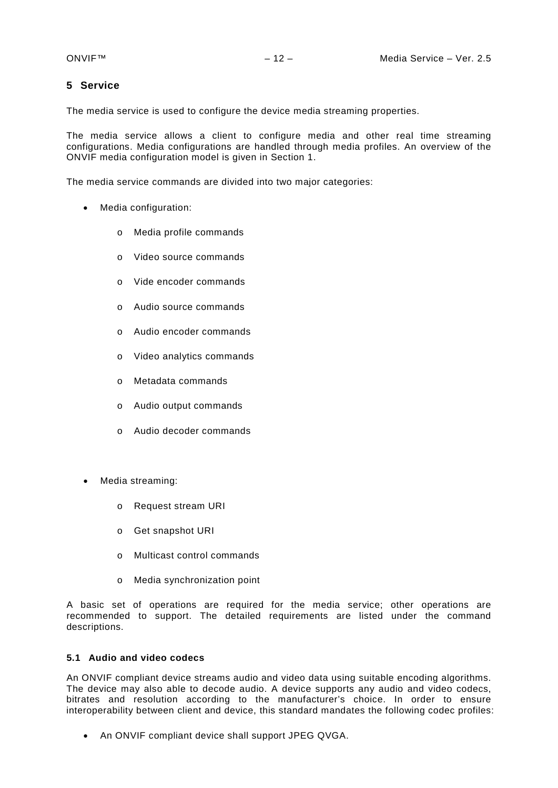## <span id="page-11-0"></span>**5 Service**

The media service is used to configure the device media streaming properties.

The media service allows a client to configure media and other real time streaming configurations. Media configurations are handled through media profiles. An overview of the ONVIF media configuration model is given in Section [1.](#page-6-5)

The media service commands are divided into two major categories:

- Media configuration:
	- o Media profile commands
	- o Video source commands
	- o Vide encoder commands
	- o Audio source commands
	- o Audio encoder commands
	- o Video analytics commands
	- o Metadata commands
	- o Audio output commands
	- o Audio decoder commands
- Media streaming:
	- o Request stream URI
	- o Get snapshot URI
	- o Multicast control commands
	- o Media synchronization point

A basic set of operations are required for the media service; other operations are recommended to support. The detailed requirements are listed under the command descriptions.

## <span id="page-11-1"></span>**5.1 Audio and video codecs**

An ONVIF compliant device streams audio and video data using suitable encoding algorithms. The device may also able to decode audio. A device supports any audio and video codecs, bitrates and resolution according to the manufacturer's choice. In order to ensure interoperability between client and device, this standard mandates the following codec profiles:

• An ONVIF compliant device shall support JPEG QVGA.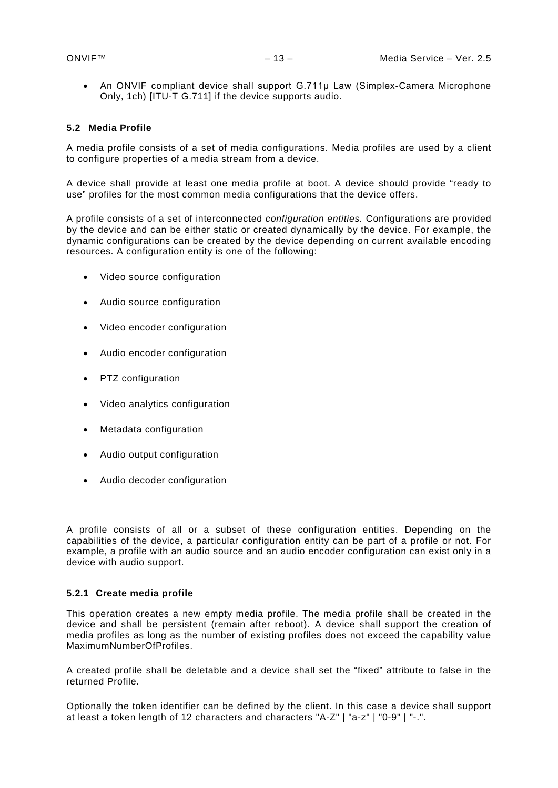• An ONVIF compliant device shall support G.711µ Law (Simplex-Camera Microphone Only, 1ch) [ITU-T G.711] if the device supports audio.

#### <span id="page-12-0"></span>**5.2 Media Profile**

A media profile consists of a set of media configurations. Media profiles are used by a client to configure properties of a media stream from a device.

A device shall provide at least one media profile at boot. A device should provide "ready to use" profiles for the most common media configurations that the device offers.

A profile consists of a set of interconnected *configuration entities.* Configurations are provided by the device and can be either static or created dynamically by the device. For example, the dynamic configurations can be created by the device depending on current available encoding resources. A configuration entity is one of the following:

- Video source configuration
- Audio source configuration
- Video encoder configuration
- Audio encoder configuration
- PTZ configuration
- Video analytics configuration
- Metadata configuration
- Audio output configuration
- Audio decoder configuration

A profile consists of all or a subset of these configuration entities. Depending on the capabilities of the device, a particular configuration entity can be part of a profile or not. For example, a profile with an audio source and an audio encoder configuration can exist only in a device with audio support.

#### <span id="page-12-1"></span>**5.2.1 Create media profile**

This operation creates a new empty media profile. The media profile shall be created in the device and shall be persistent (remain after reboot). A device shall support the creation of media profiles as long as the number of existing profiles does not exceed the capability value MaximumNumberOfProfiles.

A created profile shall be deletable and a device shall set the "fixed" attribute to false in the returned Profile.

Optionally the token identifier can be defined by the client. In this case a device shall support at least a token length of 12 characters and characters "A-Z" | "a-z" | "0-9" | "-.".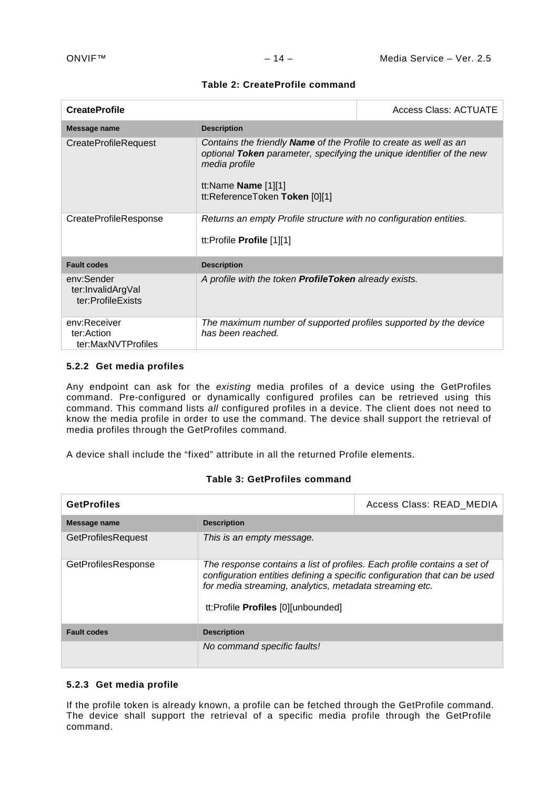|  | Table 2: CreateProfile command |  |
|--|--------------------------------|--|
|--|--------------------------------|--|

| <b>CreateProfile</b>                                                                                                                                                                                                                                                | <b>Access Class: ACTUATE</b>                                                          |  |
|---------------------------------------------------------------------------------------------------------------------------------------------------------------------------------------------------------------------------------------------------------------------|---------------------------------------------------------------------------------------|--|
| Message name                                                                                                                                                                                                                                                        | <b>Description</b>                                                                    |  |
| <b>CreateProfileRequest</b><br>Contains the friendly <b>Name</b> of the Profile to create as well as an<br>optional Token parameter, specifying the unique identifier of the new<br>media profile<br>tt:Name <b>Name</b> $[1][1]$<br>tt:ReferenceToken Token [0][1] |                                                                                       |  |
| Returns an empty Profile structure with no configuration entities.<br>CreateProfileResponse<br>tt:Profile Profile [1][1]                                                                                                                                            |                                                                                       |  |
| <b>Fault codes</b>                                                                                                                                                                                                                                                  | <b>Description</b>                                                                    |  |
| env:Sender<br>ter:InvalidArgVal<br>ter:ProfileExists                                                                                                                                                                                                                | A profile with the token <b>ProfileToken</b> already exists.                          |  |
| env:Receiver<br>ter:Action<br>ter:MaxNVTProfiles                                                                                                                                                                                                                    | The maximum number of supported profiles supported by the device<br>has been reached. |  |

### <span id="page-13-0"></span>**5.2.2 Get media profiles**

Any endpoint can ask for the *existing* media profiles of a device using the GetProfiles command. Pre-configured or dynamically configured profiles can be retrieved using this command. This command lists *all* configured profiles in a device. The client does not need to know the media profile in order to use the command. The device shall support the retrieval of media profiles through the GetProfiles command.

A device shall include the "fixed" attribute in all the returned Profile elements.

|  | Table 3: GetProfiles command |  |
|--|------------------------------|--|
|--|------------------------------|--|

| <b>GetProfiles</b>        |                                                                                                                                                                                                                                                               | Access Class: READ MEDIA |
|---------------------------|---------------------------------------------------------------------------------------------------------------------------------------------------------------------------------------------------------------------------------------------------------------|--------------------------|
| Message name              | <b>Description</b>                                                                                                                                                                                                                                            |                          |
| <b>GetProfilesRequest</b> | This is an empty message.                                                                                                                                                                                                                                     |                          |
| GetProfilesResponse       | The response contains a list of profiles. Each profile contains a set of<br>configuration entities defining a specific configuration that can be used<br>for media streaming, analytics, metadata streaming etc.<br>tt:Profile <b>Profiles</b> [0][unbounded] |                          |
| <b>Fault codes</b>        | <b>Description</b>                                                                                                                                                                                                                                            |                          |
|                           | No command specific faults!                                                                                                                                                                                                                                   |                          |

#### <span id="page-13-1"></span>**5.2.3 Get media profile**

If the profile token is already known, a profile can be fetched through the GetProfile command. The device shall support the retrieval of a specific media profile through the GetProfile command.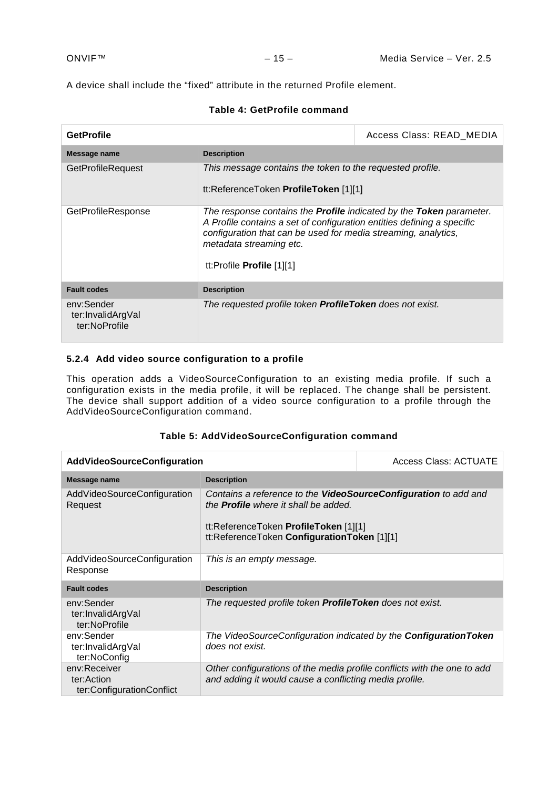A device shall include the "fixed" attribute in the returned Profile element.

| <b>GetProfile</b>                                |                                                                                                                                                                                                                                                                                                | Access Class: READ MEDIA |
|--------------------------------------------------|------------------------------------------------------------------------------------------------------------------------------------------------------------------------------------------------------------------------------------------------------------------------------------------------|--------------------------|
| <b>Message name</b>                              | <b>Description</b>                                                                                                                                                                                                                                                                             |                          |
| <b>GetProfileRequest</b>                         | This message contains the token to the requested profile.<br>tt:ReferenceToken ProfileToken [1][1]                                                                                                                                                                                             |                          |
| GetProfileResponse                               | The response contains the <b>Profile</b> indicated by the <b>Token</b> parameter.<br>A Profile contains a set of configuration entities defining a specific<br>configuration that can be used for media streaming, analytics,<br>metadata streaming etc.<br>tt:Profile <b>Profile</b> $[1][1]$ |                          |
| <b>Fault codes</b>                               | <b>Description</b>                                                                                                                                                                                                                                                                             |                          |
| env:Sender<br>ter:InvalidArgVal<br>ter:NoProfile | The requested profile token <b>ProfileToken</b> does not exist.                                                                                                                                                                                                                                |                          |

## **Table 4: GetProfile command**

#### <span id="page-14-0"></span>**5.2.4 Add video source configuration to a profile**

This operation adds a VideoSourceConfiguration to an existing media profile. If such a configuration exists in the media profile, it will be replaced. The change shall be persistent. The device shall support addition of a video source configuration to a profile through the AddVideoSourceConfiguration command.

#### **Table 5: AddVideoSourceConfiguration command**

| <b>AddVideoSourceConfiguration</b>                      |                                                                                                                                                                                                        | <b>Access Class: ACTUATE</b> |
|---------------------------------------------------------|--------------------------------------------------------------------------------------------------------------------------------------------------------------------------------------------------------|------------------------------|
| Message name                                            | <b>Description</b>                                                                                                                                                                                     |                              |
| AddVideoSourceConfiguration<br>Request                  | Contains a reference to the VideoSourceConfiguration to add and<br>the <b>Profile</b> where it shall be added.<br>tt:ReferenceToken ProfileToken [1][1]<br>tt:ReferenceToken ConfigurationToken [1][1] |                              |
| AddVideoSourceConfiguration<br>Response                 | This is an empty message.                                                                                                                                                                              |                              |
| <b>Fault codes</b>                                      | <b>Description</b>                                                                                                                                                                                     |                              |
| env:Sender<br>ter:InvalidArgVal<br>ter:NoProfile        | The requested profile token <b>ProfileToken</b> does not exist.                                                                                                                                        |                              |
| env:Sender<br>ter:InvalidArgVal<br>ter:NoConfig         | The VideoSourceConfiguration indicated by the <b>ConfigurationToken</b><br>does not exist.                                                                                                             |                              |
| env:Receiver<br>ter:Action<br>ter:ConfigurationConflict | Other configurations of the media profile conflicts with the one to add<br>and adding it would cause a conflicting media profile.                                                                      |                              |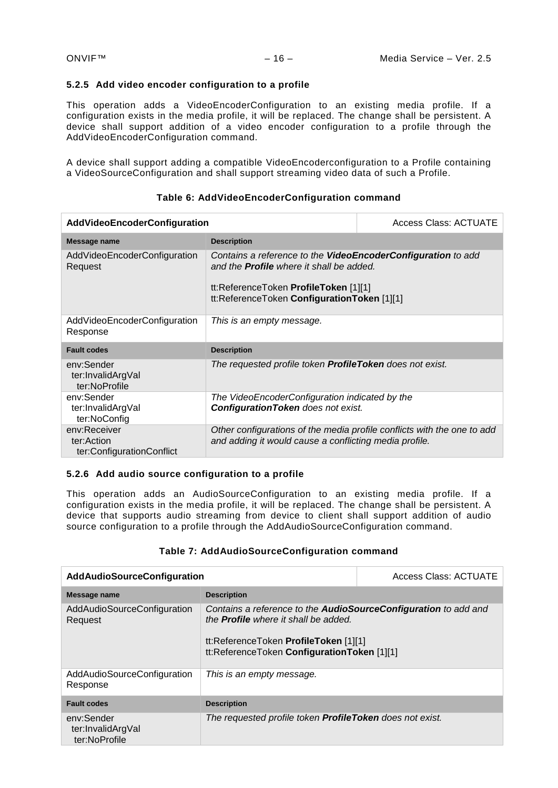#### <span id="page-15-0"></span>**5.2.5 Add video encoder configuration to a profile**

This operation adds a VideoEncoderConfiguration to an existing media profile. If a configuration exists in the media profile, it will be replaced. The change shall be persistent. A device shall support addition of a video encoder configuration to a profile through the AddVideoEncoderConfiguration command.

A device shall support adding a compatible VideoEncoderconfiguration to a Profile containing a VideoSourceConfiguration and shall support streaming video data of such a Profile.

| <b>AddVideoEncoderConfiguration</b>                     |                                                                                                                                                                                                         | <b>Access Class: ACTUATE</b> |
|---------------------------------------------------------|---------------------------------------------------------------------------------------------------------------------------------------------------------------------------------------------------------|------------------------------|
| Message name                                            | <b>Description</b>                                                                                                                                                                                      |                              |
| AddVideoEncoderConfiguration<br>Request                 | Contains a reference to the VideoEncoderConfiguration to add<br>and the <b>Profile</b> where it shall be added.<br>tt:ReferenceToken ProfileToken [1][1]<br>tt:ReferenceToken ConfigurationToken [1][1] |                              |
| AddVideoEncoderConfiguration<br>Response                | This is an empty message.                                                                                                                                                                               |                              |
| <b>Fault codes</b>                                      | <b>Description</b>                                                                                                                                                                                      |                              |
| env:Sender<br>ter:InvalidArgVal<br>ter:NoProfile        | The requested profile token <b>ProfileToken</b> does not exist.                                                                                                                                         |                              |
| env:Sender<br>ter:InvalidArgVal<br>ter:NoConfig         | The VideoEncoderConfiguration indicated by the<br><b>Configuration Token</b> does not exist.                                                                                                            |                              |
| env:Receiver<br>ter:Action<br>ter:ConfigurationConflict | Other configurations of the media profile conflicts with the one to add<br>and adding it would cause a conflicting media profile.                                                                       |                              |

#### **Table 6: AddVideoEncoderConfiguration command**

#### <span id="page-15-1"></span>**5.2.6 Add audio source configuration to a profile**

This operation adds an AudioSourceConfiguration to an existing media profile. If a configuration exists in the media profile, it will be replaced. The change shall be persistent. A device that supports audio streaming from device to client shall support addition of audio source configuration to a profile through the AddAudioSourceConfiguration command.

#### **Table 7: AddAudioSourceConfiguration command**

| <b>AddAudioSourceConfiguration</b>               |                                                                                                                                                                                                               | <b>Access Class: ACTUATE</b> |
|--------------------------------------------------|---------------------------------------------------------------------------------------------------------------------------------------------------------------------------------------------------------------|------------------------------|
| Message name                                     | <b>Description</b>                                                                                                                                                                                            |                              |
| AddAudioSourceConfiguration<br>Request           | Contains a reference to the <b>AudioSourceConfiguration</b> to add and<br>the <b>Profile</b> where it shall be added.<br>tt:ReferenceToken ProfileToken [1][1]<br>tt:ReferenceToken ConfigurationToken [1][1] |                              |
| AddAudioSourceConfiguration<br>Response          | This is an empty message.                                                                                                                                                                                     |                              |
| <b>Fault codes</b>                               | <b>Description</b>                                                                                                                                                                                            |                              |
| env:Sender<br>ter:InvalidArgVal<br>ter:NoProfile | The requested profile token <b>ProfileToken</b> does not exist.                                                                                                                                               |                              |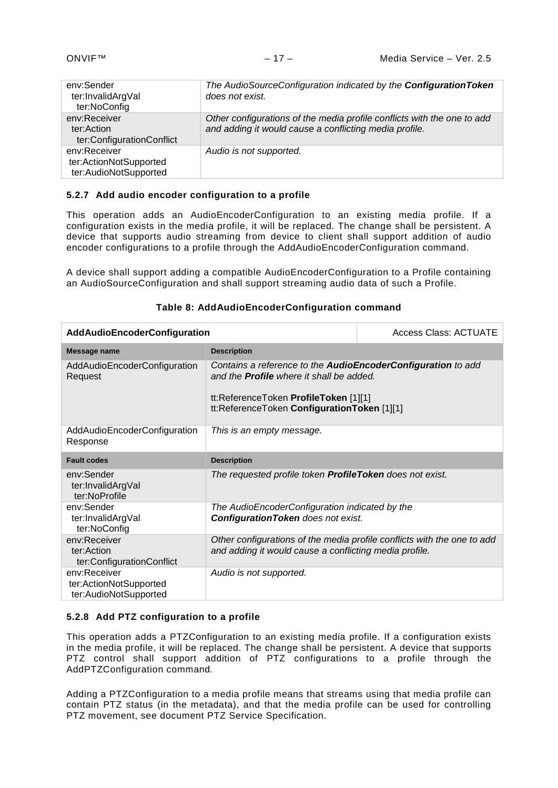| env:Sender<br>ter:InvalidArgVal<br>ter:NoConfig                 | The AudioSourceConfiguration indicated by the ConfigurationToken<br>does not exist.                                               |
|-----------------------------------------------------------------|-----------------------------------------------------------------------------------------------------------------------------------|
| env:Receiver<br>ter:Action<br>ter:ConfigurationConflict         | Other configurations of the media profile conflicts with the one to add<br>and adding it would cause a conflicting media profile. |
| env:Receiver<br>ter:ActionNotSupported<br>ter:AudioNotSupported | Audio is not supported.                                                                                                           |

#### <span id="page-16-0"></span>**5.2.7 Add audio encoder configuration to a profile**

This operation adds an AudioEncoderConfiguration to an existing media profile. If a configuration exists in the media profile, it will be replaced. The change shall be persistent. A device that supports audio streaming from device to client shall support addition of audio encoder configurations to a profile through the AddAudioEncoderConfiguration command.

A device shall support adding a compatible AudioEncoderConfiguration to a Profile containing an AudioSourceConfiguration and shall support streaming audio data of such a Profile.

| <b>AddAudioEncoderConfiguration</b>                             |                                                                                                                                                                                                         | <b>Access Class: ACTUATE</b> |
|-----------------------------------------------------------------|---------------------------------------------------------------------------------------------------------------------------------------------------------------------------------------------------------|------------------------------|
| Message name                                                    | <b>Description</b>                                                                                                                                                                                      |                              |
| AddAudioEncoderConfiguration<br>Request                         | Contains a reference to the AudioEncoderConfiguration to add<br>and the <b>Profile</b> where it shall be added.<br>tt:ReferenceToken ProfileToken [1][1]<br>tt:ReferenceToken ConfigurationToken [1][1] |                              |
| AddAudioEncoderConfiguration<br>Response                        | This is an empty message.                                                                                                                                                                               |                              |
| <b>Fault codes</b>                                              | <b>Description</b>                                                                                                                                                                                      |                              |
| env:Sender<br>ter:InvalidArgVal<br>ter:NoProfile                | The requested profile token <b>ProfileToken</b> does not exist.                                                                                                                                         |                              |
| env:Sender<br>ter:InvalidArgVal<br>ter:NoConfig                 | The AudioEncoderConfiguration indicated by the<br><b>Configuration Token</b> does not exist.                                                                                                            |                              |
| env:Receiver<br>ter:Action<br>ter:ConfigurationConflict         | Other configurations of the media profile conflicts with the one to add<br>and adding it would cause a conflicting media profile.                                                                       |                              |
| env:Receiver<br>ter:ActionNotSupported<br>ter:AudioNotSupported | Audio is not supported.                                                                                                                                                                                 |                              |

#### **Table 8: AddAudioEncoderConfiguration command**

#### <span id="page-16-1"></span>**5.2.8 Add PTZ configuration to a profile**

This operation adds a PTZConfiguration to an existing media profile. If a configuration exists in the media profile, it will be replaced. The change shall be persistent. A device that supports PTZ control shall support addition of PTZ configurations to a profile through the AddPTZConfiguration command*.*

Adding a PTZConfiguration to a media profile means that streams using that media profile can contain PTZ status (in the metadata), and that the media profile can be used for controlling PTZ movement, see document PTZ Service Specification.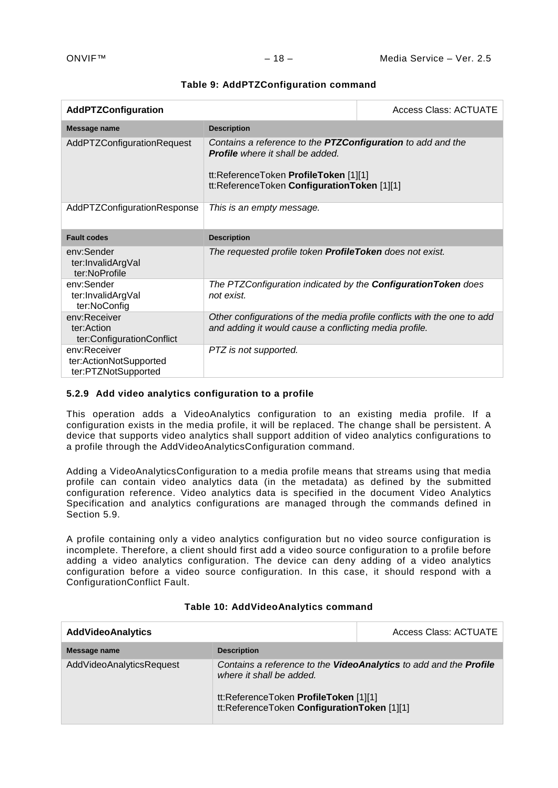| AddPTZConfiguration                                           |                                                                                                                                                                                                | <b>Access Class: ACTUATE</b> |
|---------------------------------------------------------------|------------------------------------------------------------------------------------------------------------------------------------------------------------------------------------------------|------------------------------|
| Message name                                                  | <b>Description</b>                                                                                                                                                                             |                              |
| AddPTZConfigurationRequest                                    | Contains a reference to the PTZConfiguration to add and the<br><b>Profile</b> where it shall be added.<br>tt:ReferenceToken ProfileToken [1][1]<br>tt:ReferenceToken ConfigurationToken [1][1] |                              |
| AddPTZConfigurationResponse                                   | This is an empty message.                                                                                                                                                                      |                              |
| <b>Fault codes</b>                                            | <b>Description</b>                                                                                                                                                                             |                              |
| env:Sender<br>ter:InvalidArgVal<br>ter:NoProfile              | The requested profile token <b>ProfileToken</b> does not exist.                                                                                                                                |                              |
| env:Sender<br>ter:InvalidArgVal<br>ter:NoConfig               | The PTZConfiguration indicated by the <b>Configuration Token</b> does<br>not exist.                                                                                                            |                              |
| env:Receiver<br>ter:Action<br>ter:ConfigurationConflict       | Other configurations of the media profile conflicts with the one to add<br>and adding it would cause a conflicting media profile.                                                              |                              |
| env:Receiver<br>ter:ActionNotSupported<br>ter:PTZNotSupported | PTZ is not supported.                                                                                                                                                                          |                              |

### **Table 9: AddPTZConfiguration command**

## <span id="page-17-0"></span>**5.2.9 Add video analytics configuration to a profile**

This operation adds a VideoAnalytics configuration to an existing media profile. If a configuration exists in the media profile, it will be replaced. The change shall be persistent. A device that supports video analytics shall support addition of video analytics configurations to a profile through the AddVideoAnalyticsConfiguration command.

Adding a VideoAnalyticsConfiguration to a media profile means that streams using that media profile can contain video analytics data (in the metadata) as defined by the submitted configuration reference. Video analytics data is specified in the document Video Analytics Specification and analytics configurations are managed through the commands defined in Section [5.9.](#page-41-0)

A profile containing only a video analytics configuration but no video source configuration is incomplete. Therefore, a client should first add a video source configuration to a profile before adding a video analytics configuration. The device can deny adding of a video analytics configuration before a video source configuration. In this case, it should respond with a ConfigurationConflict Fault.

| <b>AddVideoAnalytics</b> |                                                                                                                                                                                       | Access Class: ACTUATE |
|--------------------------|---------------------------------------------------------------------------------------------------------------------------------------------------------------------------------------|-----------------------|
| Message name             | <b>Description</b>                                                                                                                                                                    |                       |
| AddVideoAnalyticsRequest | Contains a reference to the VideoAnalytics to add and the Profile<br>where it shall be added.<br>tt:ReferenceToken ProfileToken [1][1]<br>tt:ReferenceToken ConfigurationToken [1][1] |                       |

## **Table 10: AddVideoAnalytics command**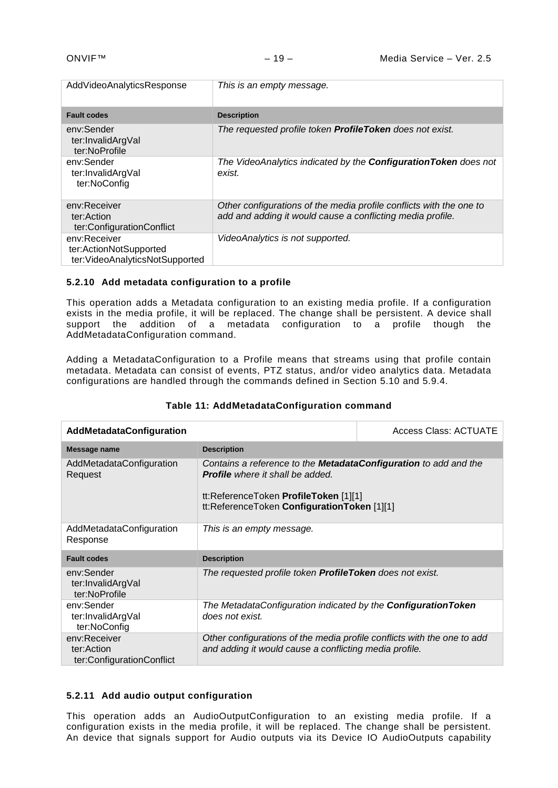| AddVideoAnalyticsResponse                                                | This is an empty message.                                                                                                         |
|--------------------------------------------------------------------------|-----------------------------------------------------------------------------------------------------------------------------------|
| <b>Fault codes</b>                                                       | <b>Description</b>                                                                                                                |
| env:Sender<br>ter:InvalidArgVal<br>ter:NoProfile                         | The requested profile token <b>ProfileToken</b> does not exist.                                                                   |
| env:Sender<br>ter:InvalidArgVal<br>ter:NoConfig                          | The VideoAnalytics indicated by the <b>Configuration Token</b> does not<br>exist.                                                 |
| env:Receiver<br>ter:Action<br>ter:ConfigurationConflict                  | Other configurations of the media profile conflicts with the one to<br>add and adding it would cause a conflicting media profile. |
| env:Receiver<br>ter:ActionNotSupported<br>ter:VideoAnalyticsNotSupported | VideoAnalytics is not supported.                                                                                                  |

## <span id="page-18-0"></span>**5.2.10 Add metadata configuration to a profile**

This operation adds a Metadata configuration to an existing media profile. If a configuration exists in the media profile, it will be replaced. The change shall be persistent. A device shall support the addition of a metadata configuration to a profile though the AddMetadataConfiguration command.

Adding a MetadataConfiguration to a Profile means that streams using that profile contain metadata. Metadata can consist of events, PTZ status, and/or video analytics data. Metadata configurations are handled through the commands defined in Section [5.10](#page-44-0) and [5.9.4.](#page-43-0)

| AddMetadataConfiguration                                |                                                                                                                                                                                                            | <b>Access Class: ACTUATE</b> |
|---------------------------------------------------------|------------------------------------------------------------------------------------------------------------------------------------------------------------------------------------------------------------|------------------------------|
| Message name                                            | <b>Description</b>                                                                                                                                                                                         |                              |
| AddMetadataConfiguration<br>Request                     | Contains a reference to the <b>MetadataConfiguration</b> to add and the<br><b>Profile</b> where it shall be added.<br>tt:ReferenceToken ProfileToken [1][1]<br>tt:ReferenceToken ConfigurationToken [1][1] |                              |
| AddMetadataConfiguration<br>Response                    | This is an empty message.                                                                                                                                                                                  |                              |
| <b>Fault codes</b>                                      | <b>Description</b>                                                                                                                                                                                         |                              |
| env:Sender<br>ter:InvalidArgVal<br>ter:NoProfile        | The requested profile token ProfileToken does not exist.                                                                                                                                                   |                              |
| env:Sender<br>ter:InvalidArgVal<br>ter:NoConfig         | The MetadataConfiguration indicated by the <b>ConfigurationToken</b><br>does not exist.                                                                                                                    |                              |
| env:Receiver<br>ter:Action<br>ter:ConfigurationConflict | Other configurations of the media profile conflicts with the one to add<br>and adding it would cause a conflicting media profile.                                                                          |                              |

## **Table 11: AddMetadataConfiguration command**

## <span id="page-18-1"></span>**5.2.11 Add audio output configuration**

This operation adds an AudioOutputConfiguration to an existing media profile. If a configuration exists in the media profile, it will be replaced. The change shall be persistent. An device that signals support for Audio outputs via its Device IO AudioOutputs capability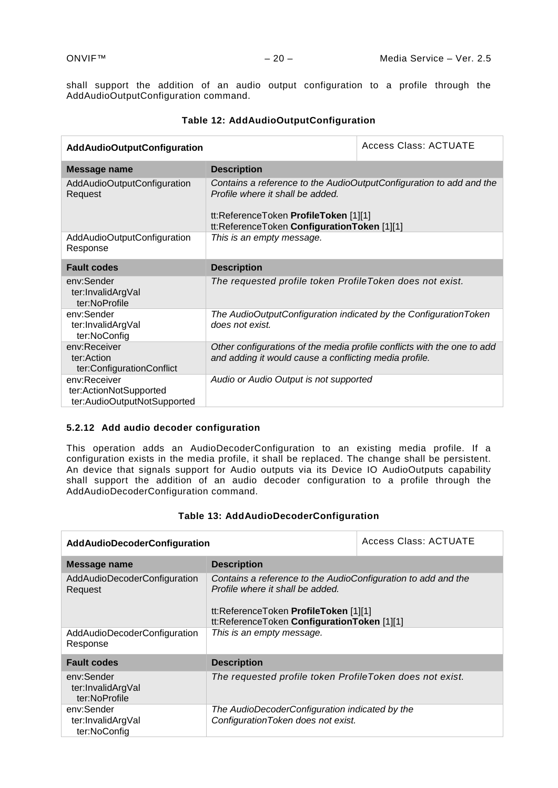shall support the addition of an audio output configuration to a profile through the AddAudioOutputConfiguration command.

| <b>AddAudioOutputConfiguration</b>                                    |                                                                                                                                                                                                 | Access Class: ACTUATE |
|-----------------------------------------------------------------------|-------------------------------------------------------------------------------------------------------------------------------------------------------------------------------------------------|-----------------------|
| Message name                                                          | <b>Description</b>                                                                                                                                                                              |                       |
| AddAudioOutputConfiguration<br>Request                                | Contains a reference to the AudioOutputConfiguration to add and the<br>Profile where it shall be added.<br>tt:ReferenceToken ProfileToken [1][1]<br>tt:ReferenceToken ConfigurationToken [1][1] |                       |
| AddAudioOutputConfiguration<br>Response                               | This is an empty message.                                                                                                                                                                       |                       |
| <b>Fault codes</b>                                                    | <b>Description</b>                                                                                                                                                                              |                       |
| env:Sender<br>ter:InvalidArgVal<br>ter:NoProfile                      | The requested profile token ProfileToken does not exist.                                                                                                                                        |                       |
| env:Sender<br>ter:InvalidArgVal<br>ter:NoConfig                       | The AudioOutputConfiguration indicated by the ConfigurationToken<br>does not exist.                                                                                                             |                       |
| env:Receiver<br>ter:Action<br>ter:ConfigurationConflict               | Other configurations of the media profile conflicts with the one to add<br>and adding it would cause a conflicting media profile.                                                               |                       |
| env:Receiver<br>ter:ActionNotSupported<br>ter:AudioOutputNotSupported | Audio or Audio Output is not supported                                                                                                                                                          |                       |

## **Table 12: AddAudioOutputConfiguration**

## <span id="page-19-0"></span>**5.2.12 Add audio decoder configuration**

This operation adds an AudioDecoderConfiguration to an existing media profile. If a configuration exists in the media profile, it shall be replaced. The change shall be persistent. An device that signals support for Audio outputs via its Device IO AudioOutputs capability shall support the addition of an audio decoder configuration to a profile through the AddAudioDecoderConfiguration command.

| AddAudioDecoderConfiguration                     |                                                                                                                                                                                           | <b>Access Class: ACTUATE</b> |
|--------------------------------------------------|-------------------------------------------------------------------------------------------------------------------------------------------------------------------------------------------|------------------------------|
| Message name                                     | <b>Description</b>                                                                                                                                                                        |                              |
| AddAudioDecoderConfiguration<br>Request          | Contains a reference to the AudioConfiguration to add and the<br>Profile where it shall be added.<br>tt:ReferenceToken ProfileToken [1][1]<br>tt:ReferenceToken ConfigurationToken [1][1] |                              |
| AddAudioDecoderConfiguration<br>Response         | This is an empty message.                                                                                                                                                                 |                              |
| <b>Fault codes</b>                               | <b>Description</b>                                                                                                                                                                        |                              |
| env:Sender<br>ter:InvalidArgVal<br>ter:NoProfile | The requested profile token ProfileToken does not exist.                                                                                                                                  |                              |
| env:Sender<br>ter:InvalidArgVal<br>ter:NoConfig  | The AudioDecoderConfiguration indicated by the<br>ConfigurationToken does not exist.                                                                                                      |                              |

## **Table 13: AddAudioDecoderConfiguration**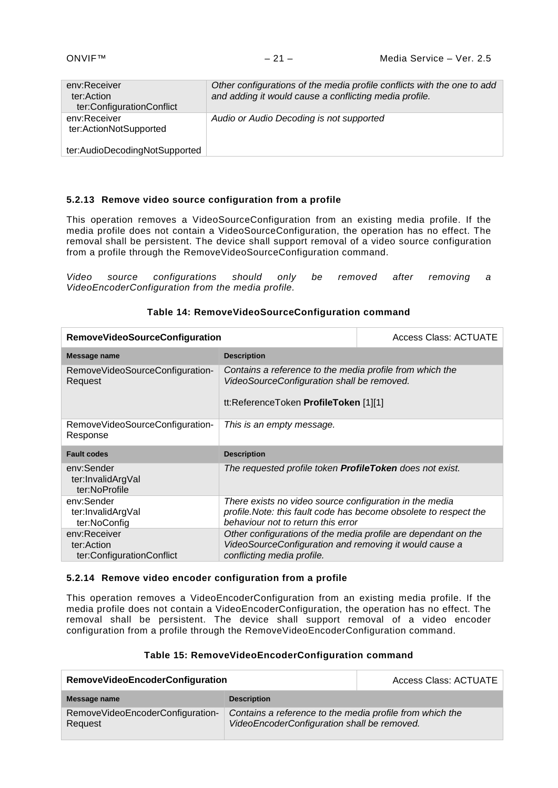| env:Receiver<br>ter:Action<br>ter:ConfigurationConflict | Other configurations of the media profile conflicts with the one to add<br>and adding it would cause a conflicting media profile. |
|---------------------------------------------------------|-----------------------------------------------------------------------------------------------------------------------------------|
| env:Receiver<br>ter:ActionNotSupported                  | Audio or Audio Decoding is not supported                                                                                          |
| ter:AudioDecodingNotSupported                           |                                                                                                                                   |

### <span id="page-20-0"></span>**5.2.13 Remove video source configuration from a profile**

This operation removes a VideoSourceConfiguration from an existing media profile. If the media profile does not contain a VideoSourceConfiguration, the operation has no effect. The removal shall be persistent. The device shall support removal of a video source configuration from a profile through the RemoveVideoSourceConfiguration command.

*Video source configurations should only be removed after removing a VideoEncoderConfiguration from the media profile.*

| <b>RemoveVideoSourceConfiguration</b>                   |                                                                                                                                                                    | <b>Access Class: ACTUATE</b> |
|---------------------------------------------------------|--------------------------------------------------------------------------------------------------------------------------------------------------------------------|------------------------------|
| Message name                                            | <b>Description</b>                                                                                                                                                 |                              |
| RemoveVideoSourceConfiguration-<br>Request              | Contains a reference to the media profile from which the<br>VideoSourceConfiguration shall be removed.<br>tt:ReferenceToken ProfileToken [1][1]                    |                              |
| RemoveVideoSourceConfiguration-<br>Response             | This is an empty message.                                                                                                                                          |                              |
| <b>Fault codes</b>                                      | <b>Description</b>                                                                                                                                                 |                              |
| env:Sender<br>ter:InvalidArgVal<br>ter:NoProfile        | The requested profile token <b>ProfileToken</b> does not exist.                                                                                                    |                              |
| env:Sender<br>ter:InvalidArgVal<br>ter:NoConfig         | There exists no video source configuration in the media<br>profile. Note: this fault code has become obsolete to respect the<br>behaviour not to return this error |                              |
| env:Receiver<br>ter:Action<br>ter:ConfigurationConflict | Other configurations of the media profile are dependant on the<br>VideoSourceConfiguration and removing it would cause a<br>conflicting media profile.             |                              |

### <span id="page-20-1"></span>**5.2.14 Remove video encoder configuration from a profile**

This operation removes a VideoEncoderConfiguration from an existing media profile. If the media profile does not contain a VideoEncoderConfiguration, the operation has no effect. The removal shall be persistent. The device shall support removal of a video encoder configuration from a profile through the RemoveVideoEncoderConfiguration command.

## **Table 15: RemoveVideoEncoderConfiguration command**

| <b>RemoveVideoEncoderConfiguration</b>      |                                                                                                         | <b>Access Class: ACTUATE</b> |
|---------------------------------------------|---------------------------------------------------------------------------------------------------------|------------------------------|
| Message name                                | <b>Description</b>                                                                                      |                              |
| RemoveVideoEncoderConfiguration-<br>Request | Contains a reference to the media profile from which the<br>VideoEncoderConfiguration shall be removed. |                              |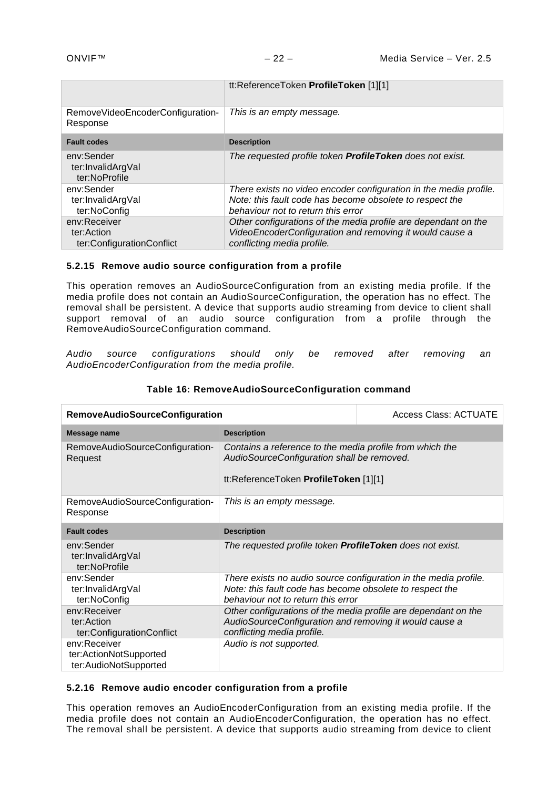|                                                         | tt:ReferenceToken ProfileToken [1][1]                                                                                                                               |
|---------------------------------------------------------|---------------------------------------------------------------------------------------------------------------------------------------------------------------------|
| RemoveVideoEncoderConfiguration-<br>Response            | This is an empty message.                                                                                                                                           |
| <b>Fault codes</b>                                      | <b>Description</b>                                                                                                                                                  |
| env:Sender<br>ter:InvalidArgVal<br>ter:NoProfile        | The requested profile token <b>ProfileToken</b> does not exist.                                                                                                     |
| env:Sender<br>ter:InvalidArgVal<br>ter:NoConfig         | There exists no video encoder configuration in the media profile.<br>Note: this fault code has become obsolete to respect the<br>behaviour not to return this error |
| env:Receiver<br>ter:Action<br>ter:ConfigurationConflict | Other configurations of the media profile are dependant on the<br>VideoEncoderConfiguration and removing it would cause a<br>conflicting media profile.             |

#### <span id="page-21-0"></span>**5.2.15 Remove audio source configuration from a profile**

This operation removes an AudioSourceConfiguration from an existing media profile. If the media profile does not contain an AudioSourceConfiguration, the operation has no effect. The removal shall be persistent. A device that supports audio streaming from device to client shall support removal of an audio source configuration from a profile through the RemoveAudioSourceConfiguration command.

*Audio source configurations should only be removed after removing an AudioEncoderConfiguration from the media profile.*

| <b>RemoveAudioSourceConfiguration</b>                           |                                                                                                                                                                    | <b>Access Class: ACTUATE</b> |
|-----------------------------------------------------------------|--------------------------------------------------------------------------------------------------------------------------------------------------------------------|------------------------------|
| Message name                                                    | <b>Description</b>                                                                                                                                                 |                              |
| RemoveAudioSourceConfiguration-<br>Request                      | Contains a reference to the media profile from which the<br>AudioSourceConfiguration shall be removed.<br>tt:ReferenceToken ProfileToken [1][1]                    |                              |
| RemoveAudioSourceConfiguration-<br>Response                     | This is an empty message.                                                                                                                                          |                              |
| <b>Fault codes</b>                                              | <b>Description</b>                                                                                                                                                 |                              |
| env:Sender<br>ter:InvalidArgVal<br>ter:NoProfile                | The requested profile token <b>ProfileToken</b> does not exist.                                                                                                    |                              |
| env:Sender<br>ter:InvalidArgVal<br>ter:NoConfig                 | There exists no audio source configuration in the media profile.<br>Note: this fault code has become obsolete to respect the<br>behaviour not to return this error |                              |
| env:Receiver<br>ter:Action<br>ter:ConfigurationConflict         | Other configurations of the media profile are dependant on the<br>AudioSourceConfiguration and removing it would cause a<br>conflicting media profile.             |                              |
| env:Receiver<br>ter:ActionNotSupported<br>ter:AudioNotSupported | Audio is not supported.                                                                                                                                            |                              |

#### **Table 16: RemoveAudioSourceConfiguration command**

#### <span id="page-21-1"></span>**5.2.16 Remove audio encoder configuration from a profile**

This operation removes an AudioEncoderConfiguration from an existing media profile. If the media profile does not contain an AudioEncoderConfiguration, the operation has no effect. The removal shall be persistent. A device that supports audio streaming from device to client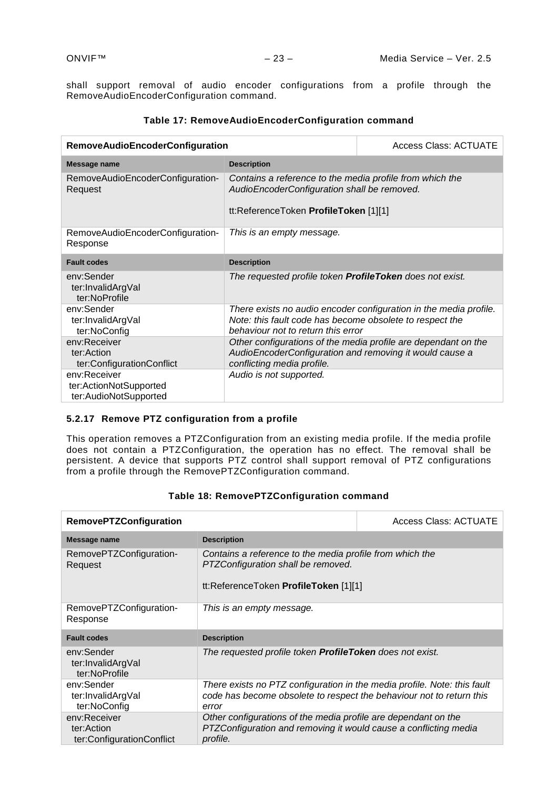shall support removal of audio encoder configurations from a profile through the RemoveAudioEncoderConfiguration command.

| <b>RemoveAudioEncoderConfiguration</b>                          |                                                                                                                                                  | <b>Access Class: ACTUATE</b>                                      |
|-----------------------------------------------------------------|--------------------------------------------------------------------------------------------------------------------------------------------------|-------------------------------------------------------------------|
| Message name                                                    | <b>Description</b>                                                                                                                               |                                                                   |
| RemoveAudioEncoderConfiguration-<br>Request                     | Contains a reference to the media profile from which the<br>AudioEncoderConfiguration shall be removed.<br>tt:ReferenceToken ProfileToken [1][1] |                                                                   |
| RemoveAudioEncoderConfiguration-<br>Response                    | This is an empty message.                                                                                                                        |                                                                   |
| <b>Fault codes</b>                                              | <b>Description</b>                                                                                                                               |                                                                   |
| env:Sender<br>ter:InvalidArgVal<br>ter:NoProfile                | The requested profile token <b>ProfileToken</b> does not exist.                                                                                  |                                                                   |
| env:Sender<br>ter:InvalidArgVal<br>ter:NoConfig                 | Note: this fault code has become obsolete to respect the<br>behaviour not to return this error                                                   | There exists no audio encoder configuration in the media profile. |
| env:Receiver<br>ter:Action<br>ter:ConfigurationConflict         | AudioEncoderConfiguration and removing it would cause a<br>conflicting media profile.                                                            | Other configurations of the media profile are dependant on the    |
| env:Receiver<br>ter:ActionNotSupported<br>ter:AudioNotSupported | Audio is not supported.                                                                                                                          |                                                                   |

## **Table 17: RemoveAudioEncoderConfiguration command**

## <span id="page-22-0"></span>**5.2.17 Remove PTZ configuration from a profile**

This operation removes a PTZConfiguration from an existing media profile. If the media profile does not contain a PTZConfiguration, the operation has no effect. The removal shall be persistent. A device that supports PTZ control shall support removal of PTZ configurations from a profile through the RemovePTZConfiguration command.

| <b>RemovePTZConfiguration</b>                           |                                                                                                                                                           | <b>Access Class: ACTUATE</b> |
|---------------------------------------------------------|-----------------------------------------------------------------------------------------------------------------------------------------------------------|------------------------------|
| Message name                                            | <b>Description</b>                                                                                                                                        |                              |
| RemovePTZConfiguration-<br>Request                      | Contains a reference to the media profile from which the<br>PTZConfiguration shall be removed.<br>tt:ReferenceToken ProfileToken [1][1]                   |                              |
| RemovePTZConfiguration-<br>Response                     | This is an empty message.                                                                                                                                 |                              |
| <b>Fault codes</b>                                      | <b>Description</b>                                                                                                                                        |                              |
| env:Sender<br>ter:InvalidArgVal<br>ter:NoProfile        | The requested profile token <b>ProfileToken</b> does not exist.                                                                                           |                              |
| env:Sender<br>ter:InvalidArgVal<br>ter:NoConfig         | There exists no PTZ configuration in the media profile. Note: this fault<br>code has become obsolete to respect the behaviour not to return this<br>error |                              |
| env:Receiver<br>ter:Action<br>ter:ConfigurationConflict | Other configurations of the media profile are dependant on the<br>PTZConfiguration and removing it would cause a conflicting media<br>profile.            |                              |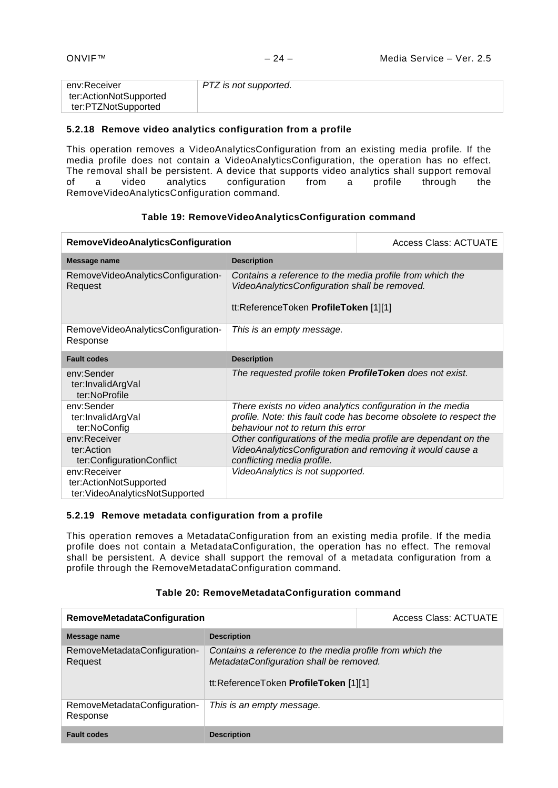| env:Receiver           | PTZ is not supported. |
|------------------------|-----------------------|
| ter:ActionNotSupported |                       |
| ter:PTZNotSupported    |                       |

### <span id="page-23-0"></span>**5.2.18 Remove video analytics configuration from a profile**

This operation removes a VideoAnalyticsConfiguration from an existing media profile. If the media profile does not contain a VideoAnalyticsConfiguration, the operation has no effect. The removal shall be persistent. A device that supports video analytics shall support removal of a video analytics configuration from a profile through the RemoveVideoAnalyticsConfiguration command.

| <b>RemoveVideoAnalyticsConfiguration</b>                                 |                                                                                                                                                    | <b>Access Class: ACTUATE</b>                                      |
|--------------------------------------------------------------------------|----------------------------------------------------------------------------------------------------------------------------------------------------|-------------------------------------------------------------------|
| Message name                                                             | <b>Description</b>                                                                                                                                 |                                                                   |
| RemoveVideoAnalyticsConfiguration-<br>Request                            | Contains a reference to the media profile from which the<br>VideoAnalyticsConfiguration shall be removed.<br>tt:ReferenceToken ProfileToken [1][1] |                                                                   |
| RemoveVideoAnalyticsConfiguration-<br>Response                           | This is an empty message.                                                                                                                          |                                                                   |
| <b>Fault codes</b>                                                       | <b>Description</b>                                                                                                                                 |                                                                   |
| env:Sender<br>ter:InvalidArgVal<br>ter:NoProfile                         | The requested profile token <b>ProfileToken</b> does not exist.                                                                                    |                                                                   |
| env:Sender<br>ter:InvalidArgVal<br>ter:NoConfig                          | There exists no video analytics configuration in the media<br>behaviour not to return this error                                                   | profile. Note: this fault code has become obsolete to respect the |
| env:Receiver<br>ter:Action<br>ter:ConfigurationConflict                  | VideoAnalyticsConfiguration and removing it would cause a<br>conflicting media profile.                                                            | Other configurations of the media profile are dependant on the    |
| env:Receiver<br>ter:ActionNotSupported<br>ter:VideoAnalyticsNotSupported | VideoAnalytics is not supported.                                                                                                                   |                                                                   |

### **Table 19: RemoveVideoAnalyticsConfiguration command**

#### <span id="page-23-1"></span>**5.2.19 Remove metadata configuration from a profile**

This operation removes a MetadataConfiguration from an existing media profile. If the media profile does not contain a MetadataConfiguration, the operation has no effect. The removal shall be persistent. A device shall support the removal of a metadata configuration from a profile through the RemoveMetadataConfiguration command.

| <b>RemoveMetadataConfiguration</b>       |                                                                                                                                              | Access Class: ACTUATE |
|------------------------------------------|----------------------------------------------------------------------------------------------------------------------------------------------|-----------------------|
| Message name                             | <b>Description</b>                                                                                                                           |                       |
| RemoveMetadataConfiguration-<br>Request  | Contains a reference to the media profile from which the<br>MetadataConfiguration shall be removed.<br>tt:ReferenceToken ProfileToken [1][1] |                       |
| RemoveMetadataConfiguration-<br>Response | This is an empty message.                                                                                                                    |                       |
| <b>Fault codes</b>                       | <b>Description</b>                                                                                                                           |                       |

#### **Table 20: RemoveMetadataConfiguration command**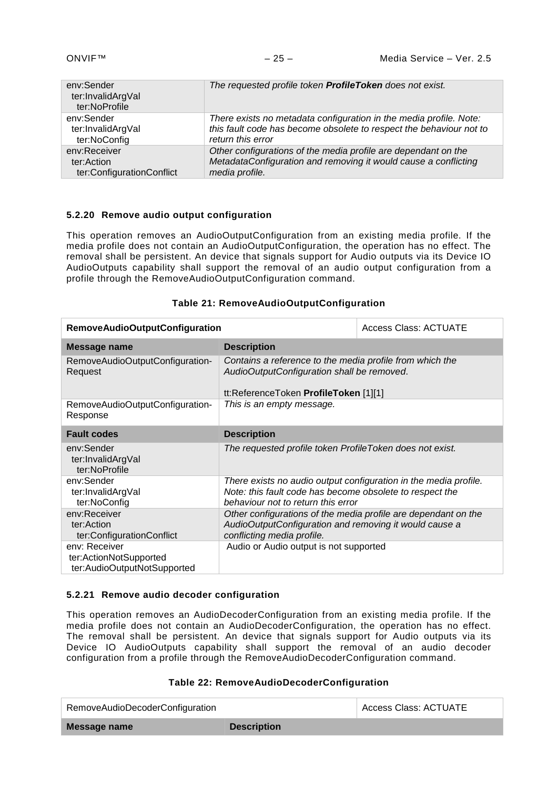| env:Sender<br>ter:InvalidArgVal<br>ter:NoProfile | The requested profile token ProfileToken does not exist.            |
|--------------------------------------------------|---------------------------------------------------------------------|
| env:Sender                                       | There exists no metadata configuration in the media profile. Note:  |
| ter:InvalidArgVal                                | this fault code has become obsolete to respect the behaviour not to |
| ter:NoConfig                                     | return this error                                                   |
| env:Receiver                                     | Other configurations of the media profile are dependant on the      |
| ter:Action                                       | MetadataConfiguration and removing it would cause a conflicting     |
| ter:ConfigurationConflict                        | media profile.                                                      |

## <span id="page-24-0"></span>**5.2.20 Remove audio output configuration**

This operation removes an AudioOutputConfiguration from an existing media profile. If the media profile does not contain an AudioOutputConfiguration, the operation has no effect. The removal shall be persistent. An device that signals support for Audio outputs via its Device IO AudioOutputs capability shall support the removal of an audio output configuration from a profile through the RemoveAudioOutputConfiguration command.

#### **Table 21: RemoveAudioOutputConfiguration**

| <b>RemoveAudioOutputConfiguration</b>                                  |                                                                                                                                                                    | <b>Access Class: ACTUATE</b> |
|------------------------------------------------------------------------|--------------------------------------------------------------------------------------------------------------------------------------------------------------------|------------------------------|
| Message name                                                           | <b>Description</b>                                                                                                                                                 |                              |
| RemoveAudioOutputConfiguration-<br>Request                             | Contains a reference to the media profile from which the<br>AudioOutputConfiguration shall be removed.<br>tt:ReferenceToken ProfileToken [1][1]                    |                              |
| RemoveAudioOutputConfiguration-<br>Response                            | This is an empty message.                                                                                                                                          |                              |
| <b>Fault codes</b>                                                     | <b>Description</b>                                                                                                                                                 |                              |
| env:Sender<br>ter:InvalidArgVal<br>ter:NoProfile                       | The requested profile token ProfileToken does not exist.                                                                                                           |                              |
| env:Sender<br>ter:InvalidArgVal<br>ter:NoConfig                        | There exists no audio output configuration in the media profile.<br>Note: this fault code has become obsolete to respect the<br>behaviour not to return this error |                              |
| env:Receiver<br>ter:Action<br>ter:ConfigurationConflict                | Other configurations of the media profile are dependant on the<br>AudioOutputConfiguration and removing it would cause a<br>conflicting media profile.             |                              |
| env: Receiver<br>ter:ActionNotSupported<br>ter:AudioOutputNotSupported | Audio or Audio output is not supported                                                                                                                             |                              |

#### <span id="page-24-1"></span>**5.2.21 Remove audio decoder configuration**

This operation removes an AudioDecoderConfiguration from an existing media profile. If the media profile does not contain an AudioDecoderConfiguration, the operation has no effect. The removal shall be persistent. An device that signals support for Audio outputs via its Device IO AudioOutputs capability shall support the removal of an audio decoder configuration from a profile through the RemoveAudioDecoderConfiguration command.

#### **Table 22: RemoveAudioDecoderConfiguration**

| RemoveAudioDecoderConfiguration |                    | Access Class: ACTUATE |
|---------------------------------|--------------------|-----------------------|
| Message name                    | <b>Description</b> |                       |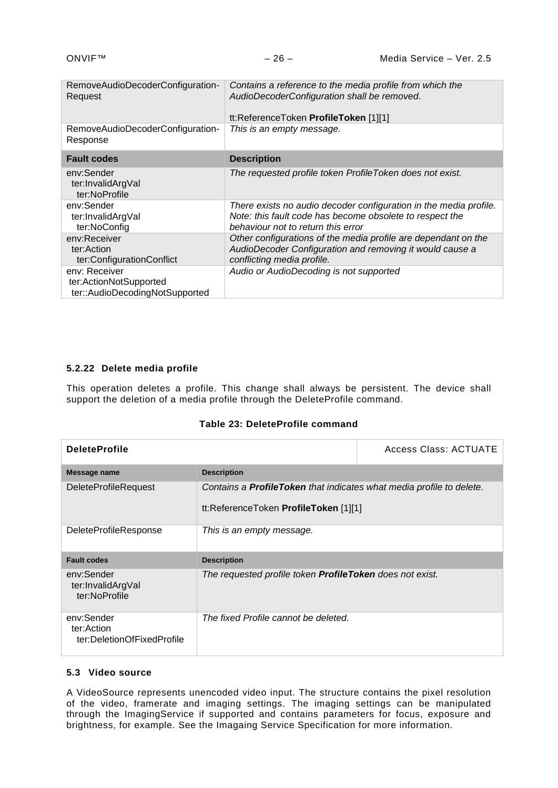| RemoveAudioDecoderConfiguration-<br>Request                               | Contains a reference to the media profile from which the<br>AudioDecoderConfiguration shall be removed.<br>tt:ReferenceToken ProfileToken [1][1]                    |
|---------------------------------------------------------------------------|---------------------------------------------------------------------------------------------------------------------------------------------------------------------|
| RemoveAudioDecoderConfiguration-<br>Response                              | This is an empty message.                                                                                                                                           |
| <b>Fault codes</b>                                                        | <b>Description</b>                                                                                                                                                  |
| env:Sender<br>ter:InvalidArgVal<br>ter:NoProfile                          | The requested profile token ProfileToken does not exist.                                                                                                            |
| env:Sender<br>ter:InvalidArgVal<br>ter:NoConfig                           | There exists no audio decoder configuration in the media profile.<br>Note: this fault code has become obsolete to respect the<br>behaviour not to return this error |
| env:Receiver<br>ter:Action<br>ter:ConfigurationConflict                   | Other configurations of the media profile are dependant on the<br>AudioDecoder Configuration and removing it would cause a<br>conflicting media profile.            |
| env: Receiver<br>ter:ActionNotSupported<br>ter::AudioDecodingNotSupported | Audio or AudioDecoding is not supported                                                                                                                             |

## <span id="page-25-0"></span>**5.2.22 Delete media profile**

This operation deletes a profile. This change shall always be persistent. The device shall support the deletion of a media profile through the DeleteProfile command.

#### **Table 23: DeleteProfile command**

| <b>DeleteProfile</b>                                   |                                                                                                                      | Access Class: ACTUATE |
|--------------------------------------------------------|----------------------------------------------------------------------------------------------------------------------|-----------------------|
| Message name                                           | <b>Description</b>                                                                                                   |                       |
| <b>DeleteProfileRequest</b>                            | Contains a <b>ProfileToken</b> that indicates what media profile to delete.<br>tt:ReferenceToken ProfileToken [1][1] |                       |
| <b>DeleteProfileResponse</b>                           | This is an empty message.                                                                                            |                       |
| <b>Fault codes</b>                                     | <b>Description</b>                                                                                                   |                       |
| env:Sender<br>ter:InvalidArgVal<br>ter:NoProfile       | The requested profile token <b>ProfileToken</b> does not exist.                                                      |                       |
| env:Sender<br>ter:Action<br>ter:DeletionOfFixedProfile | The fixed Profile cannot be deleted.                                                                                 |                       |

## <span id="page-25-1"></span>**5.3 Video source**

A VideoSource represents unencoded video input. The structure contains the pixel resolution of the video, framerate and imaging settings. The imaging settings can be manipulated through the ImagingService if supported and contains parameters for focus, exposure and brightness, for example. See the Imagaing Service Specification for more information.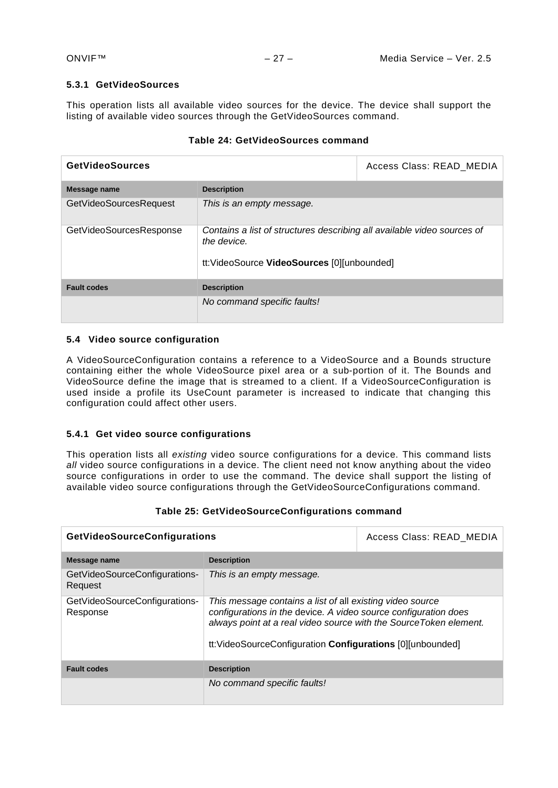#### <span id="page-26-0"></span>**5.3.1 GetVideoSources**

This operation lists all available video sources for the device. The device shall support the listing of available video sources through the GetVideoSources command.

| <b>GetVideoSources</b>  |                                                                                                                                      | Access Class: READ MEDIA |
|-------------------------|--------------------------------------------------------------------------------------------------------------------------------------|--------------------------|
| Message name            | <b>Description</b>                                                                                                                   |                          |
| GetVideoSourcesRequest  | This is an empty message.                                                                                                            |                          |
| GetVideoSourcesResponse | Contains a list of structures describing all available video sources of<br>the device.<br>tt:VideoSource VideoSources [0][unbounded] |                          |
| <b>Fault codes</b>      | <b>Description</b>                                                                                                                   |                          |
|                         | No command specific faults!                                                                                                          |                          |

#### **Table 24: GetVideoSources command**

#### <span id="page-26-1"></span>**5.4 Video source configuration**

A VideoSourceConfiguration contains a reference to a VideoSource and a Bounds structure containing either the whole VideoSource pixel area or a sub-portion of it. The Bounds and VideoSource define the image that is streamed to a client. If a VideoSourceConfiguration is used inside a profile its UseCount parameter is increased to indicate that changing this configuration could affect other users.

## <span id="page-26-2"></span>**5.4.1 Get video source configurations**

This operation lists all *existing* video source configurations for a device. This command lists *all* video source configurations in a device. The client need not know anything about the video source configurations in order to use the command. The device shall support the listing of available video source configurations through the GetVideoSourceConfigurations command.

| <b>GetVideoSourceConfigurations</b>       |                                                                                                                                                                                                                                                                  | Access Class: READ MEDIA |
|-------------------------------------------|------------------------------------------------------------------------------------------------------------------------------------------------------------------------------------------------------------------------------------------------------------------|--------------------------|
| Message name                              | <b>Description</b>                                                                                                                                                                                                                                               |                          |
| GetVideoSourceConfigurations-<br>Request  | This is an empty message.                                                                                                                                                                                                                                        |                          |
| GetVideoSourceConfigurations-<br>Response | This message contains a list of all existing video source<br>configurations in the device. A video source configuration does<br>always point at a real video source with the Source Token element.<br>tt: VideoSourceConfiguration Configurations [0][unbounded] |                          |
| <b>Fault codes</b>                        | <b>Description</b>                                                                                                                                                                                                                                               |                          |
|                                           | No command specific faults!                                                                                                                                                                                                                                      |                          |

#### **Table 25: GetVideoSourceConfigurations command**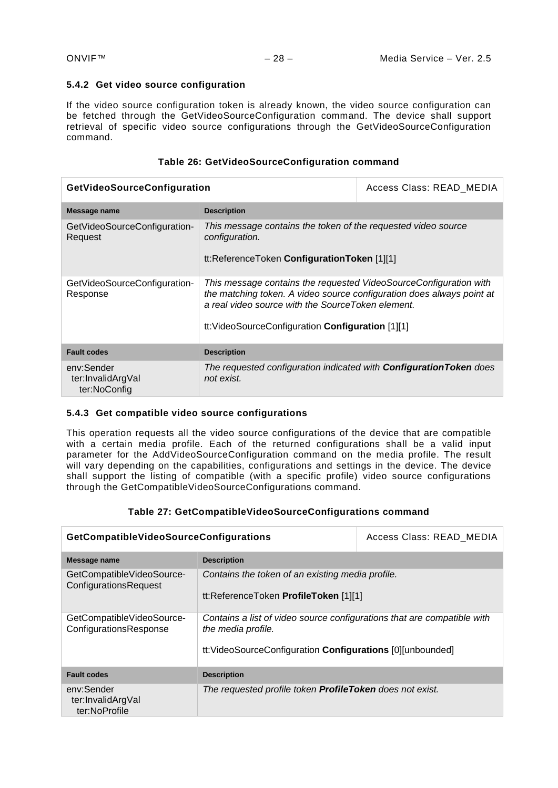#### <span id="page-27-0"></span>**5.4.2 Get video source configuration**

If the video source configuration token is already known, the video source configuration can be fetched through the GetVideoSourceConfiguration command. The device shall support retrieval of specific video source configurations through the GetVideoSourceConfiguration command.

### **Table 26: GetVideoSourceConfiguration command**

| GetVideoSourceConfiguration                     |                                                                                                                                                                                                                                                      | Access Class: READ_MEDIA |
|-------------------------------------------------|------------------------------------------------------------------------------------------------------------------------------------------------------------------------------------------------------------------------------------------------------|--------------------------|
| Message name                                    | <b>Description</b>                                                                                                                                                                                                                                   |                          |
| GetVideoSourceConfiguration-<br>Request         | This message contains the token of the requested video source<br>configuration.<br>tt:ReferenceToken ConfigurationToken [1][1]                                                                                                                       |                          |
| GetVideoSourceConfiguration-<br>Response        | This message contains the requested VideoSourceConfiguration with<br>the matching token. A video source configuration does always point at<br>a real video source with the SourceToken element.<br>tt: VideoSourceConfiguration Configuration [1][1] |                          |
| <b>Fault codes</b>                              | <b>Description</b>                                                                                                                                                                                                                                   |                          |
| env:Sender<br>ter:InvalidArgVal<br>ter:NoConfig | The requested configuration indicated with <b>Configuration Token</b> does<br>not exist.                                                                                                                                                             |                          |

## <span id="page-27-1"></span>**5.4.3 Get compatible video source configurations**

This operation requests all the video source configurations of the device that are compatible with a certain media profile. Each of the returned configurations shall be a valid input parameter for the AddVideoSourceConfiguration command on the media profile. The result will vary depending on the capabilities, configurations and settings in the device. The device shall support the listing of compatible (with a specific profile) video source configurations through the GetCompatibleVideoSourceConfigurations command.

| GetCompatibleVideoSourceConfigurations              |                                                                                                                                                             | Access Class: READ MEDIA |
|-----------------------------------------------------|-------------------------------------------------------------------------------------------------------------------------------------------------------------|--------------------------|
| Message name                                        | <b>Description</b>                                                                                                                                          |                          |
| GetCompatibleVideoSource-<br>ConfigurationsRequest  | Contains the token of an existing media profile.<br>tt:ReferenceToken ProfileToken [1][1]                                                                   |                          |
| GetCompatibleVideoSource-<br>ConfigurationsResponse | Contains a list of video source configurations that are compatible with<br>the media profile.<br>tt: VideoSourceConfiguration Configurations [0][unbounded] |                          |
| <b>Fault codes</b>                                  | <b>Description</b>                                                                                                                                          |                          |
| env:Sender<br>ter:InvalidArgVal<br>ter:NoProfile    | The requested profile token <b>ProfileToken</b> does not exist.                                                                                             |                          |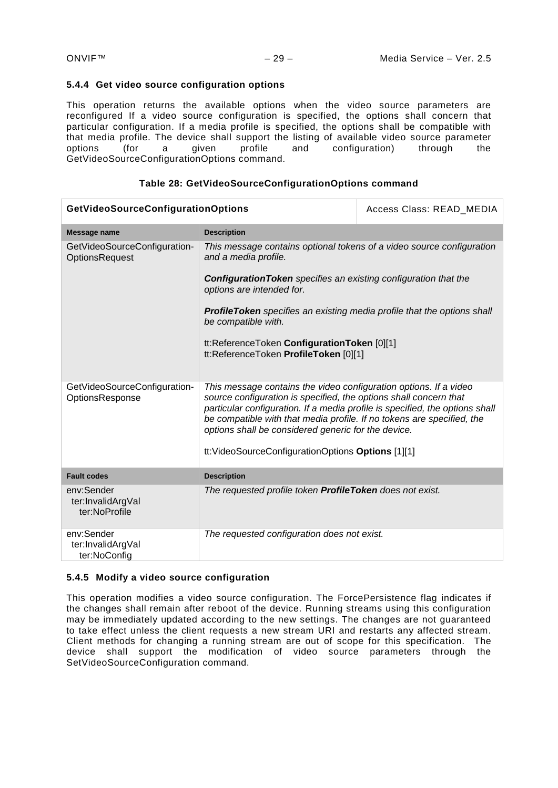#### <span id="page-28-0"></span>**5.4.4 Get video source configuration options**

This operation returns the available options when the video source parameters are reconfigured If a video source configuration is specified, the options shall concern that particular configuration. If a media profile is specified, the options shall be compatible with that media profile. The device shall support the listing of available video source parameter options (for a given profile and configuration) through the a given profile and configuration) through the GetVideoSourceConfigurationOptions command.

| <b>GetVideoSourceConfigurationOptions</b>             |                                                                                                                                                                                                                                                                                                                                                                                                               | Access Class: READ MEDIA |
|-------------------------------------------------------|---------------------------------------------------------------------------------------------------------------------------------------------------------------------------------------------------------------------------------------------------------------------------------------------------------------------------------------------------------------------------------------------------------------|--------------------------|
| <b>Message name</b>                                   | <b>Description</b>                                                                                                                                                                                                                                                                                                                                                                                            |                          |
| GetVideoSourceConfiguration-<br><b>OptionsRequest</b> | This message contains optional tokens of a video source configuration<br>and a media profile.<br><b>Configuration Token</b> specifies an existing configuration that the<br>options are intended for.<br><b>ProfileToken</b> specifies an existing media profile that the options shall<br>be compatible with.<br>tt:ReferenceToken ConfigurationToken [0][1]<br>tt:ReferenceToken ProfileToken [0][1]        |                          |
| GetVideoSourceConfiguration-<br>OptionsResponse       | This message contains the video configuration options. If a video<br>source configuration is specified, the options shall concern that<br>particular configuration. If a media profile is specified, the options shall<br>be compatible with that media profile. If no tokens are specified, the<br>options shall be considered generic for the device.<br>tt: VideoSourceConfigurationOptions Options [1][1] |                          |
| <b>Fault codes</b>                                    | <b>Description</b>                                                                                                                                                                                                                                                                                                                                                                                            |                          |
| env:Sender<br>ter:InvalidArgVal<br>ter:NoProfile      | The requested profile token ProfileToken does not exist.                                                                                                                                                                                                                                                                                                                                                      |                          |
| env:Sender<br>ter:InvalidArgVal<br>ter:NoConfig       | The requested configuration does not exist.                                                                                                                                                                                                                                                                                                                                                                   |                          |

#### <span id="page-28-1"></span>**5.4.5 Modify a video source configuration**

This operation modifies a video source configuration. The ForcePersistence flag indicates if the changes shall remain after reboot of the device. Running streams using this configuration may be immediately updated according to the new settings. The changes are not guaranteed to take effect unless the client requests a new stream URI and restarts any affected stream. Client methods for changing a running stream are out of scope for this specification. The device shall support the modification of video source parameters through the SetVideoSourceConfiguration command.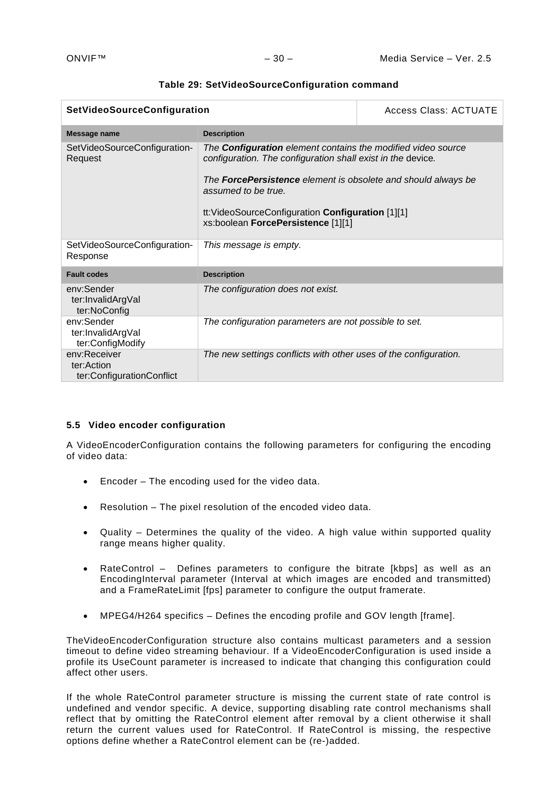| SetVideoSourceConfiguration                             |                                                                                                                                                                                                                                   | <b>Access Class: ACTUATE</b> |
|---------------------------------------------------------|-----------------------------------------------------------------------------------------------------------------------------------------------------------------------------------------------------------------------------------|------------------------------|
| Message name                                            | <b>Description</b>                                                                                                                                                                                                                |                              |
| SetVideoSourceConfiguration-<br>Request                 | The <b>Configuration</b> element contains the modified video source<br>configuration. The configuration shall exist in the device.<br>The <b>ForcePersistence</b> element is obsolete and should always be<br>assumed to be true. |                              |
|                                                         | tt: VideoSourceConfiguration Configuration [1][1]<br>xs:boolean ForcePersistence [1][1]                                                                                                                                           |                              |
| SetVideoSourceConfiguration-<br>Response                | This message is empty.                                                                                                                                                                                                            |                              |
| <b>Fault codes</b>                                      | <b>Description</b>                                                                                                                                                                                                                |                              |
| env:Sender<br>ter:InvalidArgVal<br>ter:NoConfig         | The configuration does not exist.                                                                                                                                                                                                 |                              |
| env:Sender<br>ter:InvalidArgVal<br>ter:ConfigModify     | The configuration parameters are not possible to set.                                                                                                                                                                             |                              |
| env:Receiver<br>ter:Action<br>ter:ConfigurationConflict | The new settings conflicts with other uses of the configuration.                                                                                                                                                                  |                              |

#### **Table 29: SetVideoSourceConfiguration command**

## <span id="page-29-0"></span>**5.5 Video encoder configuration**

A VideoEncoderConfiguration contains the following parameters for configuring the encoding of video data:

- Encoder The encoding used for the video data.
- Resolution The pixel resolution of the encoded video data.
- Quality Determines the quality of the video. A high value within supported quality range means higher quality.
- RateControl Defines parameters to configure the bitrate [kbps] as well as an EncodingInterval parameter (Interval at which images are encoded and transmitted) and a FrameRateLimit [fps] parameter to configure the output framerate.
- MPEG4/H264 specifics Defines the encoding profile and GOV length [frame].

TheVideoEncoderConfiguration structure also contains multicast parameters and a session timeout to define video streaming behaviour. If a VideoEncoderConfiguration is used inside a profile its UseCount parameter is increased to indicate that changing this configuration could affect other users.

If the whole RateControl parameter structure is missing the current state of rate control is undefined and vendor specific. A device, supporting disabling rate control mechanisms shall reflect that by omitting the RateControl element after removal by a client otherwise it shall return the current values used for RateControl. If RateControl is missing, the respective options define whether a RateControl element can be (re-)added.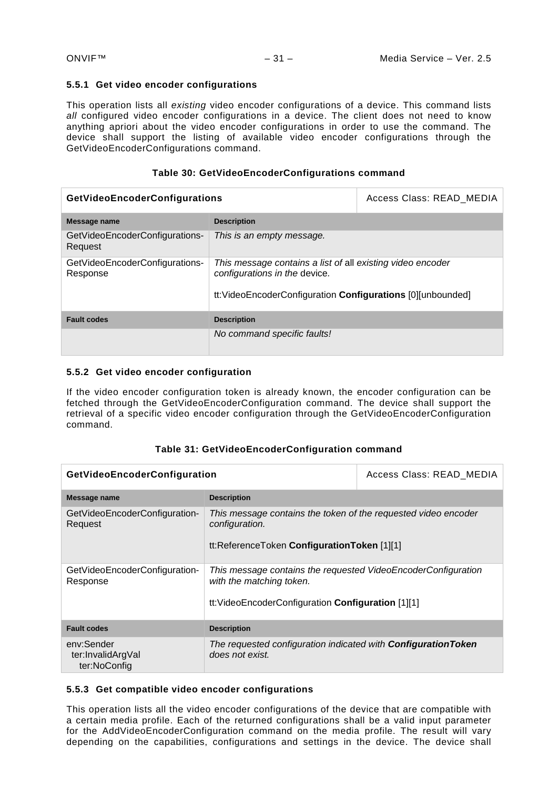#### <span id="page-30-0"></span>**5.5.1 Get video encoder configurations**

This operation lists all *existing* video encoder configurations of a device. This command lists *all* configured video encoder configurations in a device. The client does not need to know anything apriori about the video encoder configurations in order to use the command. The device shall support the listing of available video encoder configurations through the GetVideoEncoderConfigurations command.

#### **Table 30: GetVideoEncoderConfigurations command**

| <b>GetVideoEncoderConfigurations</b>       |                                                                                                                                                            | Access Class: READ MEDIA |
|--------------------------------------------|------------------------------------------------------------------------------------------------------------------------------------------------------------|--------------------------|
| Message name                               | <b>Description</b>                                                                                                                                         |                          |
| GetVideoEncoderConfigurations-<br>Request  | This is an empty message.                                                                                                                                  |                          |
| GetVideoEncoderConfigurations-<br>Response | This message contains a list of all existing video encoder<br>configurations in the device.<br>tt: VideoEncoderConfiguration Configurations [0][unbounded] |                          |
| <b>Fault codes</b>                         | <b>Description</b>                                                                                                                                         |                          |
|                                            | No command specific faults!                                                                                                                                |                          |

#### <span id="page-30-1"></span>**5.5.2 Get video encoder configuration**

If the video encoder configuration token is already known, the encoder configuration can be fetched through the GetVideoEncoderConfiguration command. The device shall support the retrieval of a specific video encoder configuration through the GetVideoEncoderConfiguration command.

## **Table 31: GetVideoEncoderConfiguration command**

| GetVideoEncoderConfiguration                    |                                                                                                                                                 | Access Class: READ MEDIA |
|-------------------------------------------------|-------------------------------------------------------------------------------------------------------------------------------------------------|--------------------------|
| Message name                                    | <b>Description</b>                                                                                                                              |                          |
| GetVideoEncoderConfiguration-<br>Request        | This message contains the token of the requested video encoder<br>configuration.<br>tt:ReferenceToken ConfigurationToken [1][1]                 |                          |
| GetVideoEncoderConfiguration-<br>Response       | This message contains the requested VideoEncoderConfiguration<br>with the matching token.<br>tt: VideoEncoderConfiguration Configuration [1][1] |                          |
| <b>Fault codes</b>                              | <b>Description</b>                                                                                                                              |                          |
| env:Sender<br>ter:InvalidArgVal<br>ter:NoConfig | The requested configuration indicated with <b>Configuration Token</b><br>does not exist.                                                        |                          |

#### <span id="page-30-2"></span>**5.5.3 Get compatible video encoder configurations**

This operation lists all the video encoder configurations of the device that are compatible with a certain media profile. Each of the returned configurations shall be a valid input parameter for the AddVideoEncoderConfiguration command on the media profile. The result will vary depending on the capabilities, configurations and settings in the device. The device shall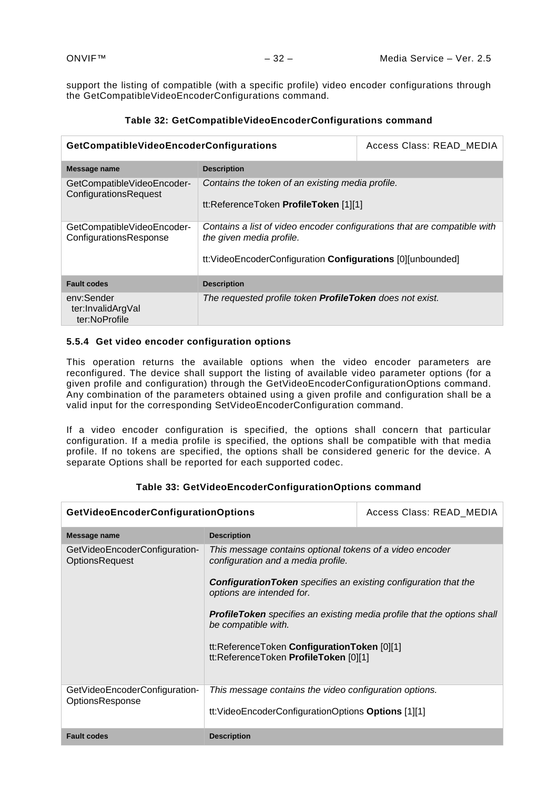support the listing of compatible (with a specific profile) video encoder configurations through the GetCompatibleVideoEncoderConfigurations command.

| GetCompatibleVideoEncoderConfigurations              |                                                                                                                                                                     | Access Class: READ MEDIA |
|------------------------------------------------------|---------------------------------------------------------------------------------------------------------------------------------------------------------------------|--------------------------|
| Message name                                         | <b>Description</b>                                                                                                                                                  |                          |
| GetCompatibleVideoEncoder-<br>ConfigurationsRequest  | Contains the token of an existing media profile.<br>tt:ReferenceToken ProfileToken [1][1]                                                                           |                          |
| GetCompatibleVideoEncoder-<br>ConfigurationsResponse | Contains a list of video encoder configurations that are compatible with<br>the given media profile.<br>tt: VideoEncoderConfiguration Configurations [0][unbounded] |                          |
| <b>Fault codes</b>                                   | <b>Description</b>                                                                                                                                                  |                          |
| env:Sender<br>ter:InvalidArgVal<br>ter:NoProfile     | The requested profile token <b>ProfileToken</b> does not exist.                                                                                                     |                          |

## **Table 32: GetCompatibleVideoEncoderConfigurations command**

#### <span id="page-31-0"></span>**5.5.4 Get video encoder configuration options**

This operation returns the available options when the video encoder parameters are reconfigured. The device shall support the listing of available video parameter options (for a given profile and configuration) through the GetVideoEncoderConfigurationOptions command. Any combination of the parameters obtained using a given profile and configuration shall be a valid input for the corresponding SetVideoEncoderConfiguration command.

If a video encoder configuration is specified, the options shall concern that particular configuration. If a media profile is specified, the options shall be compatible with that media profile. If no tokens are specified, the options shall be considered generic for the device. A separate Options shall be reported for each supported codec.

## **Table 33: GetVideoEncoderConfigurationOptions command**

| <b>GetVideoEncoderConfigurationOptions</b>              |                                                                                                                                                                                                                                                                                                                                                                                                        | Access Class: READ MEDIA |
|---------------------------------------------------------|--------------------------------------------------------------------------------------------------------------------------------------------------------------------------------------------------------------------------------------------------------------------------------------------------------------------------------------------------------------------------------------------------------|--------------------------|
| Message name                                            | <b>Description</b>                                                                                                                                                                                                                                                                                                                                                                                     |                          |
| GetVideoEncoderConfiguration-<br><b>OptionsRequest</b>  | This message contains optional tokens of a video encoder<br>configuration and a media profile.<br><b>ConfigurationToken</b> specifies an existing configuration that the<br>options are intended for.<br><b>ProfileToken</b> specifies an existing media profile that the options shall<br>be compatible with.<br>tt:ReferenceToken ConfigurationToken [0][1]<br>tt:ReferenceToken ProfileToken [0][1] |                          |
| GetVideoEncoderConfiguration-<br><b>OptionsResponse</b> | This message contains the video configuration options.<br>tt: VideoEncoderConfigurationOptions Options [1][1]                                                                                                                                                                                                                                                                                          |                          |
| <b>Fault codes</b>                                      | <b>Description</b>                                                                                                                                                                                                                                                                                                                                                                                     |                          |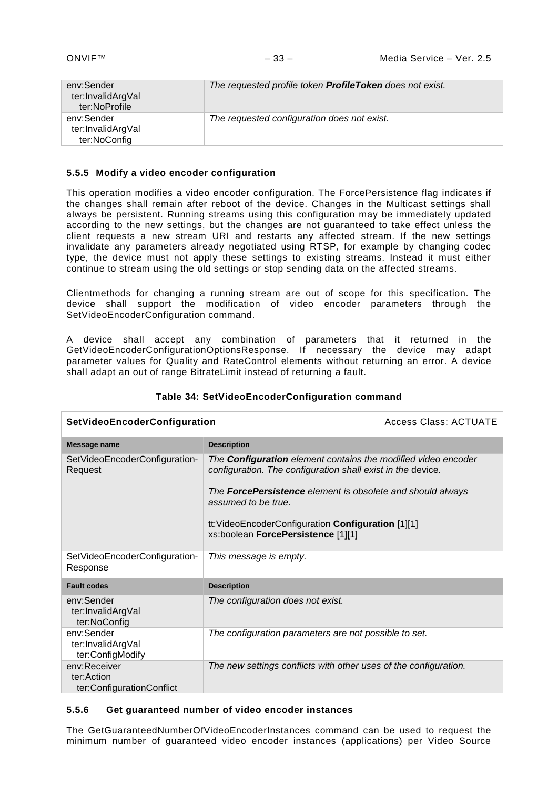| env:Sender<br>ter:InvalidArgVal<br>ter:NoProfile | The requested profile token ProfileToken does not exist. |
|--------------------------------------------------|----------------------------------------------------------|
| env:Sender<br>ter:InvalidArgVal<br>ter:NoConfig  | The requested configuration does not exist.              |

#### <span id="page-32-0"></span>**5.5.5 Modify a video encoder configuration**

This operation modifies a video encoder configuration. The ForcePersistence flag indicates if the changes shall remain after reboot of the device. Changes in the Multicast settings shall always be persistent. Running streams using this configuration may be immediately updated according to the new settings, but the changes are not guaranteed to take effect unless the client requests a new stream URI and restarts any affected stream. If the new settings invalidate any parameters already negotiated using RTSP, for example by changing codec type, the device must not apply these settings to existing streams. Instead it must either continue to stream using the old settings or stop sending data on the affected streams.

Clientmethods for changing a running stream are out of scope for this specification. The device shall support the modification of video encoder parameters through the SetVideoEncoderConfiguration command.

A device shall accept any combination of parameters that it returned in the GetVideoEncoderConfigurationOptionsResponse. If necessary the device may adapt parameter values for Quality and RateControl elements without returning an error. A device shall adapt an out of range BitrateLimit instead of returning a fault.

| SetVideoEncoderConfiguration                            |                                                                                                                                                                                                                                                                                                                             | <b>Access Class: ACTUATE</b> |
|---------------------------------------------------------|-----------------------------------------------------------------------------------------------------------------------------------------------------------------------------------------------------------------------------------------------------------------------------------------------------------------------------|------------------------------|
| Message name                                            | <b>Description</b>                                                                                                                                                                                                                                                                                                          |                              |
| SetVideoEncoderConfiguration-<br>Request                | The <b>Configuration</b> element contains the modified video encoder<br>configuration. The configuration shall exist in the device.<br>The <b>ForcePersistence</b> element is obsolete and should always<br>assumed to be true.<br>tt: VideoEncoderConfiguration Configuration [1][1]<br>xs:boolean ForcePersistence [1][1] |                              |
| SetVideoEncoderConfiguration-<br>Response               | This message is empty.                                                                                                                                                                                                                                                                                                      |                              |
| <b>Fault codes</b>                                      | <b>Description</b>                                                                                                                                                                                                                                                                                                          |                              |
| env:Sender<br>ter:InvalidArgVal<br>ter:NoConfig         | The configuration does not exist.                                                                                                                                                                                                                                                                                           |                              |
| env:Sender<br>ter:InvalidArgVal<br>ter:ConfigModify     | The configuration parameters are not possible to set.                                                                                                                                                                                                                                                                       |                              |
| env:Receiver<br>ter:Action<br>ter:ConfigurationConflict | The new settings conflicts with other uses of the configuration.                                                                                                                                                                                                                                                            |                              |

## **Table 34: SetVideoEncoderConfiguration command**

#### <span id="page-32-1"></span>**5.5.6 Get guaranteed number of video encoder instances**

The GetGuaranteedNumberOfVideoEncoderInstances command can be used to request the minimum number of guaranteed video encoder instances (applications) per Video Source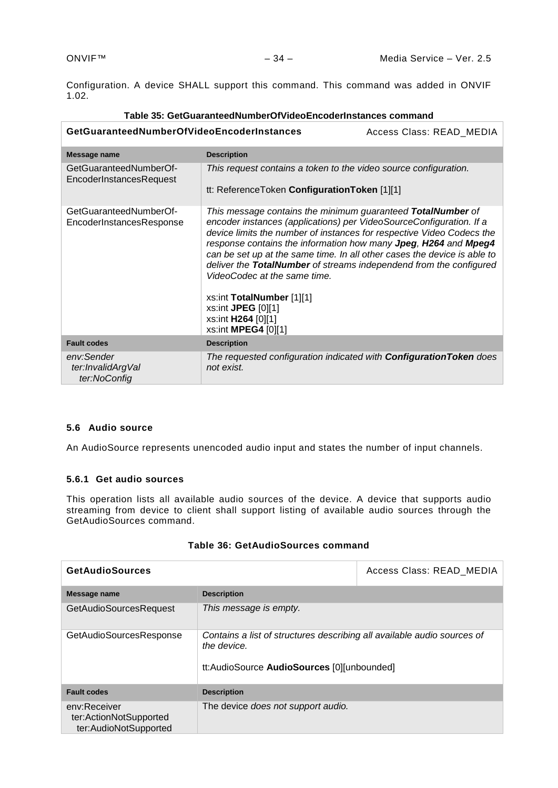Configuration. A device SHALL support this command. This command was added in ONVIF 1.02.

| GetGuaranteedNumberOfVideoEncoderInstances         | i apie JJ. OelOdaranteedi luhber Orvideo Liicoderii Stances conningild                                                                                                                                                                                                                                                                                                                                                                                                                                                                                           | Access Class: READ_MEDIA |
|----------------------------------------------------|------------------------------------------------------------------------------------------------------------------------------------------------------------------------------------------------------------------------------------------------------------------------------------------------------------------------------------------------------------------------------------------------------------------------------------------------------------------------------------------------------------------------------------------------------------------|--------------------------|
| Message name                                       | <b>Description</b>                                                                                                                                                                                                                                                                                                                                                                                                                                                                                                                                               |                          |
| GetGuaranteedNumberOf-<br>EncoderInstancesRequest  | This request contains a token to the video source configuration.<br>tt: ReferenceToken ConfigurationToken [1][1]                                                                                                                                                                                                                                                                                                                                                                                                                                                 |                          |
| GetGuaranteedNumberOf-<br>EncoderInstancesResponse | This message contains the minimum guaranteed TotalNumber of<br>encoder instances (applications) per VideoSourceConfiguration. If a<br>device limits the number of instances for respective Video Codecs the<br>response contains the information how many Jpeg, H264 and Mpeg4<br>can be set up at the same time. In all other cases the device is able to<br>deliver the TotalNumber of streams independend from the configured<br>VideoCodec at the same time.<br>xs:int TotalNumber [1][1]<br>xs:int JPEG [0][1]<br>xs:int H264 [0][1]<br>xs:int MPEG4 [0][1] |                          |
| <b>Fault codes</b>                                 | <b>Description</b>                                                                                                                                                                                                                                                                                                                                                                                                                                                                                                                                               |                          |
| env:Sender<br>ter:InvalidArgVal<br>ter:NoConfig    | The requested configuration indicated with <b>Configuration Token</b> does<br>not exist.                                                                                                                                                                                                                                                                                                                                                                                                                                                                         |                          |

## **Table 35: GetGuaranteedNumberOfVideoEncoderInstances command**

## <span id="page-33-0"></span>**5.6 Audio source**

An AudioSource represents unencoded audio input and states the number of input channels.

#### <span id="page-33-1"></span>**5.6.1 Get audio sources**

This operation lists all available audio sources of the device. A device that supports audio streaming from device to client shall support listing of available audio sources through the GetAudioSources command.

| <b>GetAudioSources</b>                                          |                                                                                                                                      | Access Class: READ MEDIA |
|-----------------------------------------------------------------|--------------------------------------------------------------------------------------------------------------------------------------|--------------------------|
| Message name                                                    | <b>Description</b>                                                                                                                   |                          |
| <b>GetAudioSourcesRequest</b>                                   | This message is empty.                                                                                                               |                          |
| GetAudioSourcesResponse                                         | Contains a list of structures describing all available audio sources of<br>the device.<br>tt:AudioSource AudioSources [0][unbounded] |                          |
| <b>Fault codes</b>                                              | <b>Description</b>                                                                                                                   |                          |
| env:Receiver<br>ter:ActionNotSupported<br>ter:AudioNotSupported | The device does not support audio.                                                                                                   |                          |

#### **Table 36: GetAudioSources command**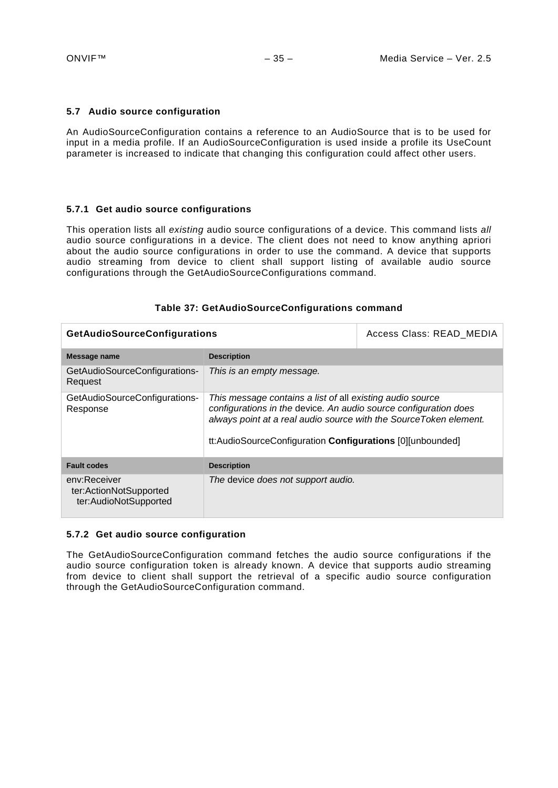#### <span id="page-34-0"></span>**5.7 Audio source configuration**

An AudioSourceConfiguration contains a reference to an AudioSource that is to be used for input in a media profile. If an AudioSourceConfiguration is used inside a profile its UseCount parameter is increased to indicate that changing this configuration could affect other users.

#### <span id="page-34-1"></span>**5.7.1 Get audio source configurations**

This operation lists all *existing* audio source configurations of a device. This command lists *all*  audio source configurations in a device. The client does not need to know anything apriori about the audio source configurations in order to use the command. A device that supports audio streaming from device to client shall support listing of available audio source configurations through the GetAudioSourceConfigurations command.

| <b>GetAudioSourceConfigurations</b>                             |                                                                                                                                                                                                                                                                  | Access Class: READ MEDIA |
|-----------------------------------------------------------------|------------------------------------------------------------------------------------------------------------------------------------------------------------------------------------------------------------------------------------------------------------------|--------------------------|
| Message name                                                    | <b>Description</b>                                                                                                                                                                                                                                               |                          |
| GetAudioSourceConfigurations-<br>Request                        | This is an empty message.                                                                                                                                                                                                                                        |                          |
| GetAudioSourceConfigurations-<br>Response                       | This message contains a list of all existing audio source<br>configurations in the device. An audio source configuration does<br>always point at a real audio source with the Source Token element.<br>tt:AudioSourceConfiguration Configurations [0][unbounded] |                          |
| <b>Fault codes</b>                                              | <b>Description</b>                                                                                                                                                                                                                                               |                          |
| env:Receiver<br>ter:ActionNotSupported<br>ter:AudioNotSupported | The device does not support audio.                                                                                                                                                                                                                               |                          |

#### **Table 37: GetAudioSourceConfigurations command**

#### <span id="page-34-2"></span>**5.7.2 Get audio source configuration**

The GetAudioSourceConfiguration command fetches the audio source configurations if the audio source configuration token is already known. A device that supports audio streaming from device to client shall support the retrieval of a specific audio source configuration through the GetAudioSourceConfiguration command.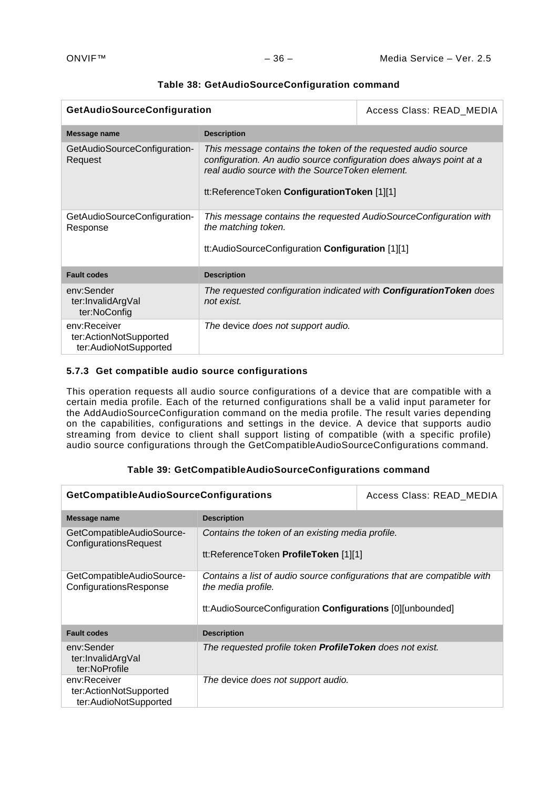| <b>GetAudioSourceConfiguration</b>                              |                                                                                                                                                                                                                                         | Access Class: READ MEDIA |
|-----------------------------------------------------------------|-----------------------------------------------------------------------------------------------------------------------------------------------------------------------------------------------------------------------------------------|--------------------------|
| Message name                                                    | <b>Description</b>                                                                                                                                                                                                                      |                          |
| GetAudioSourceConfiguration-<br>Request                         | This message contains the token of the requested audio source<br>configuration. An audio source configuration does always point at a<br>real audio source with the Source Token element.<br>tt:ReferenceToken ConfigurationToken [1][1] |                          |
| GetAudioSourceConfiguration-<br>Response                        | This message contains the requested AudioSourceConfiguration with<br>the matching token.<br>tt:AudioSourceConfiguration Configuration [1][1]                                                                                            |                          |
| <b>Fault codes</b>                                              | <b>Description</b>                                                                                                                                                                                                                      |                          |
| env:Sender<br>ter:InvalidArgVal<br>ter:NoConfig                 | The requested configuration indicated with <b>Configuration Token</b> does<br>not exist.                                                                                                                                                |                          |
| env:Receiver<br>ter:ActionNotSupported<br>ter:AudioNotSupported | The device does not support audio.                                                                                                                                                                                                      |                          |

## **Table 38: GetAudioSourceConfiguration command**

## <span id="page-35-0"></span>**5.7.3 Get compatible audio source configurations**

This operation requests all audio source configurations of a device that are compatible with a certain media profile. Each of the returned configurations shall be a valid input parameter for the AddAudioSourceConfiguration command on the media profile. The result varies depending on the capabilities, configurations and settings in the device. A device that supports audio streaming from device to client shall support listing of compatible (with a specific profile) audio source configurations through the GetCompatibleAudioSourceConfigurations command.

| <b>GetCompatibleAudioSourceConfigurations</b>                   |                                                                                                                                                            | Access Class: READ MEDIA |
|-----------------------------------------------------------------|------------------------------------------------------------------------------------------------------------------------------------------------------------|--------------------------|
| Message name                                                    | <b>Description</b>                                                                                                                                         |                          |
| GetCompatibleAudioSource-<br>ConfigurationsRequest              | Contains the token of an existing media profile.<br>tt:ReferenceToken ProfileToken [1][1]                                                                  |                          |
| GetCompatibleAudioSource-<br>ConfigurationsResponse             | Contains a list of audio source configurations that are compatible with<br>the media profile.<br>tt:AudioSourceConfiguration Configurations [0][unbounded] |                          |
| <b>Fault codes</b>                                              | <b>Description</b>                                                                                                                                         |                          |
| env:Sender<br>ter:InvalidArgVal<br>ter:NoProfile                | The requested profile token <b>ProfileToken</b> does not exist.                                                                                            |                          |
| env:Receiver<br>ter:ActionNotSupported<br>ter:AudioNotSupported | The device does not support audio.                                                                                                                         |                          |

## **Table 39: GetCompatibleAudioSourceConfigurations command**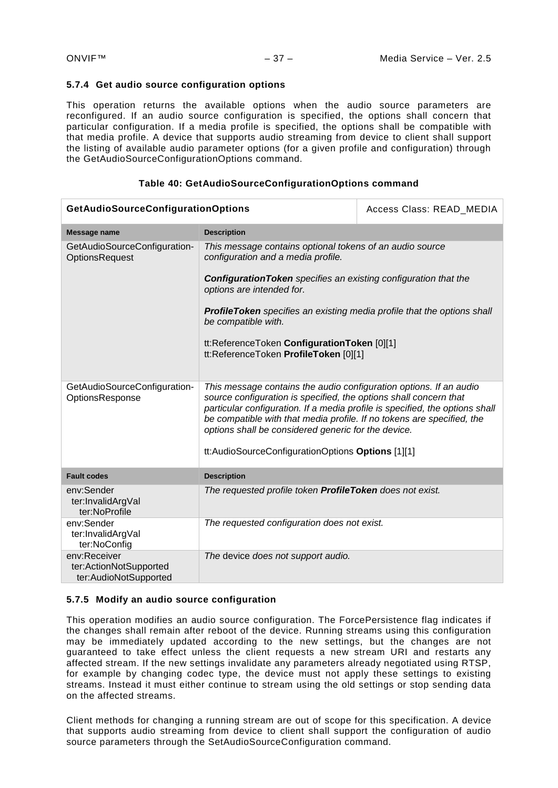### **5.7.4 Get audio source configuration options**

This operation returns the available options when the audio source parameters are reconfigured. If an audio source configuration is specified, the options shall concern that particular configuration. If a media profile is specified, the options shall be compatible with that media profile. A device that supports audio streaming from device to client shall support the listing of available audio parameter options (for a given profile and configuration) through the GetAudioSourceConfigurationOptions command.

| <b>GetAudioSourceConfigurationOptions</b>                       |                                                                                                                                                                                                                                                                                                                                                                                                               | Access Class: READ_MEDIA |
|-----------------------------------------------------------------|---------------------------------------------------------------------------------------------------------------------------------------------------------------------------------------------------------------------------------------------------------------------------------------------------------------------------------------------------------------------------------------------------------------|--------------------------|
| Message name                                                    | <b>Description</b>                                                                                                                                                                                                                                                                                                                                                                                            |                          |
| GetAudioSourceConfiguration-<br><b>OptionsRequest</b>           | This message contains optional tokens of an audio source<br>configuration and a media profile.<br><b>ConfigurationToken</b> specifies an existing configuration that the<br>options are intended for.<br><b>ProfileToken</b> specifies an existing media profile that the options shall<br>be compatible with.<br>tt:ReferenceToken ConfigurationToken [0][1]<br>tt:ReferenceToken ProfileToken [0][1]        |                          |
| GetAudioSourceConfiguration-<br>OptionsResponse                 | This message contains the audio configuration options. If an audio<br>source configuration is specified, the options shall concern that<br>particular configuration. If a media profile is specified, the options shall<br>be compatible with that media profile. If no tokens are specified, the<br>options shall be considered generic for the device.<br>tt:AudioSourceConfigurationOptions Options [1][1] |                          |
| <b>Fault codes</b>                                              | <b>Description</b>                                                                                                                                                                                                                                                                                                                                                                                            |                          |
| env:Sender<br>ter:InvalidArgVal<br>ter:NoProfile                | The requested profile token ProfileToken does not exist.                                                                                                                                                                                                                                                                                                                                                      |                          |
| env:Sender<br>ter:InvalidArgVal<br>ter:NoConfig                 | The requested configuration does not exist.                                                                                                                                                                                                                                                                                                                                                                   |                          |
| env:Receiver<br>ter:ActionNotSupported<br>ter:AudioNotSupported | The device does not support audio.                                                                                                                                                                                                                                                                                                                                                                            |                          |

### **Table 40: GetAudioSourceConfigurationOptions command**

## **5.7.5 Modify an audio source configuration**

This operation modifies an audio source configuration. The ForcePersistence flag indicates if the changes shall remain after reboot of the device. Running streams using this configuration may be immediately updated according to the new settings, but the changes are not guaranteed to take effect unless the client requests a new stream URI and restarts any affected stream. If the new settings invalidate any parameters already negotiated using RTSP, for example by changing codec type, the device must not apply these settings to existing streams. Instead it must either continue to stream using the old settings or stop sending data on the affected streams.

Client methods for changing a running stream are out of scope for this specification. A device that supports audio streaming from device to client shall support the configuration of audio source parameters through the SetAudioSourceConfiguration command.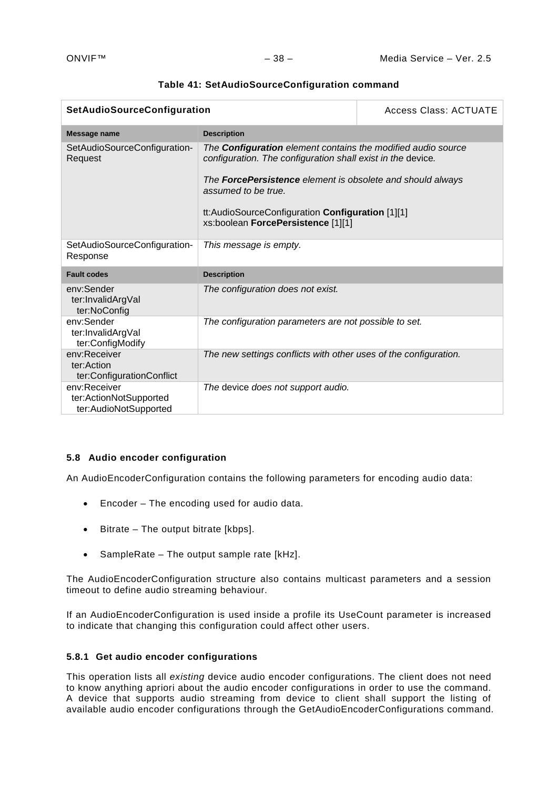| <b>SetAudioSourceConfiguration</b>                              |                                                                                                                                                                                                                                                                                                                          | Access Class: ACTUATE |
|-----------------------------------------------------------------|--------------------------------------------------------------------------------------------------------------------------------------------------------------------------------------------------------------------------------------------------------------------------------------------------------------------------|-----------------------|
| Message name                                                    | <b>Description</b>                                                                                                                                                                                                                                                                                                       |                       |
| SetAudioSourceConfiguration-<br>Request                         | The <b>Configuration</b> element contains the modified audio source<br>configuration. The configuration shall exist in the device.<br>The <b>ForcePersistence</b> element is obsolete and should always<br>assumed to be true.<br>tt:AudioSourceConfiguration Configuration [1][1]<br>xs:boolean ForcePersistence [1][1] |                       |
| SetAudioSourceConfiguration-<br>Response                        | This message is empty.                                                                                                                                                                                                                                                                                                   |                       |
| <b>Fault codes</b>                                              | <b>Description</b>                                                                                                                                                                                                                                                                                                       |                       |
| env:Sender<br>ter:InvalidArgVal<br>ter:NoConfig                 | The configuration does not exist.                                                                                                                                                                                                                                                                                        |                       |
| env:Sender<br>ter:InvalidArgVal<br>ter:ConfigModify             | The configuration parameters are not possible to set.                                                                                                                                                                                                                                                                    |                       |
| env:Receiver<br>ter:Action<br>ter:ConfigurationConflict         | The new settings conflicts with other uses of the configuration.                                                                                                                                                                                                                                                         |                       |
| env:Receiver<br>ter:ActionNotSupported<br>ter:AudioNotSupported | The device does not support audio.                                                                                                                                                                                                                                                                                       |                       |

## **Table 41: SetAudioSourceConfiguration command**

## **5.8 Audio encoder configuration**

An AudioEncoderConfiguration contains the following parameters for encoding audio data:

- Encoder The encoding used for audio data.
- Bitrate The output bitrate [kbps].
- SampleRate The output sample rate [kHz].

The AudioEncoderConfiguration structure also contains multicast parameters and a session timeout to define audio streaming behaviour.

If an AudioEncoderConfiguration is used inside a profile its UseCount parameter is increased to indicate that changing this configuration could affect other users.

### **5.8.1 Get audio encoder configurations**

This operation lists all *existing* device audio encoder configurations. The client does not need to know anything apriori about the audio encoder configurations in order to use the command. A device that supports audio streaming from device to client shall support the listing of available audio encoder configurations through the GetAudioEncoderConfigurations command.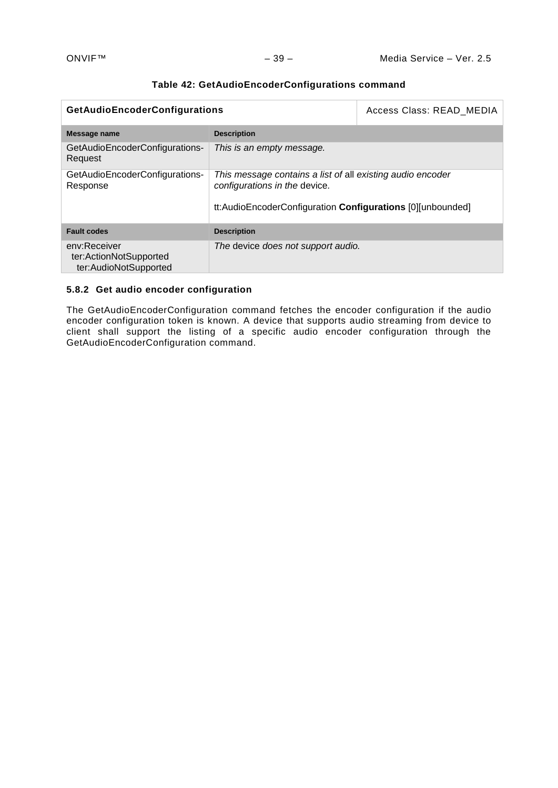| <b>GetAudioEncoderConfigurations</b>                            |                                                                                             | Access Class: READ MEDIA |
|-----------------------------------------------------------------|---------------------------------------------------------------------------------------------|--------------------------|
| Message name                                                    | <b>Description</b>                                                                          |                          |
| GetAudioEncoderConfigurations-<br>Request                       | This is an empty message.                                                                   |                          |
| GetAudioEncoderConfigurations-<br>Response                      | This message contains a list of all existing audio encoder<br>configurations in the device. |                          |
|                                                                 | tt:AudioEncoderConfiguration Configurations [0][unbounded]                                  |                          |
| <b>Fault codes</b>                                              | <b>Description</b>                                                                          |                          |
| env:Receiver<br>ter:ActionNotSupported<br>ter:AudioNotSupported | The device does not support audio.                                                          |                          |

## **Table 42: GetAudioEncoderConfigurations command**

## **5.8.2 Get audio encoder configuration**

The GetAudioEncoderConfiguration command fetches the encoder configuration if the audio encoder configuration token is known. A device that supports audio streaming from device to client shall support the listing of a specific audio encoder configuration through the GetAudioEncoderConfiguration command.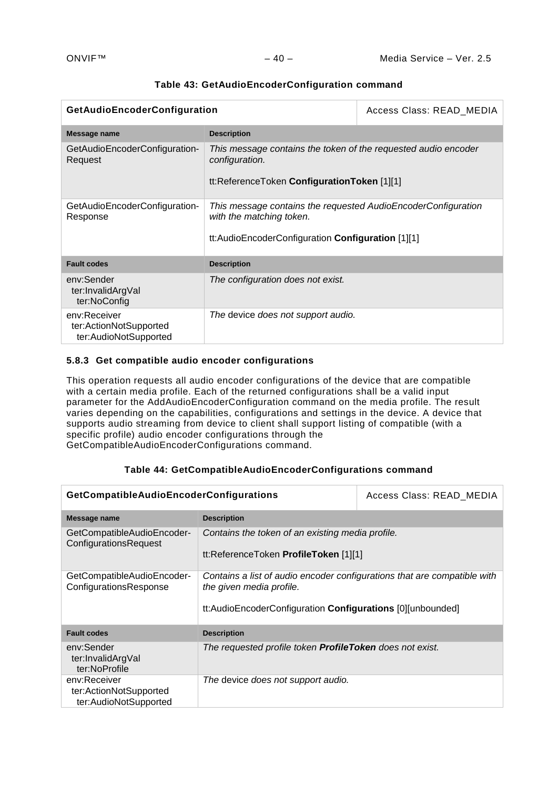| GetAudioEncoderConfiguration                                    |                                                                                                                                                | Access Class: READ_MEDIA |
|-----------------------------------------------------------------|------------------------------------------------------------------------------------------------------------------------------------------------|--------------------------|
| Message name                                                    | <b>Description</b>                                                                                                                             |                          |
| GetAudioEncoderConfiguration-<br>Request                        | This message contains the token of the requested audio encoder<br>configuration.<br>tt:ReferenceToken ConfigurationToken [1][1]                |                          |
| GetAudioEncoderConfiguration-<br>Response                       | This message contains the requested AudioEncoderConfiguration<br>with the matching token.<br>tt:AudioEncoderConfiguration Configuration [1][1] |                          |
| <b>Fault codes</b>                                              | <b>Description</b>                                                                                                                             |                          |
| env:Sender<br>ter:InvalidArgVal<br>ter:NoConfig                 | The configuration does not exist.                                                                                                              |                          |
| env:Receiver<br>ter:ActionNotSupported<br>ter:AudioNotSupported | The device does not support audio.                                                                                                             |                          |

## **Table 43: GetAudioEncoderConfiguration command**

## **5.8.3 Get compatible audio encoder configurations**

This operation requests all audio encoder configurations of the device that are compatible with a certain media profile. Each of the returned configurations shall be a valid input parameter for the AddAudioEncoderConfiguration command on the media profile. The result varies depending on the capabilities, configurations and settings in the device. A device that supports audio streaming from device to client shall support listing of compatible (with a specific profile) audio encoder configurations through the GetCompatibleAudioEncoderConfigurations command.

| Table 44: GetCompatibleAudioEncoderConfigurations command |  |
|-----------------------------------------------------------|--|
|-----------------------------------------------------------|--|

| <b>GetCompatibleAudioEncoderConfigurations</b>                  |                                                                                                                                                                    | Access Class: READ_MEDIA |
|-----------------------------------------------------------------|--------------------------------------------------------------------------------------------------------------------------------------------------------------------|--------------------------|
| Message name                                                    | <b>Description</b>                                                                                                                                                 |                          |
| GetCompatibleAudioEncoder-<br>ConfigurationsRequest             | Contains the token of an existing media profile.<br>tt:ReferenceToken ProfileToken [1][1]                                                                          |                          |
| GetCompatibleAudioEncoder-<br>ConfigurationsResponse            | Contains a list of audio encoder configurations that are compatible with<br>the given media profile.<br>tt:AudioEncoderConfiguration Configurations [0][unbounded] |                          |
| <b>Fault codes</b>                                              | <b>Description</b>                                                                                                                                                 |                          |
| env:Sender<br>ter:InvalidArgVal<br>ter:NoProfile                | The requested profile token <b>ProfileToken</b> does not exist.                                                                                                    |                          |
| env:Receiver<br>ter:ActionNotSupported<br>ter:AudioNotSupported | The device does not support audio.                                                                                                                                 |                          |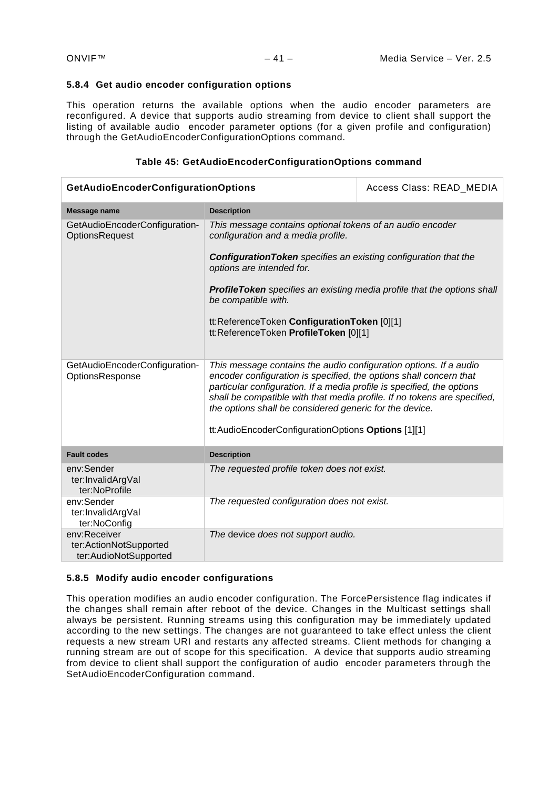### **5.8.4 Get audio encoder configuration options**

This operation returns the available options when the audio encoder parameters are reconfigured. A device that supports audio streaming from device to client shall support the listing of available audio encoder parameter options (for a given profile and configuration) through the GetAudioEncoderConfigurationOptions command.

## **Table 45: GetAudioEncoderConfigurationOptions command**

| <b>GetAudioEncoderConfigurationOptions</b>                      |                                                                                                                                                                                                                                                                                                                                                                                                                | Access Class: READ_MEDIA |
|-----------------------------------------------------------------|----------------------------------------------------------------------------------------------------------------------------------------------------------------------------------------------------------------------------------------------------------------------------------------------------------------------------------------------------------------------------------------------------------------|--------------------------|
| <b>Message name</b>                                             | <b>Description</b>                                                                                                                                                                                                                                                                                                                                                                                             |                          |
| GetAudioEncoderConfiguration-<br><b>OptionsRequest</b>          | This message contains optional tokens of an audio encoder<br>configuration and a media profile.<br><b>Configuration Token</b> specifies an existing configuration that the<br>options are intended for.<br><b>ProfileToken</b> specifies an existing media profile that the options shall<br>be compatible with.<br>tt:ReferenceToken ConfigurationToken [0][1]<br>tt:ReferenceToken ProfileToken [0][1]       |                          |
| GetAudioEncoderConfiguration-<br>OptionsResponse                | This message contains the audio configuration options. If a audio<br>encoder configuration is specified, the options shall concern that<br>particular configuration. If a media profile is specified, the options<br>shall be compatible with that media profile. If no tokens are specified,<br>the options shall be considered generic for the device.<br>tt:AudioEncoderConfigurationOptions Options [1][1] |                          |
| <b>Fault codes</b>                                              | <b>Description</b>                                                                                                                                                                                                                                                                                                                                                                                             |                          |
| env:Sender<br>ter:InvalidArgVal<br>ter:NoProfile                | The requested profile token does not exist.                                                                                                                                                                                                                                                                                                                                                                    |                          |
| env:Sender<br>ter:InvalidArgVal<br>ter:NoConfig                 | The requested configuration does not exist.                                                                                                                                                                                                                                                                                                                                                                    |                          |
| env:Receiver<br>ter:ActionNotSupported<br>ter:AudioNotSupported | The device does not support audio.                                                                                                                                                                                                                                                                                                                                                                             |                          |

### **5.8.5 Modify audio encoder configurations**

This operation modifies an audio encoder configuration. The ForcePersistence flag indicates if the changes shall remain after reboot of the device. Changes in the Multicast settings shall always be persistent. Running streams using this configuration may be immediately updated according to the new settings. The changes are not guaranteed to take effect unless the client requests a new stream URI and restarts any affected streams. Client methods for changing a running stream are out of scope for this specification. A device that supports audio streaming from device to client shall support the configuration of audio encoder parameters through the SetAudioEncoderConfiguration command.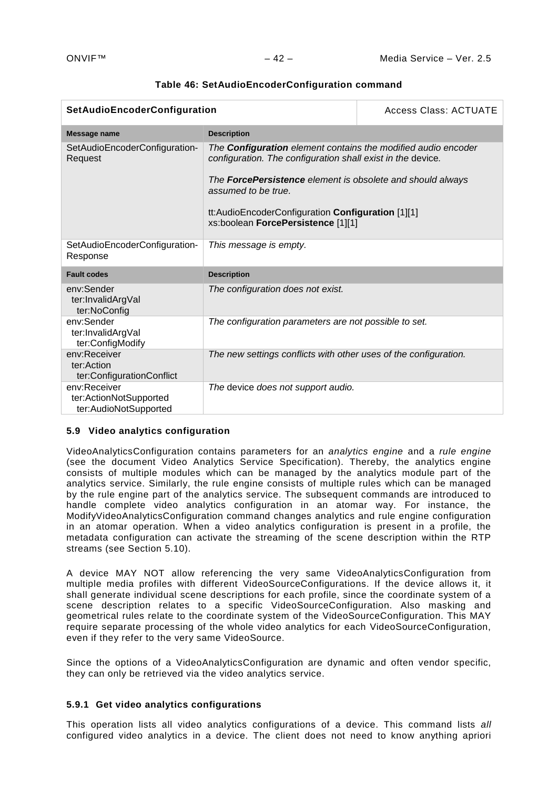| SetAudioEncoderConfiguration                                    |                                                                                                                                                                                                          | <b>Access Class: ACTUATE</b> |
|-----------------------------------------------------------------|----------------------------------------------------------------------------------------------------------------------------------------------------------------------------------------------------------|------------------------------|
| Message name                                                    | <b>Description</b>                                                                                                                                                                                       |                              |
| SetAudioEncoderConfiguration-<br>Request                        | The <b>Configuration</b> element contains the modified audio encoder<br>configuration. The configuration shall exist in the device.<br>The <b>ForcePersistence</b> element is obsolete and should always |                              |
|                                                                 | assumed to be true.<br>tt:AudioEncoderConfiguration Configuration [1][1]<br>xs:boolean ForcePersistence [1][1]                                                                                           |                              |
| SetAudioEncoderConfiguration-<br>Response                       | This message is empty.                                                                                                                                                                                   |                              |
| <b>Fault codes</b>                                              | <b>Description</b>                                                                                                                                                                                       |                              |
| env:Sender<br>ter:InvalidArgVal<br>ter:NoConfig                 | The configuration does not exist.                                                                                                                                                                        |                              |
| env:Sender<br>ter:InvalidArgVal<br>ter:ConfigModify             | The configuration parameters are not possible to set.                                                                                                                                                    |                              |
| env:Receiver<br>ter:Action<br>ter:ConfigurationConflict         | The new settings conflicts with other uses of the configuration.                                                                                                                                         |                              |
| env:Receiver<br>ter:ActionNotSupported<br>ter:AudioNotSupported | The device does not support audio.                                                                                                                                                                       |                              |

## **Table 46: SetAudioEncoderConfiguration command**

## <span id="page-41-0"></span>**5.9 Video analytics configuration**

VideoAnalyticsConfiguration contains parameters for an *analytics engine* and a *rule engine*  (see the document Video Analytics Service Specification). Thereby, the analytics engine consists of multiple modules which can be managed by the analytics module part of the analytics service. Similarly, the rule engine consists of multiple rules which can be managed by the rule engine part of the analytics service. The subsequent commands are introduced to handle complete video analytics configuration in an atomar way. For instance, the ModifyVideoAnalyticsConfiguration command changes analytics and rule engine configuration in an atomar operation. When a video analytics configuration is present in a profile, the metadata configuration can activate the streaming of the scene description within the RTP streams (see Section [5.10\)](#page-44-0).

A device MAY NOT allow referencing the very same VideoAnalyticsConfiguration from multiple media profiles with different VideoSourceConfigurations. If the device allows it, it shall generate individual scene descriptions for each profile, since the coordinate system of a scene description relates to a specific VideoSourceConfiguration. Also masking and geometrical rules relate to the coordinate system of the VideoSourceConfiguration. This MAY require separate processing of the whole video analytics for each VideoSourceConfiguration, even if they refer to the very same VideoSource.

Since the options of a VideoAnalyticsConfiguration are dynamic and often vendor specific, they can only be retrieved via the video analytics service.

## **5.9.1 Get video analytics configurations**

This operation lists all video analytics configurations of a device. This command lists *all*  configured video analytics in a device. The client does not need to know anything apriori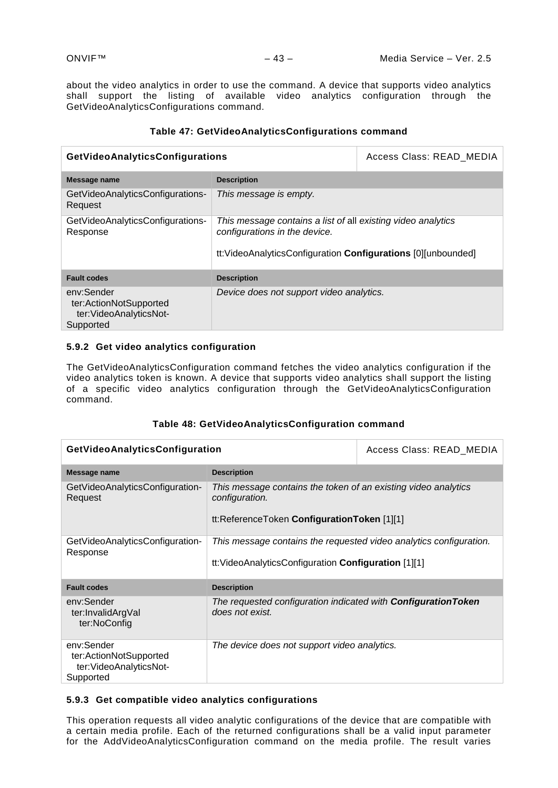about the video analytics in order to use the command. A device that supports video analytics shall support the listing of available video analytics configuration through the GetVideoAnalyticsConfigurations command.

| <b>GetVideoAnalyticsConfigurations</b>                                      |                                                                                                                                                                | Access Class: READ MEDIA |
|-----------------------------------------------------------------------------|----------------------------------------------------------------------------------------------------------------------------------------------------------------|--------------------------|
| Message name                                                                | <b>Description</b>                                                                                                                                             |                          |
| GetVideoAnalyticsConfigurations-<br>Request                                 | This message is empty.                                                                                                                                         |                          |
| GetVideoAnalyticsConfigurations-<br>Response                                | This message contains a list of all existing video analytics<br>configurations in the device.<br>tt: VideoAnalyticsConfiguration Configurations [0][unbounded] |                          |
| <b>Fault codes</b>                                                          | <b>Description</b>                                                                                                                                             |                          |
| env:Sender<br>ter:ActionNotSupported<br>ter:VideoAnalyticsNot-<br>Supported | Device does not support video analytics.                                                                                                                       |                          |

## **Table 47: GetVideoAnalyticsConfigurations command**

### **5.9.2 Get video analytics configuration**

The GetVideoAnalyticsConfiguration command fetches the video analytics configuration if the video analytics token is known. A device that supports video analytics shall support the listing of a specific video analytics configuration through the GetVideoAnalyticsConfiguration command.

## **Table 48: GetVideoAnalyticsConfiguration command**

| GetVideoAnalyticsConfiguration                                              |                                                                                                                                 | Access Class: READ_MEDIA |
|-----------------------------------------------------------------------------|---------------------------------------------------------------------------------------------------------------------------------|--------------------------|
| Message name                                                                | <b>Description</b>                                                                                                              |                          |
| GetVideoAnalyticsConfiguration-<br>Request                                  | This message contains the token of an existing video analytics<br>configuration.<br>tt:ReferenceToken ConfigurationToken [1][1] |                          |
| GetVideoAnalyticsConfiguration-<br>Response                                 | This message contains the requested video analytics configuration.<br>tt: VideoAnalyticsConfiguration Configuration [1][1]      |                          |
| <b>Fault codes</b>                                                          | <b>Description</b>                                                                                                              |                          |
| env:Sender<br>ter:InvalidArgVal<br>ter:NoConfig                             | The requested configuration indicated with Configuration Token<br>does not exist.                                               |                          |
| env:Sender<br>ter:ActionNotSupported<br>ter:VideoAnalyticsNot-<br>Supported | The device does not support video analytics.                                                                                    |                          |

### **5.9.3 Get compatible video analytics configurations**

This operation requests all video analytic configurations of the device that are compatible with a certain media profile. Each of the returned configurations shall be a valid input parameter for the AddVideoAnalyticsConfiguration command on the media profile. The result varies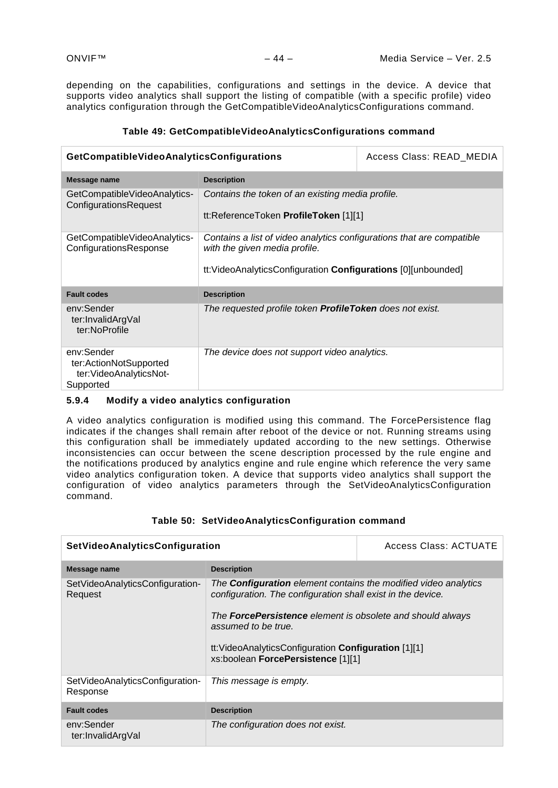depending on the capabilities, configurations and settings in the device. A device that supports video analytics shall support the listing of compatible (with a specific profile) video analytics configuration through the GetCompatibleVideoAnalyticsConfigurations command.

| GetCompatibleVideoAnalyticsConfigurations                                   |                                                                                                                                                                         | Access Class: READ_MEDIA |
|-----------------------------------------------------------------------------|-------------------------------------------------------------------------------------------------------------------------------------------------------------------------|--------------------------|
| Message name                                                                | <b>Description</b>                                                                                                                                                      |                          |
| GetCompatibleVideoAnalytics-<br>ConfigurationsRequest                       | Contains the token of an existing media profile.<br>tt:ReferenceToken ProfileToken [1][1]                                                                               |                          |
| GetCompatibleVideoAnalytics-<br>ConfigurationsResponse                      | Contains a list of video analytics configurations that are compatible<br>with the given media profile.<br>tt: VideoAnalyticsConfiguration Configurations [0][unbounded] |                          |
| <b>Fault codes</b>                                                          | <b>Description</b>                                                                                                                                                      |                          |
| env:Sender<br>ter:InvalidArgVal<br>ter:NoProfile                            | The requested profile token <b>ProfileToken</b> does not exist.                                                                                                         |                          |
| env:Sender<br>ter:ActionNotSupported<br>ter:VideoAnalyticsNot-<br>Supported | The device does not support video analytics.                                                                                                                            |                          |

## **Table 49: GetCompatibleVideoAnalyticsConfigurations command**

## **5.9.4 Modify a video analytics configuration**

A video analytics configuration is modified using this command. The ForcePersistence flag indicates if the changes shall remain after reboot of the device or not. Running streams using this configuration shall be immediately updated according to the new settings. Otherwise inconsistencies can occur between the scene description processed by the rule engine and the notifications produced by analytics engine and rule engine which reference the very same video analytics configuration token. A device that supports video analytics shall support the configuration of video analytics parameters through the SetVideoAnalyticsConfiguration command.

| SetVideoAnalyticsConfiguration              |                                                                                                                                                                                                                                   | <b>Access Class: ACTUATE</b> |
|---------------------------------------------|-----------------------------------------------------------------------------------------------------------------------------------------------------------------------------------------------------------------------------------|------------------------------|
| Message name                                | <b>Description</b>                                                                                                                                                                                                                |                              |
| SetVideoAnalyticsConfiguration-<br>Request  | The <b>Configuration</b> element contains the modified video analytics<br>configuration. The configuration shall exist in the device.<br>The <b>ForcePersistence</b> element is obsolete and should always<br>assumed to be true. |                              |
|                                             | tt: VideoAnalyticsConfiguration Configuration [1][1]<br>xs:boolean ForcePersistence [1][1]                                                                                                                                        |                              |
| SetVideoAnalyticsConfiguration-<br>Response | This message is empty.                                                                                                                                                                                                            |                              |
| <b>Fault codes</b>                          | <b>Description</b>                                                                                                                                                                                                                |                              |
| env:Sender<br>ter:InvalidArgVal             | The configuration does not exist.                                                                                                                                                                                                 |                              |

## **Table 50: SetVideoAnalyticsConfiguration command**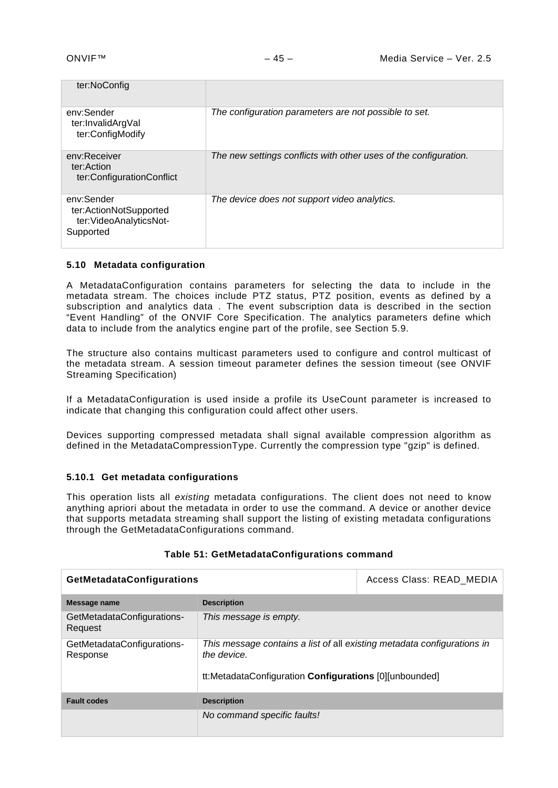| ter:NoConfig                                                                |                                                                  |
|-----------------------------------------------------------------------------|------------------------------------------------------------------|
| env:Sender<br>ter:InvalidArgVal<br>ter:ConfigModify                         | The configuration parameters are not possible to set.            |
| env:Receiver<br>ter:Action<br>ter:ConfigurationConflict                     | The new settings conflicts with other uses of the configuration. |
| env:Sender<br>ter:ActionNotSupported<br>ter:VideoAnalyticsNot-<br>Supported | The device does not support video analytics.                     |

### <span id="page-44-0"></span>**5.10 Metadata configuration**

A MetadataConfiguration contains parameters for selecting the data to include in the metadata stream. The choices include PTZ status, PTZ position, events as defined by a subscription and analytics data . The event subscription data is described in the section "Event Handling" of the ONVIF Core Specification. The analytics parameters define which data to include from the analytics engine part of the profile, see Section [5.9.](#page-41-0)

The structure also contains multicast parameters used to configure and control multicast of the metadata stream. A session timeout parameter defines the session timeout (see ONVIF Streaming Specification)

If a MetadataConfiguration is used inside a profile its UseCount parameter is increased to indicate that changing this configuration could affect other users.

Devices supporting compressed metadata shall signal available compression algorithm as defined in the MetadataCompressionType. Currently the compression type "gzip" is defined.

## **5.10.1 Get metadata configurations**

This operation lists all *existing* metadata configurations. The client does not need to know anything apriori about the metadata in order to use the command. A device or another device that supports metadata streaming shall support the listing of existing metadata configurations through the GetMetadataConfigurations command.

| <b>GetMetadataConfigurations</b>       |                                                                                                                                                  | Access Class: READ_MEDIA |
|----------------------------------------|--------------------------------------------------------------------------------------------------------------------------------------------------|--------------------------|
| Message name                           | <b>Description</b>                                                                                                                               |                          |
| GetMetadataConfigurations-<br>Request  | This message is empty.                                                                                                                           |                          |
| GetMetadataConfigurations-<br>Response | This message contains a list of all existing metadata configurations in<br>the device.<br>tt:MetadataConfiguration Configurations [0][unbounded] |                          |
| <b>Fault codes</b>                     | <b>Description</b>                                                                                                                               |                          |
|                                        | No command specific faults!                                                                                                                      |                          |

## **Table 51: GetMetadataConfigurations command**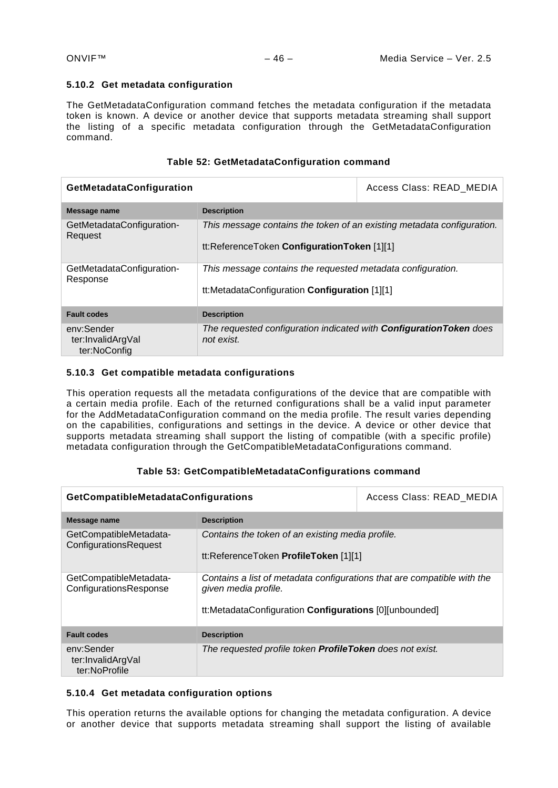### **5.10.2 Get metadata configuration**

The GetMetadataConfiguration command fetches the metadata configuration if the metadata token is known. A device or another device that supports metadata streaming shall support the listing of a specific metadata configuration through the GetMetadataConfiguration command.

## **Table 52: GetMetadataConfiguration command**

| GetMetadataConfiguration                        |                                                                                                                       | Access Class: READ MEDIA |
|-------------------------------------------------|-----------------------------------------------------------------------------------------------------------------------|--------------------------|
| Message name                                    | <b>Description</b>                                                                                                    |                          |
| GetMetadataConfiguration-<br>Request            | This message contains the token of an existing metadata configuration.<br>tt:ReferenceToken ConfigurationToken [1][1] |                          |
| GetMetadataConfiguration-<br>Response           | This message contains the requested metadata configuration.<br>tt:MetadataConfiguration Configuration [1][1]          |                          |
| <b>Fault codes</b>                              | <b>Description</b>                                                                                                    |                          |
| env:Sender<br>ter:InvalidArgVal<br>ter:NoConfig | The requested configuration indicated with <b>Configuration Token</b> does<br>not exist.                              |                          |

## **5.10.3 Get compatible metadata configurations**

This operation requests all the metadata configurations of the device that are compatible with a certain media profile. Each of the returned configurations shall be a valid input parameter for the AddMetadataConfiguration command on the media profile. The result varies depending on the capabilities, configurations and settings in the device. A device or other device that supports metadata streaming shall support the listing of compatible (with a specific profile) metadata configuration through the GetCompatibleMetadataConfigurations command.

### **Table 53: GetCompatibleMetadataConfigurations command**

| <b>GetCompatibleMetadataConfigurations</b>       |                                                                                                                                                           | Access Class: READ MEDIA |
|--------------------------------------------------|-----------------------------------------------------------------------------------------------------------------------------------------------------------|--------------------------|
| Message name                                     | <b>Description</b>                                                                                                                                        |                          |
| GetCompatibleMetadata-<br>ConfigurationsRequest  | Contains the token of an existing media profile.<br>tt:ReferenceToken ProfileToken [1][1]                                                                 |                          |
| GetCompatibleMetadata-<br>ConfigurationsResponse | Contains a list of metadata configurations that are compatible with the<br>given media profile.<br>tt:MetadataConfiguration Configurations [0][unbounded] |                          |
| <b>Fault codes</b>                               | <b>Description</b>                                                                                                                                        |                          |
| env:Sender<br>ter:InvalidArgVal<br>ter:NoProfile | The requested profile token ProfileToken does not exist.                                                                                                  |                          |

### **5.10.4 Get metadata configuration options**

This operation returns the available options for changing the metadata configuration. A device or another device that supports metadata streaming shall support the listing of available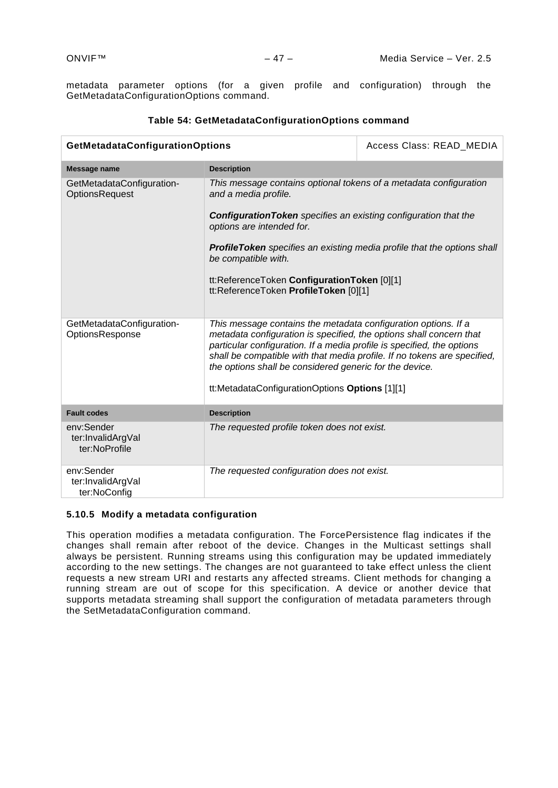metadata parameter options (for a given profile and configuration) through the GetMetadataConfigurationOptions command.

| <b>GetMetadataConfigurationOptions</b>             |                                                                                                                                                                                                                                                                                                                                                                                                          | Access Class: READ_MEDIA |
|----------------------------------------------------|----------------------------------------------------------------------------------------------------------------------------------------------------------------------------------------------------------------------------------------------------------------------------------------------------------------------------------------------------------------------------------------------------------|--------------------------|
| Message name                                       | <b>Description</b>                                                                                                                                                                                                                                                                                                                                                                                       |                          |
| GetMetadataConfiguration-<br><b>OptionsRequest</b> | This message contains optional tokens of a metadata configuration<br>and a media profile.<br><b>Configuration Token</b> specifies an existing configuration that the<br>options are intended for.<br><b>ProfileToken</b> specifies an existing media profile that the options shall<br>be compatible with.<br>tt:ReferenceToken ConfigurationToken [0][1]<br>tt:ReferenceToken ProfileToken [0][1]       |                          |
| GetMetadataConfiguration-<br>OptionsResponse       | This message contains the metadata configuration options. If a<br>metadata configuration is specified, the options shall concern that<br>particular configuration. If a media profile is specified, the options<br>shall be compatible with that media profile. If no tokens are specified,<br>the options shall be considered generic for the device.<br>tt:MetadataConfigurationOptions Options [1][1] |                          |
| <b>Fault codes</b>                                 | <b>Description</b>                                                                                                                                                                                                                                                                                                                                                                                       |                          |
| env:Sender<br>ter:InvalidArgVal<br>ter:NoProfile   | The requested profile token does not exist.                                                                                                                                                                                                                                                                                                                                                              |                          |
| env:Sender<br>ter:InvalidArgVal<br>ter:NoConfig    | The requested configuration does not exist.                                                                                                                                                                                                                                                                                                                                                              |                          |

## **Table 54: GetMetadataConfigurationOptions command**

## **5.10.5 Modify a metadata configuration**

This operation modifies a metadata configuration. The ForcePersistence flag indicates if the changes shall remain after reboot of the device. Changes in the Multicast settings shall always be persistent. Running streams using this configuration may be updated immediately according to the new settings. The changes are not guaranteed to take effect unless the client requests a new stream URI and restarts any affected streams. Client methods for changing a running stream are out of scope for this specification. A device or another device that supports metadata streaming shall support the configuration of metadata parameters through the SetMetadataConfiguration command.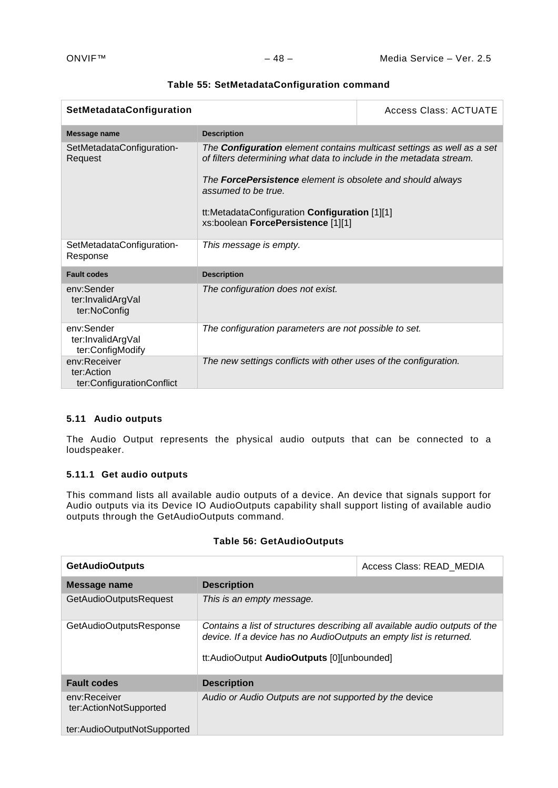| SetMetadataConfiguration                                |                                                                                                                                                                                                                                                                                                                                         | <b>Access Class: ACTUATE</b> |
|---------------------------------------------------------|-----------------------------------------------------------------------------------------------------------------------------------------------------------------------------------------------------------------------------------------------------------------------------------------------------------------------------------------|------------------------------|
| Message name                                            | <b>Description</b>                                                                                                                                                                                                                                                                                                                      |                              |
| SetMetadataConfiguration-<br>Request                    | The <b>Configuration</b> element contains multicast settings as well as a set<br>of filters determining what data to include in the metadata stream.<br>The <b>ForcePersistence</b> element is obsolete and should always<br>assumed to be true.<br>tt:MetadataConfiguration Configuration [1][1]<br>xs:boolean ForcePersistence [1][1] |                              |
| SetMetadataConfiguration-<br>Response                   | This message is empty.                                                                                                                                                                                                                                                                                                                  |                              |
| <b>Fault codes</b>                                      | <b>Description</b>                                                                                                                                                                                                                                                                                                                      |                              |
| env:Sender<br>ter:InvalidArgVal<br>ter:NoConfig         | The configuration does not exist.                                                                                                                                                                                                                                                                                                       |                              |
| env:Sender<br>ter:InvalidArgVal<br>ter:ConfigModify     | The configuration parameters are not possible to set.                                                                                                                                                                                                                                                                                   |                              |
| env:Receiver<br>ter:Action<br>ter:ConfigurationConflict | The new settings conflicts with other uses of the configuration.                                                                                                                                                                                                                                                                        |                              |

## **Table 55: SetMetadataConfiguration command**

## **5.11 Audio outputs**

The Audio Output represents the physical audio outputs that can be connected to a loudspeaker.

# **5.11.1 Get audio outputs**

This command lists all available audio outputs of a device. An device that signals support for Audio outputs via its Device IO AudioOutputs capability shall support listing of available audio outputs through the GetAudioOutputs command.

## **Table 56: GetAudioOutputs**

| <b>GetAudioOutputs</b>                 |                                                                                                                                                                                                 | Access Class: READ MEDIA |
|----------------------------------------|-------------------------------------------------------------------------------------------------------------------------------------------------------------------------------------------------|--------------------------|
| Message name                           | <b>Description</b>                                                                                                                                                                              |                          |
| GetAudioOutputsRequest                 | This is an empty message.                                                                                                                                                                       |                          |
| GetAudioOutputsResponse                | Contains a list of structures describing all available audio outputs of the<br>device. If a device has no AudioOutputs an empty list is returned.<br>tt:AudioOutput AudioOutputs [0][unbounded] |                          |
| <b>Fault codes</b>                     | <b>Description</b>                                                                                                                                                                              |                          |
| env:Receiver<br>ter:ActionNotSupported | Audio or Audio Outputs are not supported by the device                                                                                                                                          |                          |
| ter:AudioOutputNotSupported            |                                                                                                                                                                                                 |                          |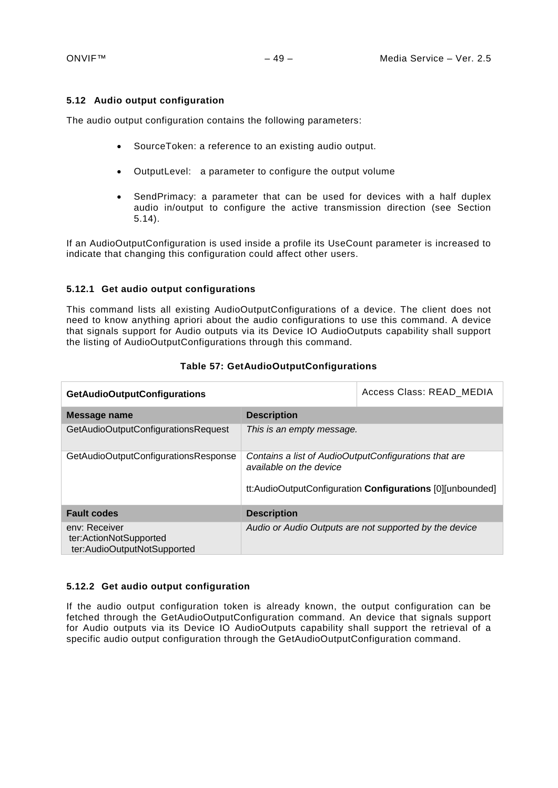### **5.12 Audio output configuration**

The audio output configuration contains the following parameters:

- SourceToken: a reference to an existing audio output.
- OutputLevel: a parameter to configure the output volume
- SendPrimacy: a parameter that can be used for devices with a half duplex audio in/output to configure the active transmission direction (see Section [5.14\)](#page-55-0).

If an AudioOutputConfiguration is used inside a profile its UseCount parameter is increased to indicate that changing this configuration could affect other users.

### **5.12.1 Get audio output configurations**

This command lists all existing AudioOutputConfigurations of a device. The client does not need to know anything apriori about the audio configurations to use this command. A device that signals support for Audio outputs via its Device IO AudioOutputs capability shall support the listing of AudioOutputConfigurations through this command.

| <b>GetAudioOutputConfigurations</b>                                    |                                                                                  | Access Class: READ MEDIA                                  |
|------------------------------------------------------------------------|----------------------------------------------------------------------------------|-----------------------------------------------------------|
| Message name                                                           | <b>Description</b>                                                               |                                                           |
| GetAudioOutputConfigurationsRequest                                    | This is an empty message.                                                        |                                                           |
| GetAudioOutputConfigurationsResponse                                   | Contains a list of AudioOutputConfigurations that are<br>available on the device |                                                           |
|                                                                        |                                                                                  | tt:AudioOutputConfiguration Configurations [0][unbounded] |
| <b>Fault codes</b>                                                     | <b>Description</b>                                                               |                                                           |
| env: Receiver<br>ter:ActionNotSupported<br>ter:AudioOutputNotSupported |                                                                                  | Audio or Audio Outputs are not supported by the device    |

## **Table 57: GetAudioOutputConfigurations**

### **5.12.2 Get audio output configuration**

If the audio output configuration token is already known, the output configuration can be fetched through the GetAudioOutputConfiguration command. An device that signals support for Audio outputs via its Device IO AudioOutputs capability shall support the retrieval of a specific audio output configuration through the GetAudioOutputConfiguration command.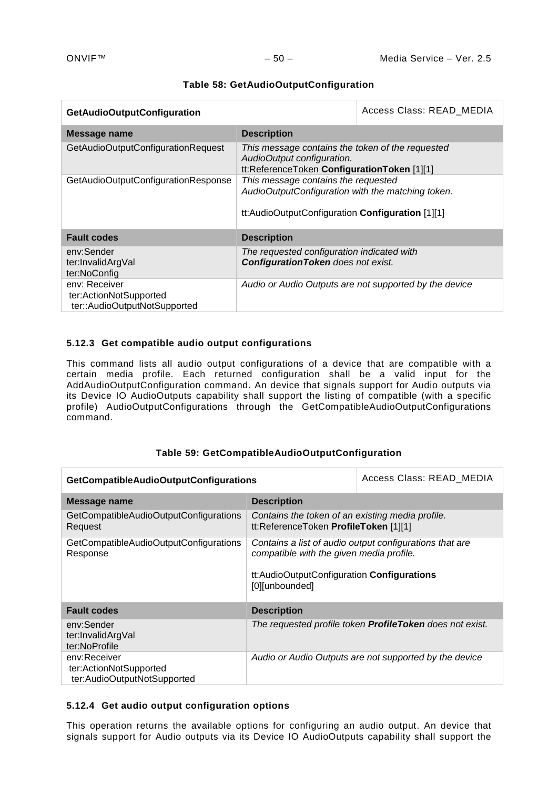| <b>GetAudioOutputConfiguration</b>                                      |                                                                                                                                              | Access Class: READ MEDIA                               |
|-------------------------------------------------------------------------|----------------------------------------------------------------------------------------------------------------------------------------------|--------------------------------------------------------|
| Message name                                                            | <b>Description</b>                                                                                                                           |                                                        |
| GetAudioOutputConfigurationRequest                                      | This message contains the token of the requested<br>AudioOutput configuration.<br>tt:ReferenceToken ConfigurationToken [1][1]                |                                                        |
| GetAudioOutputConfigurationResponse                                     | This message contains the requested<br>AudioOutputConfiguration with the matching token.<br>tt:AudioOutputConfiguration Configuration [1][1] |                                                        |
| <b>Fault codes</b>                                                      | <b>Description</b>                                                                                                                           |                                                        |
| env:Sender<br>ter:InvalidArgVal<br>ter:NoConfig                         | The requested configuration indicated with<br><b>Configuration Token</b> does not exist.                                                     |                                                        |
| env: Receiver<br>ter:ActionNotSupported<br>ter::AudioOutputNotSupported |                                                                                                                                              | Audio or Audio Outputs are not supported by the device |

## **Table 58: GetAudioOutputConfiguration**

## **5.12.3 Get compatible audio output configurations**

This command lists all audio output configurations of a device that are compatible with a certain media profile. Each returned configuration shall be a valid input for the AddAudioOutputConfiguration command. An device that signals support for Audio outputs via its Device IO AudioOutputs capability shall support the listing of compatible (with a specific profile) AudioOutputConfigurations through the GetCompatibleAudioOutputConfigurations command.

## **Table 59: GetCompatibleAudioOutputConfiguration**

| GetCompatibleAudioOutputConfigurations                                |                                                                                                                                                                     | Access Class: READ_MEDIA                                        |
|-----------------------------------------------------------------------|---------------------------------------------------------------------------------------------------------------------------------------------------------------------|-----------------------------------------------------------------|
| Message name                                                          | <b>Description</b>                                                                                                                                                  |                                                                 |
| GetCompatibleAudioOutputConfigurations<br>Request                     | Contains the token of an existing media profile.<br>tt:ReferenceToken ProfileToken [1][1]                                                                           |                                                                 |
| GetCompatibleAudioOutputConfigurations<br>Response                    | Contains a list of audio output configurations that are<br>compatible with the given media profile.<br>tt:AudioOutputConfiguration Configurations<br>[0][unbounded] |                                                                 |
| <b>Fault codes</b>                                                    | <b>Description</b>                                                                                                                                                  |                                                                 |
| env:Sender<br>ter:InvalidArgVal<br>ter:NoProfile                      |                                                                                                                                                                     | The requested profile token <b>ProfileToken</b> does not exist. |
| env:Receiver<br>ter:ActionNotSupported<br>ter:AudioOutputNotSupported |                                                                                                                                                                     | Audio or Audio Outputs are not supported by the device          |

# **5.12.4 Get audio output configuration options**

This operation returns the available options for configuring an audio output. An device that signals support for Audio outputs via its Device IO AudioOutputs capability shall support the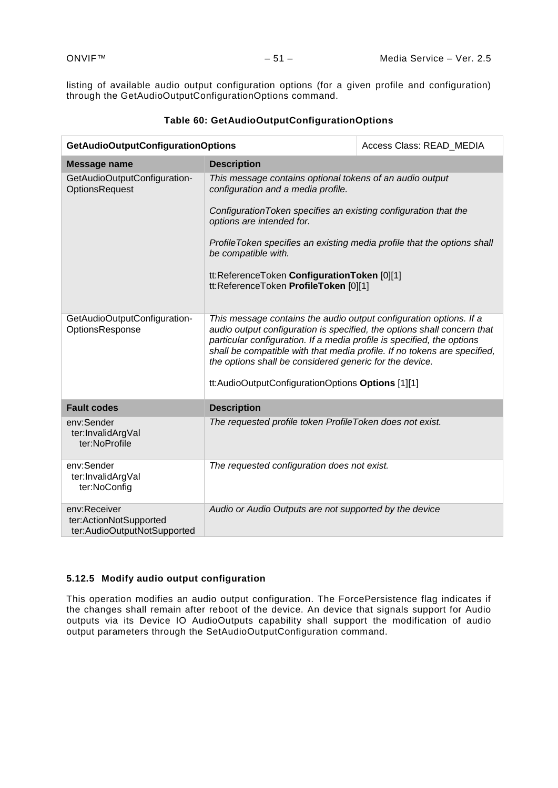listing of available audio output configuration options (for a given profile and configuration) through the GetAudioOutputConfigurationOptions command.

| <b>GetAudioOutputConfigurationOptions</b>                             |                                                                                                                                                                                                                                                                                                                                                                                                                     | Access Class: READ_MEDIA |
|-----------------------------------------------------------------------|---------------------------------------------------------------------------------------------------------------------------------------------------------------------------------------------------------------------------------------------------------------------------------------------------------------------------------------------------------------------------------------------------------------------|--------------------------|
| <b>Message name</b>                                                   | <b>Description</b>                                                                                                                                                                                                                                                                                                                                                                                                  |                          |
| GetAudioOutputConfiguration-<br><b>OptionsRequest</b>                 | This message contains optional tokens of an audio output<br>configuration and a media profile.<br>Configuration Token specifies an existing configuration that the<br>options are intended for.<br>ProfileToken specifies an existing media profile that the options shall<br>be compatible with.<br>tt:ReferenceToken ConfigurationToken [0][1]<br>tt:ReferenceToken ProfileToken [0][1]                           |                          |
| GetAudioOutputConfiguration-<br>OptionsResponse                       | This message contains the audio output configuration options. If a<br>audio output configuration is specified, the options shall concern that<br>particular configuration. If a media profile is specified, the options<br>shall be compatible with that media profile. If no tokens are specified,<br>the options shall be considered generic for the device.<br>tt:AudioOutputConfigurationOptions Options [1][1] |                          |
| <b>Fault codes</b>                                                    | <b>Description</b>                                                                                                                                                                                                                                                                                                                                                                                                  |                          |
| env:Sender<br>ter:InvalidArgVal<br>ter:NoProfile                      | The requested profile token ProfileToken does not exist.                                                                                                                                                                                                                                                                                                                                                            |                          |
| env:Sender<br>ter:InvalidArgVal<br>ter:NoConfig                       | The requested configuration does not exist.                                                                                                                                                                                                                                                                                                                                                                         |                          |
| env:Receiver<br>ter:ActionNotSupported<br>ter:AudioOutputNotSupported | Audio or Audio Outputs are not supported by the device                                                                                                                                                                                                                                                                                                                                                              |                          |

## **Table 60: GetAudioOutputConfigurationOptions**

# **5.12.5 Modify audio output configuration**

This operation modifies an audio output configuration. The ForcePersistence flag indicates if the changes shall remain after reboot of the device. An device that signals support for Audio outputs via its Device IO AudioOutputs capability shall support the modification of audio output parameters through the SetAudioOutputConfiguration command.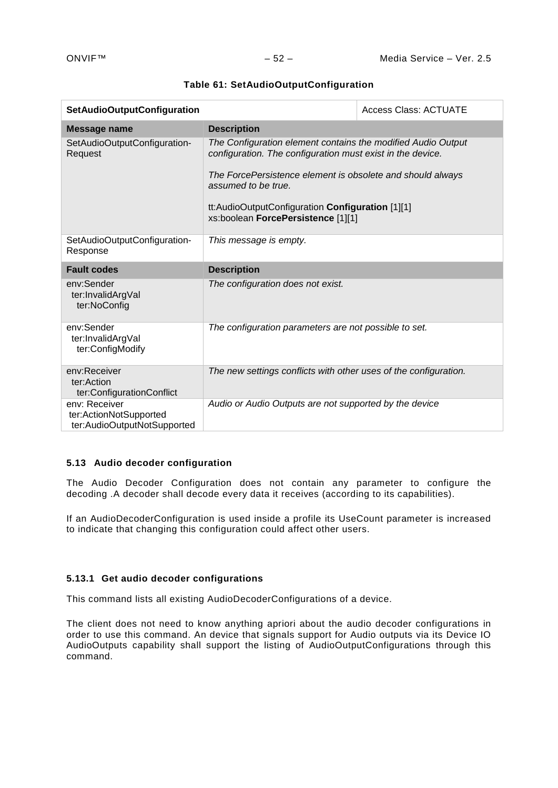| <b>SetAudioOutputConfiguration</b>                                     |                                                                                                                                                                                                                                                                                                           | <b>Access Class: ACTUATE</b> |
|------------------------------------------------------------------------|-----------------------------------------------------------------------------------------------------------------------------------------------------------------------------------------------------------------------------------------------------------------------------------------------------------|------------------------------|
| <b>Message name</b>                                                    | <b>Description</b>                                                                                                                                                                                                                                                                                        |                              |
| SetAudioOutputConfiguration-<br>Request                                | The Configuration element contains the modified Audio Output<br>configuration. The configuration must exist in the device.<br>The ForcePersistence element is obsolete and should always<br>assumed to be true.<br>tt:AudioOutputConfiguration Configuration [1][1]<br>xs:boolean ForcePersistence [1][1] |                              |
| SetAudioOutputConfiguration-<br>Response                               | This message is empty.                                                                                                                                                                                                                                                                                    |                              |
| <b>Fault codes</b>                                                     | <b>Description</b>                                                                                                                                                                                                                                                                                        |                              |
| env:Sender<br>ter:InvalidArgVal<br>ter:NoConfig                        | The configuration does not exist.                                                                                                                                                                                                                                                                         |                              |
| env:Sender<br>ter:InvalidArgVal<br>ter:ConfigModify                    | The configuration parameters are not possible to set.                                                                                                                                                                                                                                                     |                              |
| env:Receiver<br>ter:Action<br>ter:ConfigurationConflict                | The new settings conflicts with other uses of the configuration.                                                                                                                                                                                                                                          |                              |
| env: Receiver<br>ter:ActionNotSupported<br>ter:AudioOutputNotSupported | Audio or Audio Outputs are not supported by the device                                                                                                                                                                                                                                                    |                              |

### **Table 61: SetAudioOutputConfiguration**

## **5.13 Audio decoder configuration**

The Audio Decoder Configuration does not contain any parameter to configure the decoding .A decoder shall decode every data it receives (according to its capabilities).

If an AudioDecoderConfiguration is used inside a profile its UseCount parameter is increased to indicate that changing this configuration could affect other users.

## **5.13.1 Get audio decoder configurations**

This command lists all existing AudioDecoderConfigurations of a device.

The client does not need to know anything apriori about the audio decoder configurations in order to use this command. An device that signals support for Audio outputs via its Device IO AudioOutputs capability shall support the listing of AudioOutputConfigurations through this command.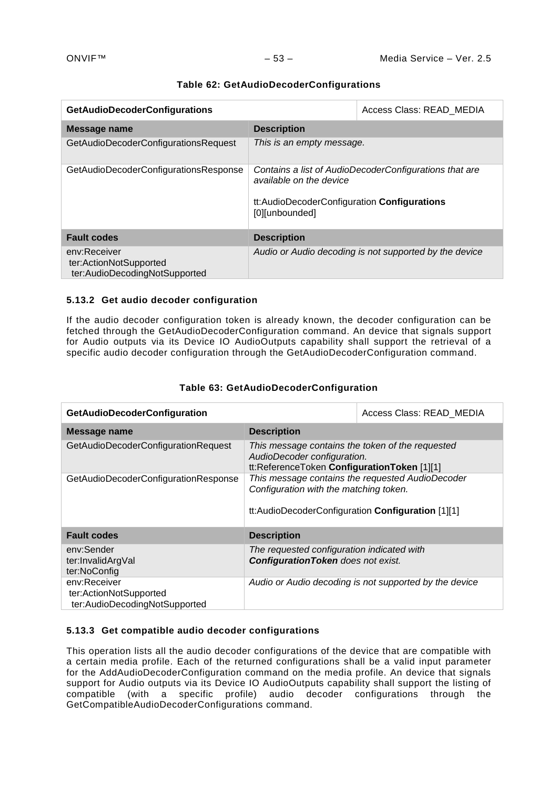| <b>GetAudioDecoderConfigurations</b>                                    |                                                                                          | Access Class: READ MEDIA                               |
|-------------------------------------------------------------------------|------------------------------------------------------------------------------------------|--------------------------------------------------------|
| Message name                                                            | <b>Description</b>                                                                       |                                                        |
| GetAudioDecoderConfigurationsRequest                                    | This is an empty message.                                                                |                                                        |
| GetAudioDecoderConfigurationsResponse                                   | available on the device<br>tt:AudioDecoderConfiguration Configurations<br>[0][unbounded] | Contains a list of AudioDecoderConfigurations that are |
| <b>Fault codes</b>                                                      | <b>Description</b>                                                                       |                                                        |
| env:Receiver<br>ter:ActionNotSupported<br>ter:AudioDecodingNotSupported |                                                                                          | Audio or Audio decoding is not supported by the device |

## **Table 62: GetAudioDecoderConfigurations**

## **5.13.2 Get audio decoder configuration**

If the audio decoder configuration token is already known, the decoder configuration can be fetched through the GetAudioDecoderConfiguration command. An device that signals support for Audio outputs via its Device IO AudioOutputs capability shall support the retrieval of a specific audio decoder configuration through the GetAudioDecoderConfiguration command.

| <b>GetAudioDecoderConfiguration</b>                                     |                                                                                                                                                 | Access Class: READ MEDIA                               |
|-------------------------------------------------------------------------|-------------------------------------------------------------------------------------------------------------------------------------------------|--------------------------------------------------------|
| Message name                                                            | <b>Description</b>                                                                                                                              |                                                        |
| GetAudioDecoderConfigurationRequest                                     | This message contains the token of the requested<br>AudioDecoder configuration.<br>tt:ReferenceToken ConfigurationToken [1][1]                  |                                                        |
| GetAudioDecoderConfigurationResponse                                    | This message contains the requested AudioDecoder<br>Configuration with the matching token.<br>tt:AudioDecoderConfiguration Configuration [1][1] |                                                        |
| <b>Fault codes</b>                                                      | <b>Description</b>                                                                                                                              |                                                        |
| env:Sender<br>ter:InvalidArgVal<br>ter:NoConfig                         | The requested configuration indicated with<br><b>Configuration Token</b> does not exist.                                                        |                                                        |
| env:Receiver<br>ter:ActionNotSupported<br>ter:AudioDecodingNotSupported |                                                                                                                                                 | Audio or Audio decoding is not supported by the device |

### **Table 63: GetAudioDecoderConfiguration**

## **5.13.3 Get compatible audio decoder configurations**

This operation lists all the audio decoder configurations of the device that are compatible with a certain media profile. Each of the returned configurations shall be a valid input parameter for the AddAudioDecoderConfiguration command on the media profile. An device that signals support for Audio outputs via its Device IO AudioOutputs capability shall support the listing of compatible (with a specific profile) audio decoder configurations through the GetCompatibleAudioDecoderConfigurations command.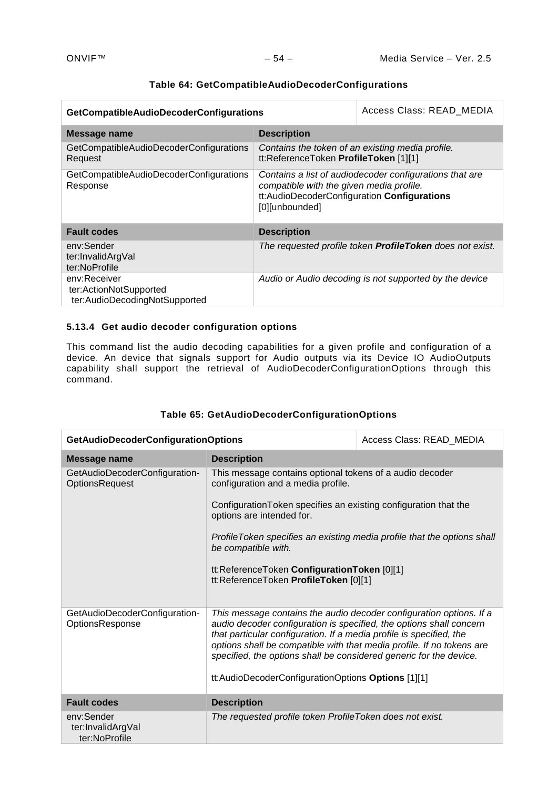| <b>GetCompatibleAudioDecoderConfigurations</b>                          |                                                                                                           | Access Class: READ MEDIA                                        |
|-------------------------------------------------------------------------|-----------------------------------------------------------------------------------------------------------|-----------------------------------------------------------------|
| Message name                                                            | <b>Description</b>                                                                                        |                                                                 |
| GetCompatibleAudioDecoderConfigurations<br>Request                      | Contains the token of an existing media profile.<br>tt:ReferenceToken ProfileToken [1][1]                 |                                                                 |
| GetCompatibleAudioDecoderConfigurations<br>Response                     | compatible with the given media profile.<br>tt:AudioDecoderConfiguration Configurations<br>[0][unbounded] | Contains a list of audiodecoder configurations that are         |
| <b>Fault codes</b>                                                      | <b>Description</b>                                                                                        |                                                                 |
| env:Sender<br>ter:InvalidArgVal<br>ter:NoProfile                        |                                                                                                           | The requested profile token <b>ProfileToken</b> does not exist. |
| env:Receiver<br>ter:ActionNotSupported<br>ter:AudioDecodingNotSupported |                                                                                                           | Audio or Audio decoding is not supported by the device          |

# **Table 64: GetCompatibleAudioDecoderConfigurations**

# **5.13.4 Get audio decoder configuration options**

This command list the audio decoding capabilities for a given profile and configuration of a device. An device that signals support for Audio outputs via its Device IO AudioOutputs capability shall support the retrieval of AudioDecoderConfigurationOptions through this command.

| <b>GetAudioDecoderConfigurationOptions</b>             |                                                                                                                                                                                                                                                                                                                                                                                                                        | Access Class: READ MEDIA |
|--------------------------------------------------------|------------------------------------------------------------------------------------------------------------------------------------------------------------------------------------------------------------------------------------------------------------------------------------------------------------------------------------------------------------------------------------------------------------------------|--------------------------|
| Message name                                           | <b>Description</b>                                                                                                                                                                                                                                                                                                                                                                                                     |                          |
| GetAudioDecoderConfiguration-<br><b>OptionsRequest</b> | This message contains optional tokens of a audio decoder<br>configuration and a media profile.<br>Configuration Token specifies an existing configuration that the<br>options are intended for.<br>Profile Token specifies an existing media profile that the options shall<br>be compatible with.<br>tt:ReferenceToken ConfigurationToken [0][1]<br>tt:ReferenceToken ProfileToken [0][1]                             |                          |
| GetAudioDecoderConfiguration-<br>OptionsResponse       | This message contains the audio decoder configuration options. If a<br>audio decoder configuration is specified, the options shall concern<br>that particular configuration. If a media profile is specified, the<br>options shall be compatible with that media profile. If no tokens are<br>specified, the options shall be considered generic for the device.<br>tt:AudioDecoderConfigurationOptions Options [1][1] |                          |
| <b>Fault codes</b>                                     | <b>Description</b>                                                                                                                                                                                                                                                                                                                                                                                                     |                          |
| env:Sender<br>ter:InvalidArgVal<br>ter:NoProfile       | The requested profile token ProfileToken does not exist.                                                                                                                                                                                                                                                                                                                                                               |                          |

## **Table 65: GetAudioDecoderConfigurationOptions**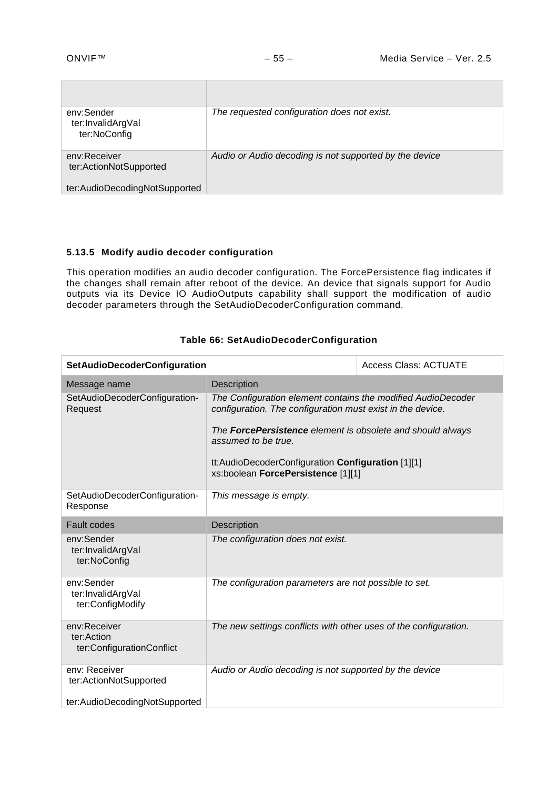| env:Sender<br>ter:InvalidArgVal<br>ter:NoConfig                         | The requested configuration does not exist.            |
|-------------------------------------------------------------------------|--------------------------------------------------------|
| env:Receiver<br>ter:ActionNotSupported<br>ter:AudioDecodingNotSupported | Audio or Audio decoding is not supported by the device |

## **5.13.5 Modify audio decoder configuration**

This operation modifies an audio decoder configuration. The ForcePersistence flag indicates if the changes shall remain after reboot of the device. An device that signals support for Audio outputs via its Device IO AudioOutputs capability shall support the modification of audio decoder parameters through the SetAudioDecoderConfiguration command.

| SetAudioDecoderConfiguration                                             |                                                                                                                                                                                                                                                                                                                   | <b>Access Class: ACTUATE</b> |
|--------------------------------------------------------------------------|-------------------------------------------------------------------------------------------------------------------------------------------------------------------------------------------------------------------------------------------------------------------------------------------------------------------|------------------------------|
| Message name                                                             | Description                                                                                                                                                                                                                                                                                                       |                              |
| SetAudioDecoderConfiguration-<br>Request                                 | The Configuration element contains the modified AudioDecoder<br>configuration. The configuration must exist in the device.<br>The <b>ForcePersistence</b> element is obsolete and should always<br>assumed to be true.<br>tt:AudioDecoderConfiguration Configuration [1][1]<br>xs:boolean ForcePersistence [1][1] |                              |
| SetAudioDecoderConfiguration-<br>Response                                | This message is empty.                                                                                                                                                                                                                                                                                            |                              |
| <b>Fault codes</b>                                                       | Description                                                                                                                                                                                                                                                                                                       |                              |
| env:Sender<br>ter:InvalidArgVal<br>ter:NoConfig                          | The configuration does not exist.                                                                                                                                                                                                                                                                                 |                              |
| env:Sender<br>ter:InvalidArgVal<br>ter:ConfigModify                      | The configuration parameters are not possible to set.                                                                                                                                                                                                                                                             |                              |
| env:Receiver<br>ter:Action<br>ter:ConfigurationConflict                  | The new settings conflicts with other uses of the configuration.                                                                                                                                                                                                                                                  |                              |
| env: Receiver<br>ter:ActionNotSupported<br>ter:AudioDecodingNotSupported | Audio or Audio decoding is not supported by the device                                                                                                                                                                                                                                                            |                              |

## **Table 66: SetAudioDecoderConfiguration**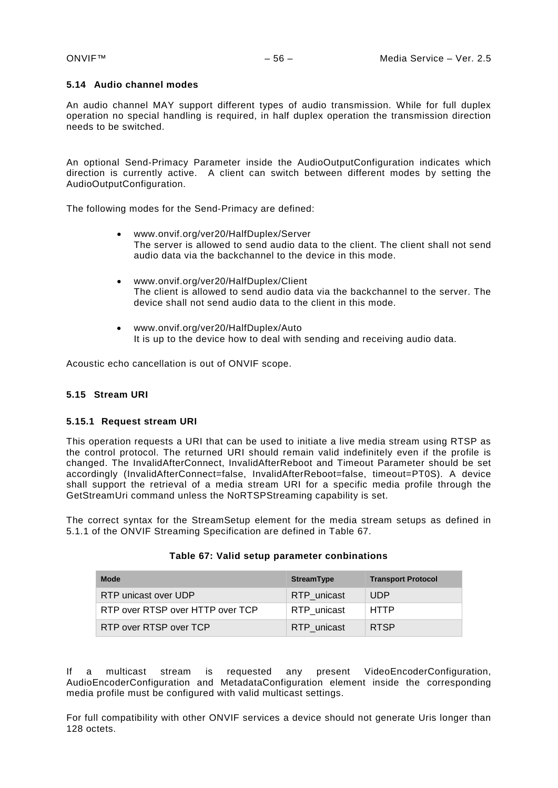### <span id="page-55-0"></span>**5.14 Audio channel modes**

An audio channel MAY support different types of audio transmission. While for full duplex operation no special handling is required, in half duplex operation the transmission direction needs to be switched.

An optional Send-Primacy Parameter inside the AudioOutputConfiguration indicates which direction is currently active. A client can switch between different modes by setting the AudioOutputConfiguration.

The following modes for the Send-Primacy are defined:

- www.onvif.org/ver20/HalfDuplex/Server The server is allowed to send audio data to the client. The client shall not send audio data via the backchannel to the device in this mode.
- www.onvif.org/ver20/HalfDuplex/Client The client is allowed to send audio data via the backchannel to the server. The device shall not send audio data to the client in this mode.
- www.onvif.org/ver20/HalfDuplex/Auto It is up to the device how to deal with sending and receiving audio data.

Acoustic echo cancellation is out of ONVIF scope.

## **5.15 Stream URI**

### **5.15.1 Request stream URI**

This operation requests a URI that can be used to initiate a live media stream using RTSP as the control protocol. The returned URI should remain valid indefinitely even if the profile is changed. The InvalidAfterConnect, InvalidAfterReboot and Timeout Parameter should be set accordingly (InvalidAfterConnect=false, InvalidAfterReboot=false, timeout=PT0S). A device shall support the retrieval of a media stream URI for a specific media profile through the GetStreamUri command unless the NoRTSPStreaming capability is set.

<span id="page-55-1"></span>The correct syntax for the StreamSetup element for the media stream setups as defined in 5.1.1 of the ONVIF Streaming Specification are defined in [Table 67.](#page-55-1)

| <b>Mode</b>                      | <b>StreamType</b> | <b>Transport Protocol</b> |
|----------------------------------|-------------------|---------------------------|
| RTP unicast over UDP             | RTP unicast       | UDP                       |
| RTP over RTSP over HTTP over TCP | RTP unicast       | HTTP                      |
| RTP over RTSP over TCP           | RTP unicast       | <b>RTSP</b>               |

### **Table 67: Valid setup parameter conbinations**

If a multicast stream is requested any present VideoEncoderConfiguration, AudioEncoderConfiguration and MetadataConfiguration element inside the corresponding media profile must be configured with valid multicast settings.

For full compatibility with other ONVIF services a device should not generate Uris longer than 128 octets.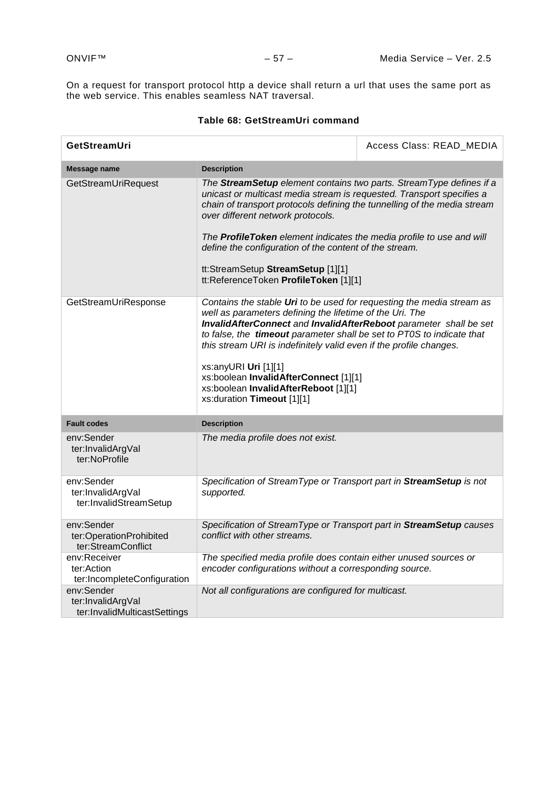On a request for transport protocol http a device shall return a url that uses the same port as the web service. This enables seamless NAT traversal.

| GetStreamUri                                                    |                                                                                                                                                                                                                                                                                                                                                                                                                                                                                              | Access Class: READ_MEDIA |
|-----------------------------------------------------------------|----------------------------------------------------------------------------------------------------------------------------------------------------------------------------------------------------------------------------------------------------------------------------------------------------------------------------------------------------------------------------------------------------------------------------------------------------------------------------------------------|--------------------------|
| <b>Message name</b>                                             | <b>Description</b>                                                                                                                                                                                                                                                                                                                                                                                                                                                                           |                          |
| GetStreamUriRequest                                             | The StreamSetup element contains two parts. StreamType defines if a<br>unicast or multicast media stream is requested. Transport specifies a<br>chain of transport protocols defining the tunnelling of the media stream<br>over different network protocols.<br>The ProfileToken element indicates the media profile to use and will<br>define the configuration of the content of the stream.<br>tt:StreamSetup StreamSetup [1][1]<br>tt:ReferenceToken ProfileToken [1][1]                |                          |
| GetStreamUriResponse                                            | Contains the stable Uri to be used for requesting the media stream as<br>well as parameters defining the lifetime of the Uri. The<br>InvalidAfterConnect and InvalidAfterReboot parameter shall be set<br>to false, the timeout parameter shall be set to PT0S to indicate that<br>this stream URI is indefinitely valid even if the profile changes.<br>xs:anyURI Uri [1][1]<br>xs:boolean InvalidAfterConnect [1][1]<br>xs:boolean InvalidAfterReboot [1][1]<br>xs:duration Timeout [1][1] |                          |
| <b>Fault codes</b>                                              | <b>Description</b>                                                                                                                                                                                                                                                                                                                                                                                                                                                                           |                          |
| env:Sender<br>ter:InvalidArgVal<br>ter:NoProfile                | The media profile does not exist.                                                                                                                                                                                                                                                                                                                                                                                                                                                            |                          |
| env:Sender<br>ter:InvalidArgVal<br>ter:InvalidStreamSetup       | Specification of StreamType or Transport part in StreamSetup is not<br>supported.                                                                                                                                                                                                                                                                                                                                                                                                            |                          |
| env:Sender<br>ter:OperationProhibited<br>ter:StreamConflict     | Specification of StreamType or Transport part in StreamSetup causes<br>conflict with other streams.                                                                                                                                                                                                                                                                                                                                                                                          |                          |
| env:Receiver<br>ter:Action<br>ter:IncompleteConfiguration       | The specified media profile does contain either unused sources or<br>encoder configurations without a corresponding source.                                                                                                                                                                                                                                                                                                                                                                  |                          |
| env:Sender<br>ter:InvalidArgVal<br>ter:InvalidMulticastSettings | Not all configurations are configured for multicast.                                                                                                                                                                                                                                                                                                                                                                                                                                         |                          |

# **Table 68: GetStreamUri command**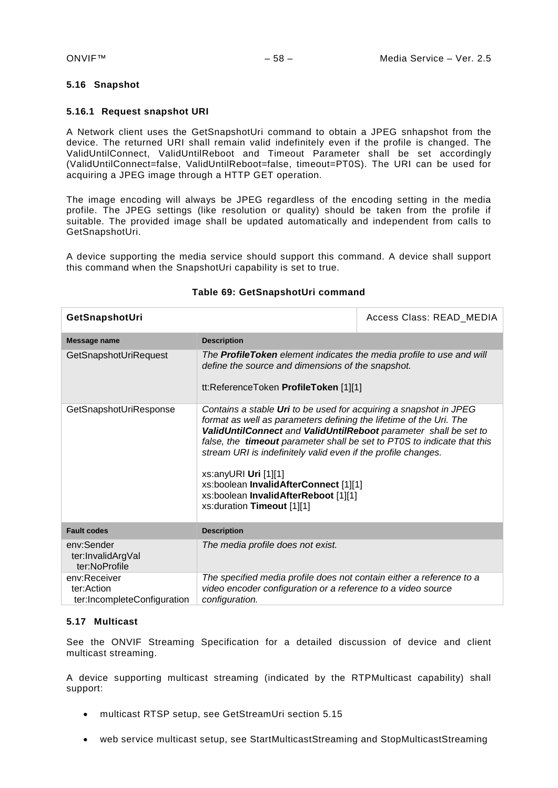## **5.16 Snapshot**

### **5.16.1 Request snapshot URI**

A Network client uses the GetSnapshotUri command to obtain a JPEG snhapshot from the device. The returned URI shall remain valid indefinitely even if the profile is changed. The ValidUntilConnect, ValidUntilReboot and Timeout Parameter shall be set accordingly (ValidUntilConnect=false, ValidUntilReboot=false, timeout=PT0S). The URI can be used for acquiring a JPEG image through a HTTP GET operation.

The image encoding will always be JPEG regardless of the encoding setting in the media profile. The JPEG settings (like resolution or quality) should be taken from the profile if suitable. The provided image shall be updated automatically and independent from calls to GetSnapshotUri.

A device supporting the media service should support this command. A device shall support this command when the SnapshotUri capability is set to true.

| GetSnapshotUri                                            |                                                                                                                                                                                                                                                                                                                                                                                                                                                                                                  | Access Class: READ_MEDIA |
|-----------------------------------------------------------|--------------------------------------------------------------------------------------------------------------------------------------------------------------------------------------------------------------------------------------------------------------------------------------------------------------------------------------------------------------------------------------------------------------------------------------------------------------------------------------------------|--------------------------|
| Message name                                              | <b>Description</b>                                                                                                                                                                                                                                                                                                                                                                                                                                                                               |                          |
| GetSnapshotUriRequest                                     | The <b>ProfileToken</b> element indicates the media profile to use and will<br>define the source and dimensions of the snapshot.<br>tt:ReferenceToken ProfileToken [1][1]                                                                                                                                                                                                                                                                                                                        |                          |
| GetSnapshotUriResponse                                    | Contains a stable Uri to be used for acquiring a snapshot in JPEG<br>format as well as parameters defining the lifetime of the Uri. The<br>ValidUntilConnect and ValidUntilReboot parameter shall be set to<br>false, the timeout parameter shall be set to PT0S to indicate that this<br>stream URI is indefinitely valid even if the profile changes.<br>xs:anyURI Uri $[1][1]$<br>xs:boolean InvalidAfterConnect [1][1]<br>xs:boolean InvalidAfterReboot [1][1]<br>xs:duration Timeout [1][1] |                          |
| <b>Fault codes</b>                                        | <b>Description</b>                                                                                                                                                                                                                                                                                                                                                                                                                                                                               |                          |
| env:Sender<br>ter:InvalidArgVal<br>ter:NoProfile          | The media profile does not exist.                                                                                                                                                                                                                                                                                                                                                                                                                                                                |                          |
| env:Receiver<br>ter:Action<br>ter:IncompleteConfiguration | The specified media profile does not contain either a reference to a<br>video encoder configuration or a reference to a video source<br>configuration.                                                                                                                                                                                                                                                                                                                                           |                          |

## **Table 69: GetSnapshotUri command**

# **5.17 Multicast**

See the ONVIF Streaming Specification for a detailed discussion of device and client multicast streaming.

A device supporting multicast streaming (indicated by the RTPMulticast capability) shall support:

- multicast RTSP setup, see GetStreamUri section 5.15
- web service multicast setup, see StartMulticastStreaming and StopMulticastStreaming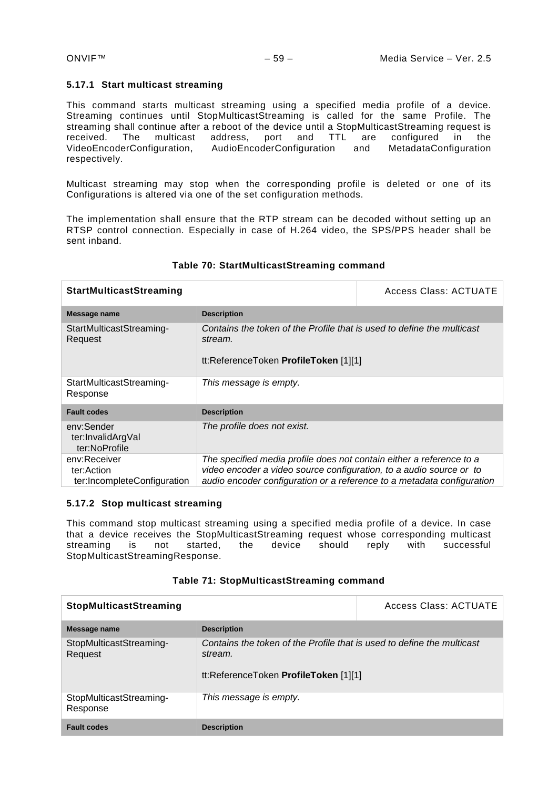## **5.17.1 Start multicast streaming**

This command starts multicast streaming using a specified media profile of a device. Streaming continues until StopMulticastStreaming is called for the same Profile. The streaming shall continue after a reboot of the device until a StopMulticastStreaming request is received. The multicast address, port and TTL are configured in the multicast address, port and TTL are configured in the iguration, AudioEncoderConfiguration and MetadataConfiguration VideoEncoderConfiguration, respectively.

Multicast streaming may stop when the corresponding profile is deleted or one of its Configurations is altered via one of the set configuration methods.

The implementation shall ensure that the RTP stream can be decoded without setting up an RTSP control connection. Especially in case of H.264 video, the SPS/PPS header shall be sent inband.

| <b>StartMulticastStreaming</b>                            |                                                                                                                                                                                                                       | Access Class: ACTUATE |
|-----------------------------------------------------------|-----------------------------------------------------------------------------------------------------------------------------------------------------------------------------------------------------------------------|-----------------------|
| Message name                                              | <b>Description</b>                                                                                                                                                                                                    |                       |
| StartMulticastStreaming-<br>Request                       | Contains the token of the Profile that is used to define the multicast<br>stream.<br>tt:ReferenceToken ProfileToken [1][1]                                                                                            |                       |
| StartMulticastStreaming-<br>Response                      | This message is empty.                                                                                                                                                                                                |                       |
| <b>Fault codes</b>                                        | <b>Description</b>                                                                                                                                                                                                    |                       |
| env:Sender<br>ter:InvalidArgVal<br>ter:NoProfile          | The profile does not exist.                                                                                                                                                                                           |                       |
| env:Receiver<br>ter:Action<br>ter:IncompleteConfiguration | The specified media profile does not contain either a reference to a<br>video encoder a video source configuration, to a audio source or to<br>audio encoder configuration or a reference to a metadata configuration |                       |

## **Table 70: StartMulticastStreaming command**

### **5.17.2 Stop multicast streaming**

This command stop multicast streaming using a specified media profile of a device. In case that a device receives the StopMulticastStreaming request whose corresponding multicast<br>streaming is not started. the device should reply with successful streaming is not started, the device should reply with successful StopMulticastStreamingResponse.

### **Table 71: StopMulticastStreaming command**

| <b>StopMulticastStreaming</b>       |                                                                                                                            | Access Class: ACTUATE |
|-------------------------------------|----------------------------------------------------------------------------------------------------------------------------|-----------------------|
| Message name                        | <b>Description</b>                                                                                                         |                       |
| StopMulticastStreaming-<br>Request  | Contains the token of the Profile that is used to define the multicast<br>stream.<br>tt:ReferenceToken ProfileToken [1][1] |                       |
| StopMulticastStreaming-<br>Response | This message is empty.                                                                                                     |                       |
| <b>Fault codes</b>                  | <b>Description</b>                                                                                                         |                       |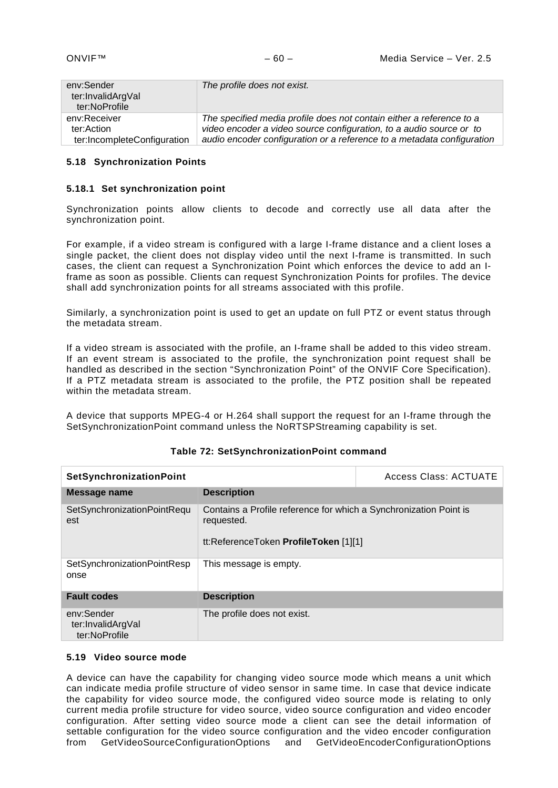| env:Sender<br>ter:InvalidArgVal<br>ter:NoProfile | The profile does not exist.                                            |
|--------------------------------------------------|------------------------------------------------------------------------|
| env:Receiver                                     | The specified media profile does not contain either a reference to a   |
| ter:Action                                       | video encoder a video source configuration, to a audio source or to    |
| ter:IncompleteConfiguration                      | audio encoder configuration or a reference to a metadata configuration |

### **5.18 Synchronization Points**

### **5.18.1 Set synchronization point**

Synchronization points allow clients to decode and correctly use all data after the synchronization point.

For example, if a video stream is configured with a large I-frame distance and a client loses a single packet, the client does not display video until the next I-frame is transmitted. In such cases, the client can request a Synchronization Point which enforces the device to add an Iframe as soon as possible. Clients can request Synchronization Points for profiles. The device shall add synchronization points for all streams associated with this profile.

Similarly, a synchronization point is used to get an update on full PTZ or event status through the metadata stream.

If a video stream is associated with the profile, an I-frame shall be added to this video stream. If an event stream is associated to the profile, the synchronization point request shall be handled as described in the section "Synchronization Point" of the ONVIF Core Specification). If a PTZ metadata stream is associated to the profile, the PTZ position shall be repeated within the metadata stream.

A device that supports MPEG-4 or H.264 shall support the request for an I-frame through the SetSynchronizationPoint command unless the NoRTSPStreaming capability is set.

| <b>SetSynchronizationPoint</b>                   |                                                                                                                          | Access Class: ACTUATE |
|--------------------------------------------------|--------------------------------------------------------------------------------------------------------------------------|-----------------------|
| Message name                                     | <b>Description</b>                                                                                                       |                       |
| SetSynchronizationPointRequ<br>est               | Contains a Profile reference for which a Synchronization Point is<br>requested.<br>tt:ReferenceToken ProfileToken [1][1] |                       |
| SetSynchronizationPointResp<br>onse              | This message is empty.                                                                                                   |                       |
| <b>Fault codes</b>                               | <b>Description</b>                                                                                                       |                       |
| env:Sender<br>ter:InvalidArgVal<br>ter:NoProfile | The profile does not exist.                                                                                              |                       |

### **Table 72: SetSynchronizationPoint command**

#### **5.19 Video source mode**

A device can have the capability for changing video source mode which means a unit which can indicate media profile structure of video sensor in same time. In case that device indicate the capability for video source mode, the configured video source mode is relating to only current media profile structure for video source, video source configuration and video encoder configuration. After setting video source mode a client can see the detail information of settable configuration for the video source configuration and the video encoder configuration from GetVideoSourceConfigurationOptions and GetVideoEncoderConfigurationOptions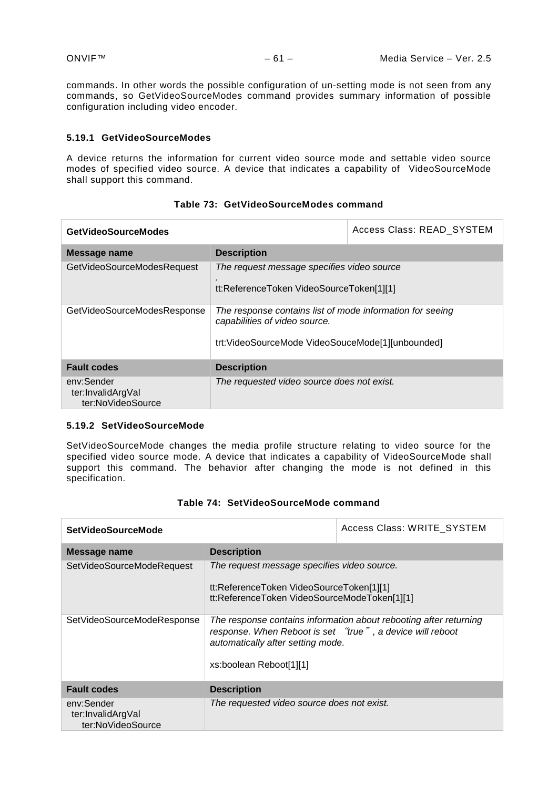commands. In other words the possible configuration of un-setting mode is not seen from any commands, so GetVideoSourceModes command provides summary information of possible configuration including video encoder.

### **5.19.1 GetVideoSourceModes**

A device returns the information for current video source mode and settable video source modes of specified video source. A device that indicates a capability of VideoSourceMode shall support this command.

| <b>GetVideoSourceModes</b>                           |                                                                                                                                                | Access Class: READ SYSTEM |
|------------------------------------------------------|------------------------------------------------------------------------------------------------------------------------------------------------|---------------------------|
| Message name                                         | <b>Description</b>                                                                                                                             |                           |
| GetVideoSourceModesRequest                           | The request message specifies video source<br>tt:ReferenceToken VideoSourceToken[1][1]                                                         |                           |
| GetVideoSourceModesResponse                          | The response contains list of mode information for seeing<br>capabilities of video source.<br>trt:VideoSourceMode VideoSouceMode[1][unbounded] |                           |
| <b>Fault codes</b>                                   | <b>Description</b>                                                                                                                             |                           |
| env:Sender<br>ter:InvalidArgVal<br>ter:NoVideoSource | The requested video source does not exist.                                                                                                     |                           |

# **Table 73: GetVideoSourceModes command**

## **5.19.2 SetVideoSourceMode**

SetVideoSourceMode changes the media profile structure relating to video source for the specified video source mode. A device that indicates a capability of VideoSourceMode shall support this command. The behavior after changing the mode is not defined in this specification.

| <b>SetVideoSourceMode</b>                            |                                                                                                                                                                                                | Access Class: WRITE SYSTEM |
|------------------------------------------------------|------------------------------------------------------------------------------------------------------------------------------------------------------------------------------------------------|----------------------------|
| Message name                                         | <b>Description</b>                                                                                                                                                                             |                            |
| SetVideoSourceModeRequest                            | The request message specifies video source.<br>tt:ReferenceToken VideoSourceToken[1][1]<br>tt:ReferenceToken VideoSourceModeToken[1][1]                                                        |                            |
| SetVideoSourceModeResponse                           | The response contains information about rebooting after returning<br>response. When Reboot is set "true", a device will reboot<br>automatically after setting mode.<br>xs:boolean Reboot[1][1] |                            |
| <b>Fault codes</b>                                   | <b>Description</b>                                                                                                                                                                             |                            |
| env:Sender<br>ter:InvalidArgVal<br>ter:NoVideoSource | The requested video source does not exist.                                                                                                                                                     |                            |

|  | Table 74: SetVideoSourceMode command |
|--|--------------------------------------|
|--|--------------------------------------|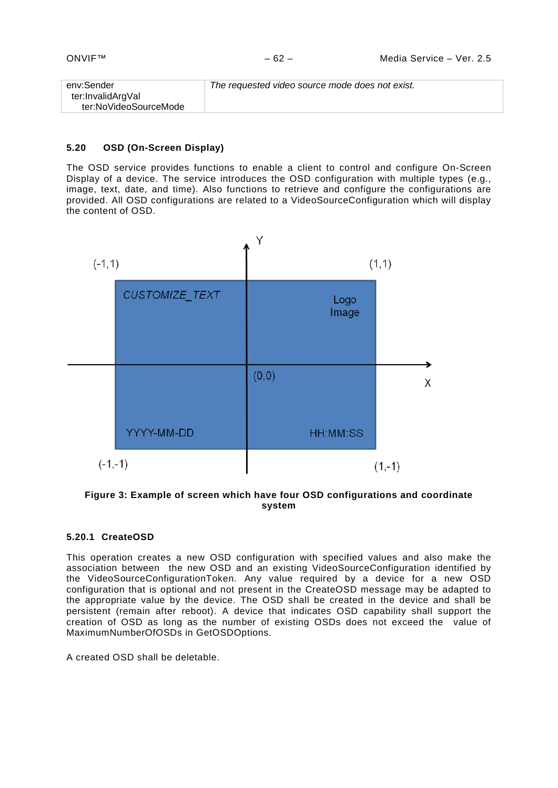| env:Sender            | The requested video source mode does not exist. |
|-----------------------|-------------------------------------------------|
| ter:InvalidArgVal     |                                                 |
| ter:NoVideoSourceMode |                                                 |

### **5.20 OSD (On-Screen Display)**

The OSD service provides functions to enable a client to control and configure On-Screen Display of a device. The service introduces the OSD configuration with multiple types (e.g., image, text, date, and time). Also functions to retrieve and configure the configurations are provided. All OSD configurations are related to a VideoSourceConfiguration which will display the content of OSD.



## **Figure 3: Example of screen which have four OSD configurations and coordinate system**

## **5.20.1 CreateOSD**

This operation creates a new OSD configuration with specified values and also make the association between the new OSD and an existing VideoSourceConfiguration identified by the VideoSourceConfigurationToken. Any value required by a device for a new OSD configuration that is optional and not present in the CreateOSD message may be adapted to the appropriate value by the device. The OSD shall be created in the device and shall be persistent (remain after reboot). A device that indicates OSD capability shall support the creation of OSD as long as the number of existing OSDs does not exceed the value of MaximumNumberOfOSDs in GetOSDOptions.

A created OSD shall be deletable.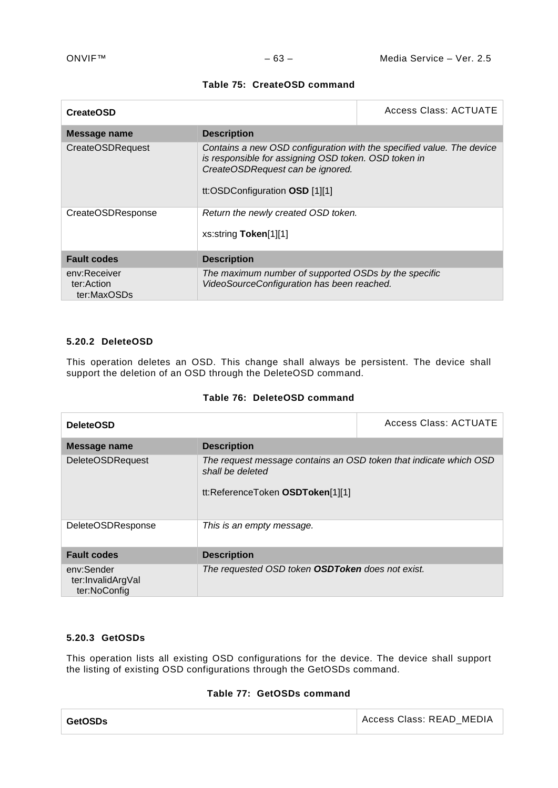| <b>CreateOSD</b>                          |                                                                                                                                                                                                     | Access Class: ACTUATE |
|-------------------------------------------|-----------------------------------------------------------------------------------------------------------------------------------------------------------------------------------------------------|-----------------------|
| Message name                              | <b>Description</b>                                                                                                                                                                                  |                       |
| <b>CreateOSDRequest</b>                   | Contains a new OSD configuration with the specified value. The device<br>is responsible for assigning OSD token. OSD token in<br>CreateOSDRequest can be ignored.<br>tt:OSDConfiguration OSD [1][1] |                       |
| <b>CreateOSDResponse</b>                  | Return the newly created OSD token.<br>xs:string Token[1][1]                                                                                                                                        |                       |
| <b>Fault codes</b>                        | <b>Description</b>                                                                                                                                                                                  |                       |
| env:Receiver<br>ter:Action<br>ter:MaxOSDs | The maximum number of supported OSDs by the specific<br>VideoSourceConfiguration has been reached.                                                                                                  |                       |

### **Table 75: CreateOSD command**

# **5.20.2 DeleteOSD**

This operation deletes an OSD. This change shall always be persistent. The device shall support the deletion of an OSD through the DeleteOSD command.

## **Table 76: DeleteOSD command**

| <b>DeleteOSD</b>                                |                                                                                                                           | Access Class: ACTUATE |
|-------------------------------------------------|---------------------------------------------------------------------------------------------------------------------------|-----------------------|
| Message name                                    | <b>Description</b>                                                                                                        |                       |
| <b>DeleteOSDRequest</b>                         | The request message contains an OSD token that indicate which OSD<br>shall be deleted<br>tt:ReferenceToken OSDToken[1][1] |                       |
| <b>DeleteOSDResponse</b>                        | This is an empty message.                                                                                                 |                       |
| <b>Fault codes</b>                              | <b>Description</b>                                                                                                        |                       |
| env:Sender<br>ter:InvalidArgVal<br>ter:NoConfig | The requested OSD token <b>OSDToken</b> does not exist.                                                                   |                       |

### **5.20.3 GetOSDs**

This operation lists all existing OSD configurations for the device. The device shall support the listing of existing OSD configurations through the GetOSDs command.

# **Table 77: GetOSDs command**

| <b>GetOSDs</b> | Access Class: READ MEDIA |
|----------------|--------------------------|
|                |                          |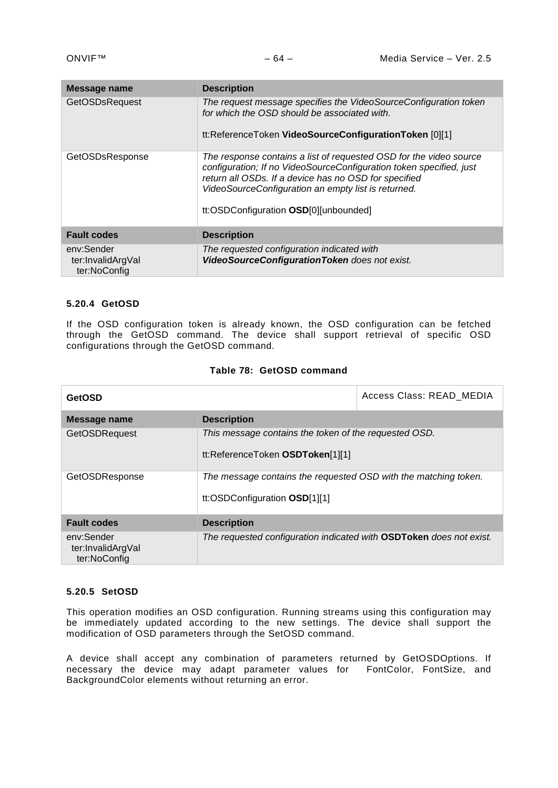| Message name                                    | <b>Description</b>                                                                                                                                                                                                                                                                                 |
|-------------------------------------------------|----------------------------------------------------------------------------------------------------------------------------------------------------------------------------------------------------------------------------------------------------------------------------------------------------|
| <b>GetOSDsRequest</b>                           | The request message specifies the VideoSourceConfiguration token<br>for which the OSD should be associated with.<br>tt:ReferenceToken VideoSourceConfigurationToken [0][1]                                                                                                                         |
| GetOSDsResponse                                 | The response contains a list of requested OSD for the video source<br>configuration; If no VideoSourceConfiguration token specified, just<br>return all OSDs. If a device has no OSD for specified<br>VideoSourceConfiguration an empty list is returned.<br>tt:OSDConfiguration OSD[0][unbounded] |
| <b>Fault codes</b>                              | <b>Description</b>                                                                                                                                                                                                                                                                                 |
| env:Sender<br>ter:InvalidArgVal<br>ter:NoConfig | The requested configuration indicated with<br>VideoSourceConfigurationToken does not exist.                                                                                                                                                                                                        |

# **5.20.4 GetOSD**

If the OSD configuration token is already known, the OSD configuration can be fetched through the GetOSD command. The device shall support retrieval of specific OSD configurations through the GetOSD command.

## **Table 78: GetOSD command**

| <b>GetOSD</b>                                   |                                                                                                  | Access Class: READ MEDIA |
|-------------------------------------------------|--------------------------------------------------------------------------------------------------|--------------------------|
| Message name                                    | <b>Description</b>                                                                               |                          |
| <b>GetOSDRequest</b>                            | This message contains the token of the requested OSD.<br>tt:ReferenceToken OSDToken[1][1]        |                          |
| GetOSDResponse                                  | The message contains the requested OSD with the matching token.<br>tt:OSDConfiguration OSD[1][1] |                          |
| <b>Fault codes</b>                              | <b>Description</b>                                                                               |                          |
| env:Sender<br>ter:InvalidArgVal<br>ter:NoConfig | The requested configuration indicated with OSDToken does not exist.                              |                          |

# **5.20.5 SetOSD**

This operation modifies an OSD configuration. Running streams using this configuration may be immediately updated according to the new settings. The device shall support the modification of OSD parameters through the SetOSD command.

A device shall accept any combination of parameters returned by GetOSDOptions. If necessary the device may adapt parameter values for FontColor, FontSize, and BackgroundColor elements without returning an error.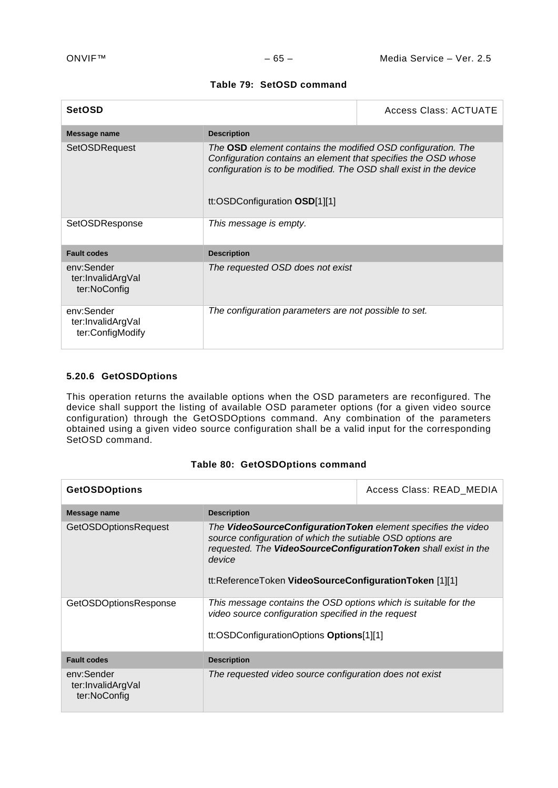| <b>SetOSD</b>                                       |                                                                                                                                                                                                                                         | Access Class: ACTUATE |
|-----------------------------------------------------|-----------------------------------------------------------------------------------------------------------------------------------------------------------------------------------------------------------------------------------------|-----------------------|
| Message name                                        | <b>Description</b>                                                                                                                                                                                                                      |                       |
| <b>SetOSDRequest</b>                                | The OSD element contains the modified OSD configuration. The<br>Configuration contains an element that specifies the OSD whose<br>configuration is to be modified. The OSD shall exist in the device<br>tt:OSDConfiguration $OSD[1][1]$ |                       |
| SetOSDResponse                                      | This message is empty.                                                                                                                                                                                                                  |                       |
| <b>Fault codes</b>                                  | <b>Description</b>                                                                                                                                                                                                                      |                       |
| env:Sender<br>ter:InvalidArgVal<br>ter:NoConfig     | The requested OSD does not exist                                                                                                                                                                                                        |                       |
| env:Sender<br>ter:InvalidArgVal<br>ter:ConfigModify | The configuration parameters are not possible to set.                                                                                                                                                                                   |                       |

## **5.20.6 GetOSDOptions**

This operation returns the available options when the OSD parameters are reconfigured. The device shall support the listing of available OSD parameter options (for a given video source configuration) through the GetOSDOptions command. Any combination of the parameters obtained using a given video source configuration shall be a valid input for the corresponding SetOSD command.

| <b>GetOSDOptions</b>                            |                                                                                                                                                                                                                                                                           | Access Class: READ MEDIA |
|-------------------------------------------------|---------------------------------------------------------------------------------------------------------------------------------------------------------------------------------------------------------------------------------------------------------------------------|--------------------------|
| Message name                                    | <b>Description</b>                                                                                                                                                                                                                                                        |                          |
| <b>GetOSDOptionsRequest</b>                     | The <b>VideoSourceConfigurationToken</b> element specifies the video<br>source configuration of which the sutiable OSD options are<br>requested. The VideoSourceConfigurationToken shall exist in the<br>device<br>tt:ReferenceToken VideoSourceConfigurationToken [1][1] |                          |
| GetOSDOptionsResponse                           | This message contains the OSD options which is suitable for the<br>video source configuration specified in the request<br>tt:OSDConfigurationOptions Options[1][1]                                                                                                        |                          |
| <b>Fault codes</b>                              | <b>Description</b>                                                                                                                                                                                                                                                        |                          |
| env:Sender<br>ter:InvalidArgVal<br>ter:NoConfig | The requested video source configuration does not exist                                                                                                                                                                                                                   |                          |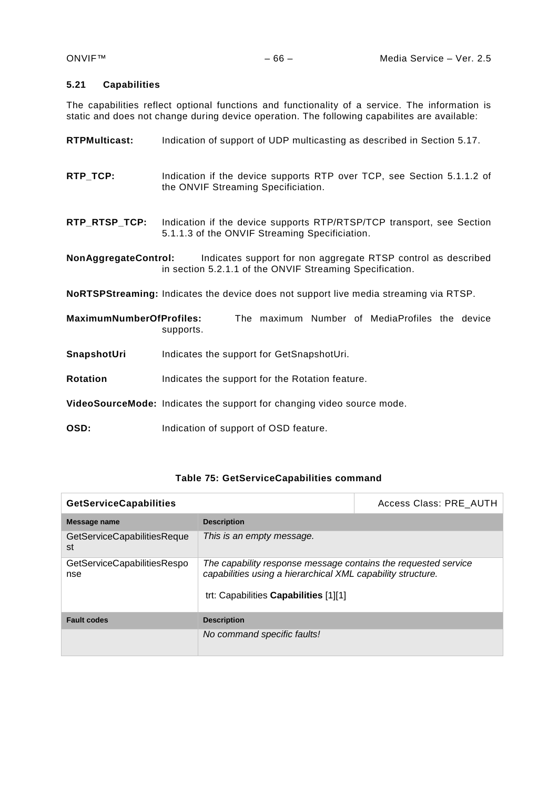## **5.21 Capabilities**

The capabilities reflect optional functions and functionality of a service. The information is static and does not change during device operation. The following capabilites are available:

| <b>RTPMulticast:</b>            | Indication of support of UDP multicasting as described in Section 5.17.                                                   |
|---------------------------------|---------------------------------------------------------------------------------------------------------------------------|
| RTP_TCP:                        | Indication if the device supports RTP over TCP, see Section 5.1.1.2 of<br>the ONVIF Streaming Specificiation.             |
| RTP_RTSP_TCP:                   | Indication if the device supports RTP/RTSP/TCP transport, see Section<br>5.1.1.3 of the ONVIF Streaming Specificiation.   |
| NonAggregateControl:            | Indicates support for non aggregate RTSP control as described<br>in section 5.2.1.1 of the ONVIF Streaming Specification. |
|                                 | NoRTSPStreaming: Indicates the device does not support live media streaming via RTSP.                                     |
| <b>MaximumNumberOfProfiles:</b> | The maximum Number of MediaProfiles the device<br>supports.                                                               |
| SnapshotUri                     | Indicates the support for GetSnapshotUri.                                                                                 |
| <b>Rotation</b>                 | Indicates the support for the Rotation feature.                                                                           |
|                                 | VideoSourceMode: Indicates the support for changing video source mode.                                                    |
| OSD:                            | Indication of support of OSD feature.                                                                                     |

# **Table 75: GetServiceCapabilities command**

| <b>GetServiceCapabilities</b>            |                                                                                                                                                                        | Access Class: PRE AUTH |
|------------------------------------------|------------------------------------------------------------------------------------------------------------------------------------------------------------------------|------------------------|
| Message name                             | <b>Description</b>                                                                                                                                                     |                        |
| <b>GetServiceCapabilitiesReque</b><br>st | This is an empty message.                                                                                                                                              |                        |
| GetServiceCapabilitiesRespo<br>nse       | The capability response message contains the requested service<br>capabilities using a hierarchical XML capability structure.<br>trt: Capabilities Capabilities [1][1] |                        |
| <b>Fault codes</b>                       | <b>Description</b>                                                                                                                                                     |                        |
|                                          | No command specific faults!                                                                                                                                            |                        |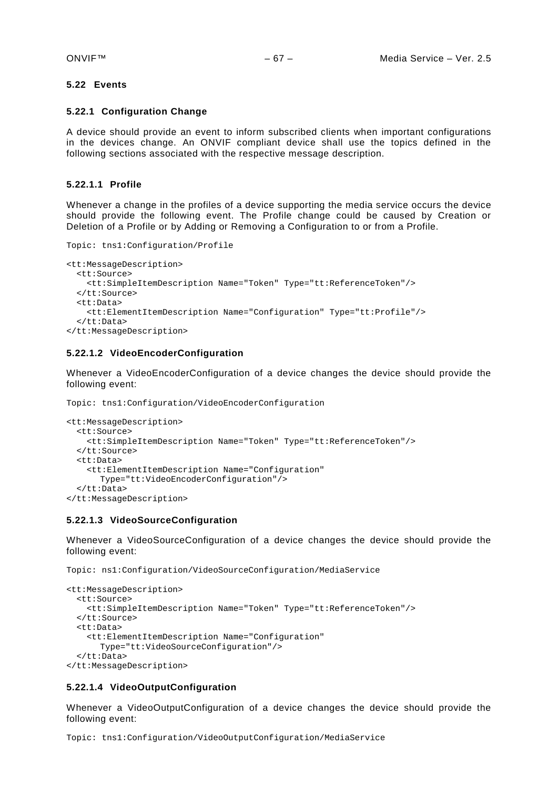### **5.22 Events**

#### **5.22.1 Configuration Change**

A device should provide an event to inform subscribed clients when important configurations in the devices change. An ONVIF compliant device shall use the topics defined in the following sections associated with the respective message description.

### **5.22.1.1 Profile**

Whenever a change in the profiles of a device supporting the media service occurs the device should provide the following event. The Profile change could be caused by Creation or Deletion of a Profile or by Adding or Removing a Configuration to or from a Profile.

```
Topic: tns1:Configuration/Profile
<tt:MessageDescription>
   <tt:Source>
     <tt:SimpleItemDescription Name="Token" Type="tt:ReferenceToken"/>
   </tt:Source>
   <tt:Data>
     <tt:ElementItemDescription Name="Configuration" Type="tt:Profile"/>
   </tt:Data>
</tt:MessageDescription>
```
### **5.22.1.2 VideoEncoderConfiguration**

Whenever a VideoEncoderConfiguration of a device changes the device should provide the following event:

```
Topic: tns1:Configuration/VideoEncoderConfiguration
```

```
<tt:MessageDescription>
  <tt:Source>
    <tt:SimpleItemDescription Name="Token" Type="tt:ReferenceToken"/>
   </tt:Source>
   <tt:Data>
     <tt:ElementItemDescription Name="Configuration"
      Type="tt:VideoEncoderConfiguration"/>
   </tt:Data>
</tt:MessageDescription>
```
## **5.22.1.3 VideoSourceConfiguration**

Whenever a VideoSourceConfiguration of a device changes the device should provide the following event:

Topic: ns1:Configuration/VideoSourceConfiguration/MediaService

```
<tt:MessageDescription>
  <tt:Source>
     <tt:SimpleItemDescription Name="Token" Type="tt:ReferenceToken"/>
   </tt:Source>
   <tt:Data>
     <tt:ElementItemDescription Name="Configuration"
      Type="tt:VideoSourceConfiguration"/>
   </tt:Data>
</tt:MessageDescription>
```
#### **5.22.1.4 VideoOutputConfiguration**

Whenever a VideoOutputConfiguration of a device changes the device should provide the following event: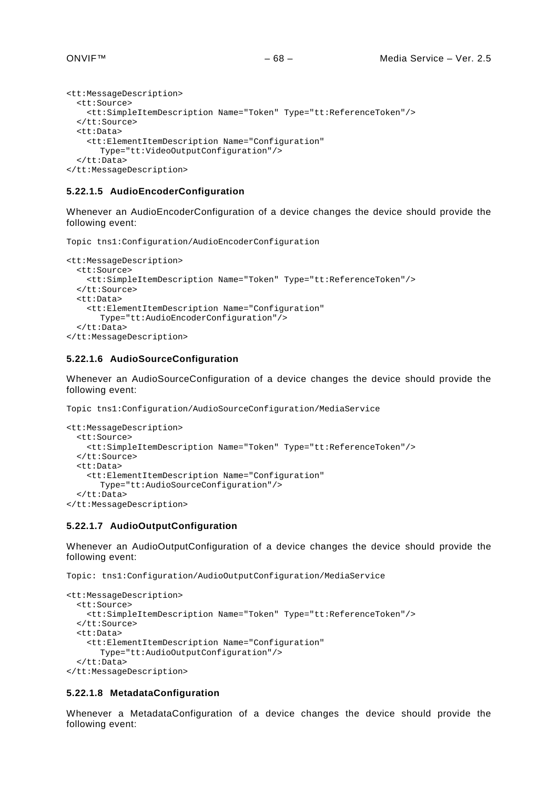```
<tt:MessageDescription>
   <tt:Source>
    <tt:SimpleItemDescription Name="Token" Type="tt:ReferenceToken"/>
   </tt:Source>
   <tt:Data>
     <tt:ElementItemDescription Name="Configuration"
      Type="tt:VideoOutputConfiguration"/>
   </tt:Data>
</tt:MessageDescription>
```
# **5.22.1.5 AudioEncoderConfiguration**

Whenever an AudioEncoderConfiguration of a device changes the device should provide the following event:

Topic tns1:Configuration/AudioEncoderConfiguration

```
<tt:MessageDescription>
   <tt:Source>
     <tt:SimpleItemDescription Name="Token" Type="tt:ReferenceToken"/>
   </tt:Source>
   <tt:Data>
     <tt:ElementItemDescription Name="Configuration"
      Type="tt:AudioEncoderConfiguration"/>
   </tt:Data>
</tt:MessageDescription>
```
## **5.22.1.6 AudioSourceConfiguration**

Whenever an AudioSourceConfiguration of a device changes the device should provide the following event:

Topic tns1:Configuration/AudioSourceConfiguration/MediaService

```
<tt:MessageDescription>
   <tt:Source>
     <tt:SimpleItemDescription Name="Token" Type="tt:ReferenceToken"/>
   </tt:Source>
   <tt:Data>
     <tt:ElementItemDescription Name="Configuration"
      Type="tt:AudioSourceConfiguration"/>
   </tt:Data>
</tt:MessageDescription>
```
### **5.22.1.7 AudioOutputConfiguration**

Whenever an AudioOutputConfiguration of a device changes the device should provide the following event:

Topic: tns1:Configuration/AudioOutputConfiguration/MediaService

```
<tt:MessageDescription>
   <tt:Source>
     <tt:SimpleItemDescription Name="Token" Type="tt:ReferenceToken"/>
   </tt:Source>
   <tt:Data>
     <tt:ElementItemDescription Name="Configuration"
      Type="tt:AudioOutputConfiguration"/>
   </tt:Data>
</tt:MessageDescription>
```
## **5.22.1.8 MetadataConfiguration**

Whenever a MetadataConfiguration of a device changes the device should provide the following event: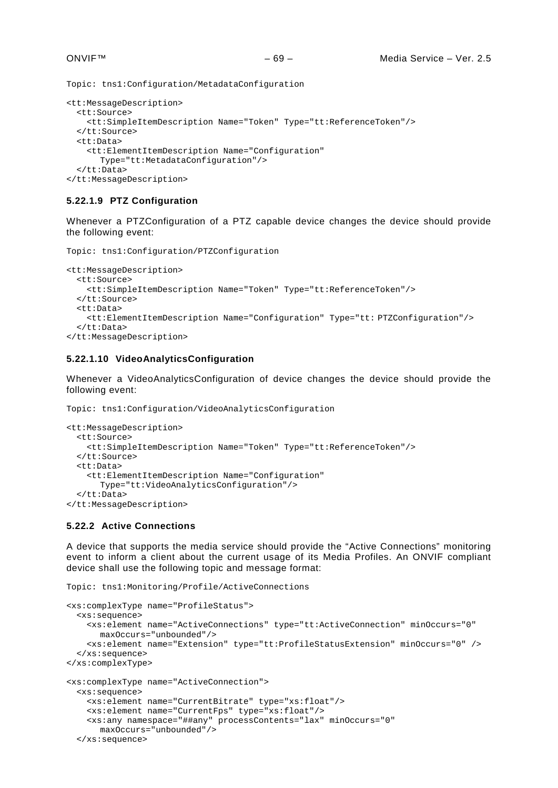Topic: tns1:Configuration/MetadataConfiguration

```
<tt:MessageDescription>
  <tt:Source>
     <tt:SimpleItemDescription Name="Token" Type="tt:ReferenceToken"/>
   </tt:Source>
   <tt:Data>
     <tt:ElementItemDescription Name="Configuration"
      Type="tt:MetadataConfiguration"/>
   </tt:Data>
</tt:MessageDescription>
```
## **5.22.1.9 PTZ Configuration**

Whenever a PTZConfiguration of a PTZ capable device changes the device should provide the following event:

```
Topic: tns1:Configuration/PTZConfiguration
```

```
<tt:MessageDescription>
   <tt:Source>
     <tt:SimpleItemDescription Name="Token" Type="tt:ReferenceToken"/>
   </tt:Source>
   <tt:Data>
    <tt:ElementItemDescription Name="Configuration" Type="tt: PTZConfiguration"/>
   </tt:Data>
</tt:MessageDescription>
```
### **5.22.1.10 VideoAnalyticsConfiguration**

Whenever a VideoAnalyticsConfiguration of device changes the device should provide the following event:

Topic: tns1:Configuration/VideoAnalyticsConfiguration

```
<tt:MessageDescription>
   <tt:Source>
     <tt:SimpleItemDescription Name="Token" Type="tt:ReferenceToken"/>
   </tt:Source>
   <tt:Data>
     <tt:ElementItemDescription Name="Configuration"
      Type="tt:VideoAnalyticsConfiguration"/>
   </tt:Data>
</tt:MessageDescription>
```
### **5.22.2 Active Connections**

A device that supports the media service should provide the "Active Connections" monitoring event to inform a client about the current usage of its Media Profiles. An ONVIF compliant device shall use the following topic and message format:

```
Topic: tns1:Monitoring/Profile/ActiveConnections
<xs:complexType name="ProfileStatus">
   <xs:sequence>
     <xs:element name="ActiveConnections" type="tt:ActiveConnection" minOccurs="0"
      maxOccurs="unbounded"/>
     <xs:element name="Extension" type="tt:ProfileStatusExtension" minOccurs="0" />
   </xs:sequence>
</xs:complexType>
<xs:complexType name="ActiveConnection">
   <xs:sequence>
     <xs:element name="CurrentBitrate" type="xs:float"/>
     <xs:element name="CurrentFps" type="xs:float"/>
     <xs:any namespace="##any" processContents="lax" minOccurs="0"
      maxOccurs="unbounded"/>
   </xs:sequence>
```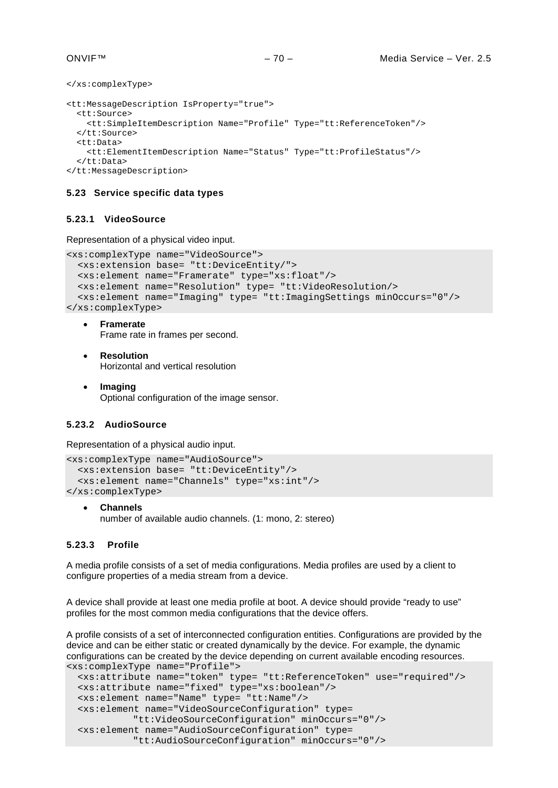```
</xs:complexType>
```

```
<tt:MessageDescription IsProperty="true">
   <tt:Source>
    <tt:SimpleItemDescription Name="Profile" Type="tt:ReferenceToken"/>
   </tt:Source>
   <tt:Data>
     <tt:ElementItemDescription Name="Status" Type="tt:ProfileStatus"/>
   </tt:Data>
</tt:MessageDescription>
```
# **5.23 Service specific data types**

# **5.23.1 VideoSource**

Representation of a physical video input.

```
<xs:complexType name="VideoSource">
   <xs:extension base= "tt:DeviceEntity/">
   <xs:element name="Framerate" type="xs:float"/>
   <xs:element name="Resolution" type= "tt:VideoResolution/>
   <xs:element name="Imaging" type= "tt:ImagingSettings minOccurs="0"/>
</xs:complexType>
```
• **Framerate**

Frame rate in frames per second.

- **Resolution** Horizontal and vertical resolution
- **Imaging** Optional configuration of the image sensor.

## **5.23.2 AudioSource**

Representation of a physical audio input.

```
<xs:complexType name="AudioSource">
  <xs:extension base= "tt:DeviceEntity"/>
   <xs:element name="Channels" type="xs:int"/>
</xs:complexType>
```
• **Channels** number of available audio channels. (1: mono, 2: stereo)

## **5.23.3 Profile**

A media profile consists of a set of media configurations. Media profiles are used by a client to configure properties of a media stream from a device.

A device shall provide at least one media profile at boot. A device should provide "ready to use" profiles for the most common media configurations that the device offers.

A profile consists of a set of interconnected configuration entities. Configurations are provided by the device and can be either static or created dynamically by the device. For example, the dynamic configurations can be created by the device depending on current available encoding resources. <xs:complexType name="Profile">

```
 <xs:attribute name="token" type= "tt:ReferenceToken" use="required"/>
 <xs:attribute name="fixed" type="xs:boolean"/>
 <xs:element name="Name" type= "tt:Name"/>
 <xs:element name="VideoSourceConfiguration" type= 
          "tt:VideoSourceConfiguration" minOccurs="0"/>
 <xs:element name="AudioSourceConfiguration" type= 
          "tt:AudioSourceConfiguration" minOccurs="0"/>
```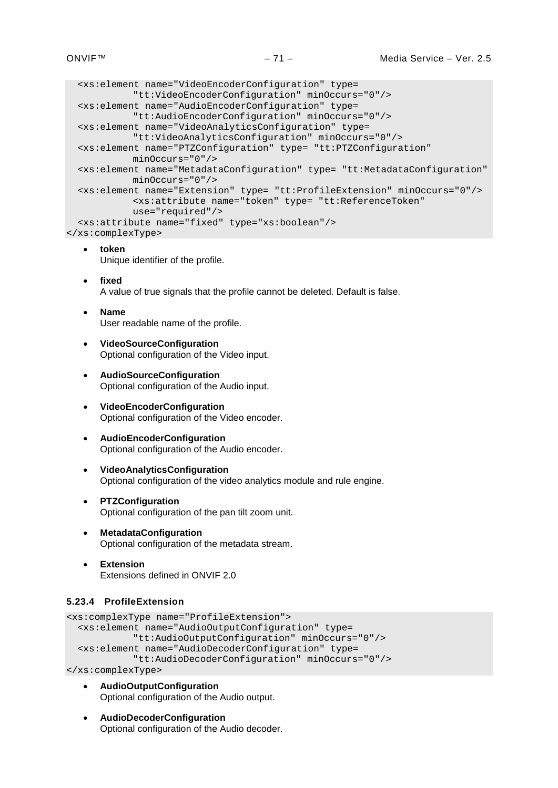```
 <xs:element name="VideoEncoderConfiguration" type= 
           "tt:VideoEncoderConfiguration" minOccurs="0"/>
   <xs:element name="AudioEncoderConfiguration" type= 
           "tt:AudioEncoderConfiguration" minOccurs="0"/>
   <xs:element name="VideoAnalyticsConfiguration" type= 
           "tt:VideoAnalyticsConfiguration" minOccurs="0"/>
   <xs:element name="PTZConfiguration" type= "tt:PTZConfiguration"
           minOccurs="0"/>
   <xs:element name="MetadataConfiguration" type= "tt:MetadataConfiguration"
           minOccurs="0"/>
   <xs:element name="Extension" type= "tt:ProfileExtension" minOccurs="0"/>
           <xs:attribute name="token" type= "tt:ReferenceToken"
           use="required"/>
   <xs:attribute name="fixed" type="xs:boolean"/>
</xs:complexType>
```
• **token** Unique identifier of the profile.

- **fixed** A value of true signals that the profile cannot be deleted. Default is false.
- **Name** User readable name of the profile.
- **VideoSourceConfiguration** Optional configuration of the Video input.
- **AudioSourceConfiguration** Optional configuration of the Audio input.
- **VideoEncoderConfiguration** Optional configuration of the Video encoder.
- **AudioEncoderConfiguration** Optional configuration of the Audio encoder.
- **VideoAnalyticsConfiguration** Optional configuration of the video analytics module and rule engine.
- **PTZConfiguration** Optional configuration of the pan tilt zoom unit.
- **MetadataConfiguration** Optional configuration of the metadata stream.
- **Extension** Extensions defined in ONVIF 2.0

## **5.23.4 ProfileExtension**

```
<xs:complexType name="ProfileExtension">
   <xs:element name="AudioOutputConfiguration" type= 
            "tt:AudioOutputConfiguration" minOccurs="0"/>
   <xs:element name="AudioDecoderConfiguration" type= 
            "tt:AudioDecoderConfiguration" minOccurs="0"/>
</xs:complexType>
```
- **AudioOutputConfiguration**
	- Optional configuration of the Audio output.
	- **AudioDecoderConfiguration** Optional configuration of the Audio decoder.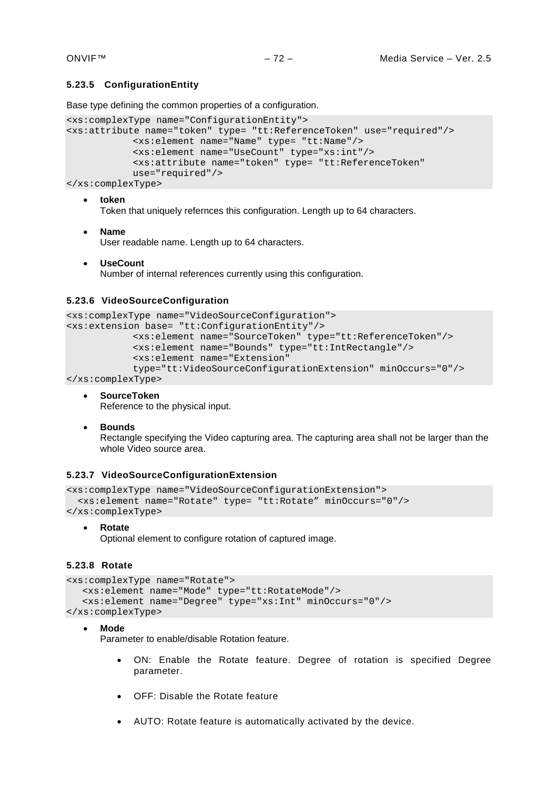## **5.23.5 ConfigurationEntity**

Base type defining the common properties of a configuration.

```
<xs:complexType name="ConfigurationEntity">
<xs:attribute name="token" type= "tt:ReferenceToken" use="required"/>
            <xs:element name="Name" type= "tt:Name"/>
            <xs:element name="UseCount" type="xs:int"/>
            <xs:attribute name="token" type= "tt:ReferenceToken"
            use="required"/>
</xs:complexType>
```
• **token**

Token that uniquely refernces this configuration. Length up to 64 characters.

- **Name** User readable name. Length up to 64 characters.
- **UseCount** Number of internal references currently using this configuration.

### **5.23.6 VideoSourceConfiguration**

```
<xs:complexType name="VideoSourceConfiguration">
<xs:extension base= "tt:ConfigurationEntity"/>
            <xs:element name="SourceToken" type="tt:ReferenceToken"/>
            <xs:element name="Bounds" type="tt:IntRectangle"/>
            <xs:element name="Extension" 
            type="tt:VideoSourceConfigurationExtension" minOccurs="0"/>
</xs:complexType>
```
- **SourceToken** Reference to the physical input.
- **Bounds**

Rectangle specifying the Video capturing area. The capturing area shall not be larger than the whole Video source area.

### **5.23.7 VideoSourceConfigurationExtension**

```
<xs:complexType name="VideoSourceConfigurationExtension">
   <xs:element name="Rotate" type= "tt:Rotate" minOccurs="0"/>
</xs:complexType>
```
• **Rotate**

Optional element to configure rotation of captured image.

### **5.23.8 Rotate**

```
<xs:complexType name="Rotate">
  <xs:element name="Mode" type="tt:RotateMode"/>
  <xs:element name="Degree" type="xs:Int" minOccurs="0"/>
</xs:complexType>
```
### • **Mode**

Parameter to enable/disable Rotation feature.

- ON: Enable the Rotate feature. Degree of rotation is specified Degree parameter.
- OFF: Disable the Rotate feature
- AUTO: Rotate feature is automatically activated by the device.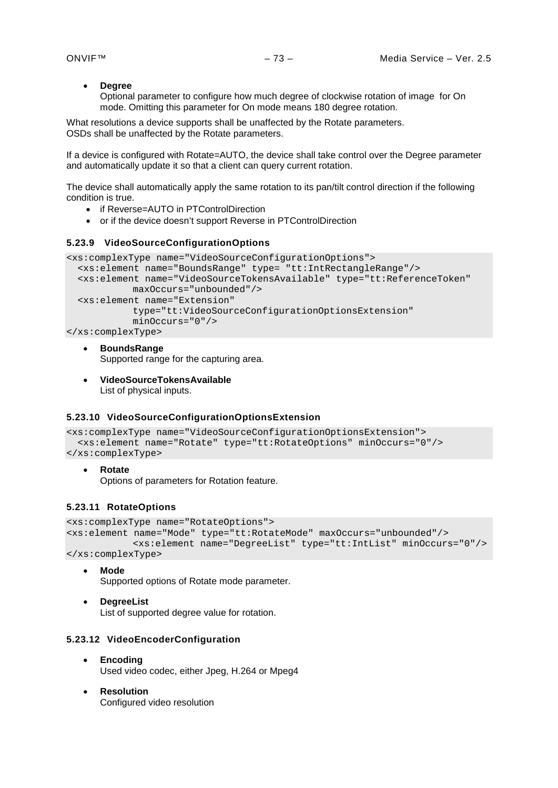• **Degree**

Optional parameter to configure how much degree of clockwise rotation of image for On mode. Omitting this parameter for On mode means 180 degree rotation.

What resolutions a device supports shall be unaffected by the Rotate parameters. OSDs shall be unaffected by the Rotate parameters.

If a device is configured with Rotate=AUTO, the device shall take control over the Degree parameter and automatically update it so that a client can query current rotation.

The device shall automatically apply the same rotation to its pan/tilt control direction if the following condition is true.

- if Reverse=AUTO in PTControlDirection
- or if the device doesn't support Reverse in PTControlDirection

# **5.23.9 VideoSourceConfigurationOptions**

```
<xs:complexType name="VideoSourceConfigurationOptions">
   <xs:element name="BoundsRange" type= "tt:IntRectangleRange"/>
   <xs:element name="VideoSourceTokensAvailable" type="tt:ReferenceToken" 
           maxOccurs="unbounded"/>
   <xs:element name="Extension" 
           type="tt:VideoSourceConfigurationOptionsExtension" 
            minOccurs="0"/>
```
</xs:complexType>

- **BoundsRange** Supported range for the capturing area.
- **VideoSourceTokensAvailable** List of physical inputs.

# **5.23.10 VideoSourceConfigurationOptionsExtension**

```
<xs:complexType name="VideoSourceConfigurationOptionsExtension">
   <xs:element name="Rotate" type="tt:RotateOptions" minOccurs="0"/>
</xs:complexType>
```
• **Rotate**

Options of parameters for Rotation feature.

#### **5.23.11 RotateOptions**

```
<xs:complexType name="RotateOptions">
<xs:element name="Mode" type="tt:RotateMode" maxOccurs="unbounded"/>
           <xs:element name="DegreeList" type="tt:IntList" minOccurs="0"/>
```
</xs:complexType>

- **Mode** Supported options of Rotate mode parameter.
- **DegreeList** List of supported degree value for rotation.

# **5.23.12 VideoEncoderConfiguration**

- **Encoding** Used video codec, either Jpeg, H.264 or Mpeg4
- **Resolution** Configured video resolution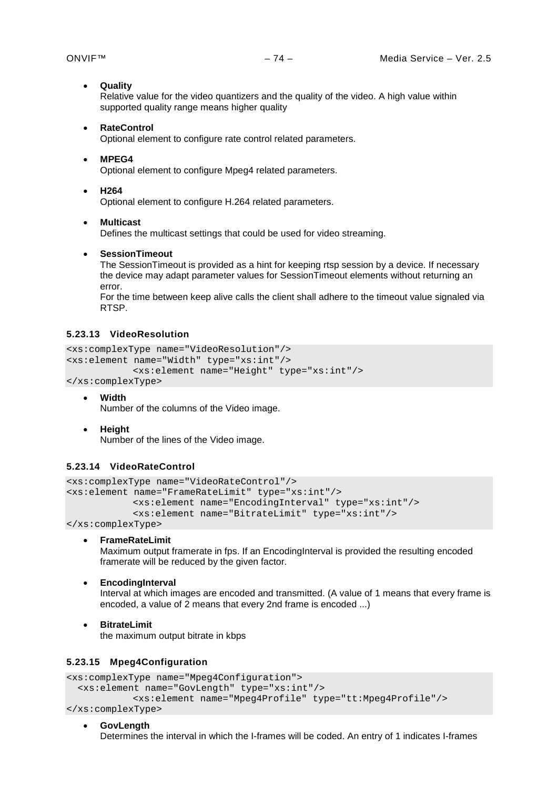#### • **Quality**

Relative value for the video quantizers and the quality of the video. A high value within supported quality range means higher quality

#### • **RateControl**

Optional element to configure rate control related parameters.

• **MPEG4**

Optional element to configure Mpeg4 related parameters.

• **H264**

Optional element to configure H.264 related parameters.

#### • **Multicast**

Defines the multicast settings that could be used for video streaming.

#### • **SessionTimeout**

The SessionTimeout is provided as a hint for keeping rtsp session by a device. If necessary the device may adapt parameter values for SessionTimeout elements without returning an error.

For the time between keep alive calls the client shall adhere to the timeout value signaled via RTSP.

# **5.23.13 VideoResolution**

```
<xs:complexType name="VideoResolution"/>
<xs:element name="Width" type="xs:int"/>
           <xs:element name="Height" type="xs:int"/>
</xs:complexType>
```
• **Width**

Number of the columns of the Video image.

• **Height** Number of the lines of the Video image.

# **5.23.14 VideoRateControl**

```
<xs:complexType name="VideoRateControl"/>
<xs:element name="FrameRateLimit" type="xs:int"/>
            <xs:element name="EncodingInterval" type="xs:int"/>
            <xs:element name="BitrateLimit" type="xs:int"/>
</xs:complexType>
```
- **FrameRateLimit**
	- Maximum output framerate in fps. If an EncodingInterval is provided the resulting encoded framerate will be reduced by the given factor.
	- **EncodingInterval**

Interval at which images are encoded and transmitted. (A value of 1 means that every frame is encoded, a value of 2 means that every 2nd frame is encoded ...)

• **BitrateLimit**

the maximum output bitrate in kbps

# **5.23.15 Mpeg4Configuration**

```
<xs:complexType name="Mpeg4Configuration">
   <xs:element name="GovLength" type="xs:int"/>
            <xs:element name="Mpeg4Profile" type="tt:Mpeg4Profile"/>
</xs:complexType>
```
• **GovLength** Determines the interval in which the I-frames will be coded. An entry of 1 indicates I-frames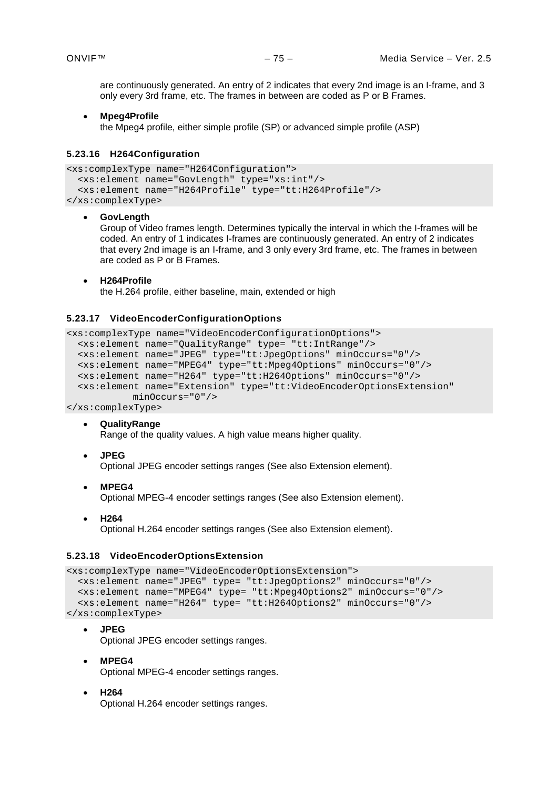are continuously generated. An entry of 2 indicates that every 2nd image is an I-frame, and 3 only every 3rd frame, etc. The frames in between are coded as P or B Frames.

• **Mpeg4Profile**

the Mpeg4 profile, either simple profile (SP) or advanced simple profile (ASP)

#### **5.23.16 H264Configuration**

```
<xs:complexType name="H264Configuration">
   <xs:element name="GovLength" type="xs:int"/>
   <xs:element name="H264Profile" type="tt:H264Profile"/>
</xs:complexType>
```
#### • **GovLength**

Group of Video frames length. Determines typically the interval in which the I-frames will be coded. An entry of 1 indicates I-frames are continuously generated. An entry of 2 indicates that every 2nd image is an I-frame, and 3 only every 3rd frame, etc. The frames in between are coded as P or B Frames.

#### • **H264Profile**

the H.264 profile, either baseline, main, extended or high

#### **5.23.17 VideoEncoderConfigurationOptions**

```
<xs:complexType name="VideoEncoderConfigurationOptions">
  <xs:element name="QualityRange" type= "tt:IntRange"/>
  <xs:element name="JPEG" type="tt:JpegOptions" minOccurs="0"/>
   <xs:element name="MPEG4" type="tt:Mpeg4Options" minOccurs="0"/>
   <xs:element name="H264" type="tt:H264Options" minOccurs="0"/>
   <xs:element name="Extension" type="tt:VideoEncoderOptionsExtension"
           minOccurs="0"/>
```
</xs:complexType>

• **QualityRange** Range of the quality values. A high value means higher quality.

• **JPEG**

Optional JPEG encoder settings ranges (See also Extension element).

• **MPEG4**

Optional MPEG-4 encoder settings ranges (See also Extension element).

• **H264** Optional H.264 encoder settings ranges (See also Extension element).

#### **5.23.18 VideoEncoderOptionsExtension**

```
<xs:complexType name="VideoEncoderOptionsExtension">
   <xs:element name="JPEG" type= "tt:JpegOptions2" minOccurs="0"/>
   <xs:element name="MPEG4" type= "tt:Mpeg4Options2" minOccurs="0"/>
   <xs:element name="H264" type= "tt:H264Options2" minOccurs="0"/>
</xs:complexType>
```
• **JPEG**

Optional JPEG encoder settings ranges.

• **MPEG4**

Optional MPEG-4 encoder settings ranges.

• **H264**

Optional H.264 encoder settings ranges.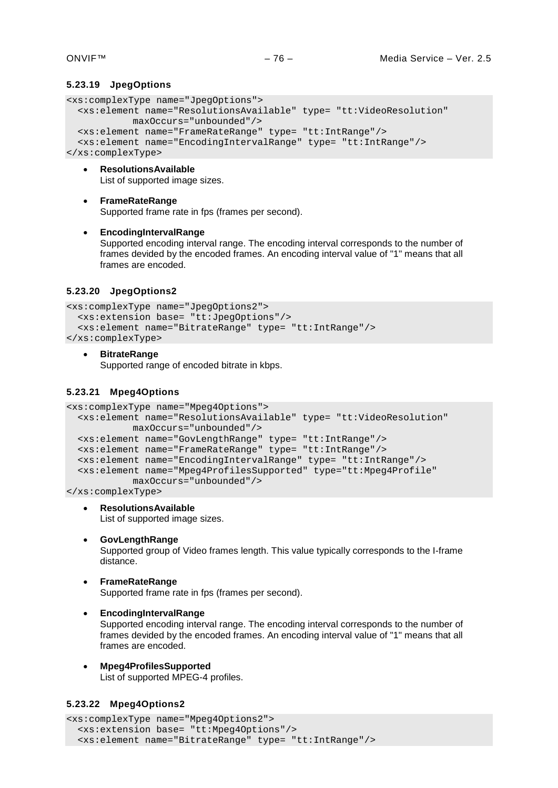### **5.23.19 JpegOptions**

```
<xs:complexType name="JpegOptions">
```

```
 <xs:element name="ResolutionsAvailable" type= "tt:VideoResolution"
           maxOccurs="unbounded"/>
   <xs:element name="FrameRateRange" type= "tt:IntRange"/>
   <xs:element name="EncodingIntervalRange" type= "tt:IntRange"/>
</xs:complexType>
```
# • **ResolutionsAvailable**

List of supported image sizes.

• **FrameRateRange** Supported frame rate in fps (frames per second).

#### • **EncodingIntervalRange**

Supported encoding interval range. The encoding interval corresponds to the number of frames devided by the encoded frames. An encoding interval value of "1" means that all frames are encoded.

# **5.23.20 JpegOptions2**

```
<xs:complexType name="JpegOptions2">
   <xs:extension base= "tt:JpegOptions"/>
   <xs:element name="BitrateRange" type= "tt:IntRange"/>
</xs:complexType>
```
# • **BitrateRange**

Supported range of encoded bitrate in kbps.

# **5.23.21 Mpeg4Options**

```
<xs:complexType name="Mpeg4Options">
   <xs:element name="ResolutionsAvailable" type= "tt:VideoResolution"
           maxOccurs="unbounded"/>
  <xs:element name="GovLengthRange" type= "tt:IntRange"/>
   <xs:element name="FrameRateRange" type= "tt:IntRange"/>
   <xs:element name="EncodingIntervalRange" type= "tt:IntRange"/>
   <xs:element name="Mpeg4ProfilesSupported" type="tt:Mpeg4Profile" 
           maxOccurs="unbounded"/>
```
</xs:complexType>

- **ResolutionsAvailable** List of supported image sizes.
- **GovLengthRange** Supported group of Video frames length. This value typically corresponds to the I-frame distance.
- **FrameRateRange** Supported frame rate in fps (frames per second).
- **EncodingIntervalRange** Supported encoding interval range. The encoding interval corresponds to the number of frames devided by the encoded frames. An encoding interval value of "1" means that all frames are encoded.
- **Mpeg4ProfilesSupported** List of supported MPEG-4 profiles.

# **5.23.22 Mpeg4Options2**

```
<xs:complexType name="Mpeg4Options2">
  <xs:extension base= "tt:Mpeg4Options"/>
   <xs:element name="BitrateRange" type= "tt:IntRange"/>
```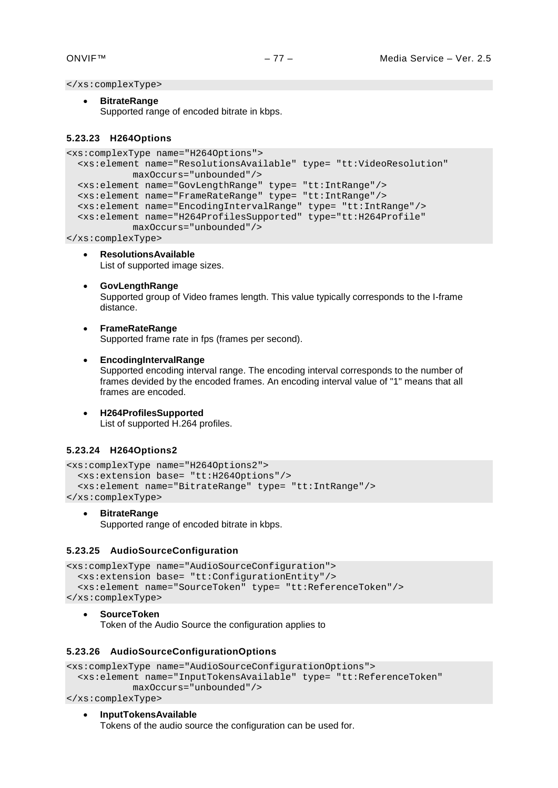</xs:complexType>

• **BitrateRange** Supported range of encoded bitrate in kbps.

#### **5.23.23 H264Options**

```
<xs:complexType name="H264Options">
   <xs:element name="ResolutionsAvailable" type= "tt:VideoResolution"
           maxOccurs="unbounded"/>
   <xs:element name="GovLengthRange" type= "tt:IntRange"/>
   <xs:element name="FrameRateRange" type= "tt:IntRange"/>
   <xs:element name="EncodingIntervalRange" type= "tt:IntRange"/>
   <xs:element name="H264ProfilesSupported" type="tt:H264Profile" 
           maxOccurs="unbounded"/>
```
</xs:complexType>

- **ResolutionsAvailable** List of supported image sizes.
- **GovLengthRange**

Supported group of Video frames length. This value typically corresponds to the I-frame distance.

- **FrameRateRange** Supported frame rate in fps (frames per second).
- **EncodingIntervalRange** Supported encoding interval range. The encoding interval corresponds to the number of frames devided by the encoded frames. An encoding interval value of "1" means that all frames are encoded.
	- **H264ProfilesSupported** List of supported H.264 profiles.

# **5.23.24 H264Options2**

```
<xs:complexType name="H264Options2">
   <xs:extension base= "tt:H264Options"/>
   <xs:element name="BitrateRange" type= "tt:IntRange"/>
</xs:complexType>
```
#### • **BitrateRange**

Supported range of encoded bitrate in kbps.

#### **5.23.25 AudioSourceConfiguration**

```
<xs:complexType name="AudioSourceConfiguration">
   <xs:extension base= "tt:ConfigurationEntity"/>
   <xs:element name="SourceToken" type= "tt:ReferenceToken"/>
</xs:complexType>
```
#### • **SourceToken**

Token of the Audio Source the configuration applies to

#### **5.23.26 AudioSourceConfigurationOptions**

```
<xs:complexType name="AudioSourceConfigurationOptions">
   <xs:element name="InputTokensAvailable" type= "tt:ReferenceToken"
           maxOccurs="unbounded"/>
```
</xs:complexType>

• **InputTokensAvailable** Tokens of the audio source the configuration can be used for.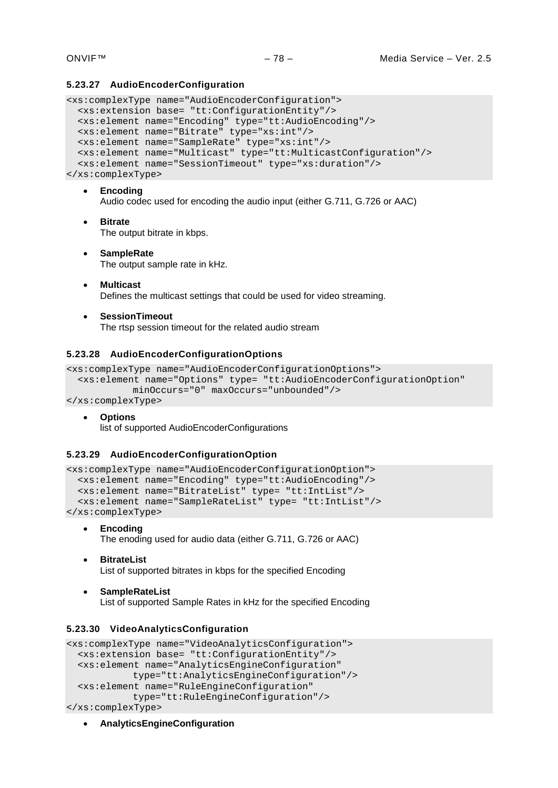# **5.23.27 AudioEncoderConfiguration**

```
<xs:complexType name="AudioEncoderConfiguration">
   <xs:extension base= "tt:ConfigurationEntity"/>
  <xs:element name="Encoding" type="tt:AudioEncoding"/>
  <xs:element name="Bitrate" type="xs:int"/>
   <xs:element name="SampleRate" type="xs:int"/>
   <xs:element name="Multicast" type="tt:MulticastConfiguration"/>
   <xs:element name="SessionTimeout" type="xs:duration"/>
</xs:complexType>
```
• **Encoding**

Audio codec used for encoding the audio input (either G.711, G.726 or AAC)

- **Bitrate** The output bitrate in kbps.
- **SampleRate** The output sample rate in kHz.
- **Multicast** Defines the multicast settings that could be used for video streaming.
- **SessionTimeout**

The rtsp session timeout for the related audio stream

# **5.23.28 AudioEncoderConfigurationOptions**

```
<xs:complexType name="AudioEncoderConfigurationOptions">
   <xs:element name="Options" type= "tt:AudioEncoderConfigurationOption"
           minOccurs="0" maxOccurs="unbounded"/>
```

```
</xs:complexType>
```
#### • **Options**

list of supported AudioEncoderConfigurations

#### **5.23.29 AudioEncoderConfigurationOption**

```
<xs:complexType name="AudioEncoderConfigurationOption">
   <xs:element name="Encoding" type="tt:AudioEncoding"/>
   <xs:element name="BitrateList" type= "tt:IntList"/>
   <xs:element name="SampleRateList" type= "tt:IntList"/>
</xs:complexType>
```
- **Encoding** The enoding used for audio data (either G.711, G.726 or AAC)
- **BitrateList** List of supported bitrates in kbps for the specified Encoding
- **SampleRateList** List of supported Sample Rates in kHz for the specified Encoding

# **5.23.30 VideoAnalyticsConfiguration**

```
<xs:complexType name="VideoAnalyticsConfiguration">
   <xs:extension base= "tt:ConfigurationEntity"/>
   <xs:element name="AnalyticsEngineConfiguration" 
            type="tt:AnalyticsEngineConfiguration"/>
   <xs:element name="RuleEngineConfiguration" 
            type="tt:RuleEngineConfiguration"/>
</xs:complexType>
```
• **AnalyticsEngineConfiguration**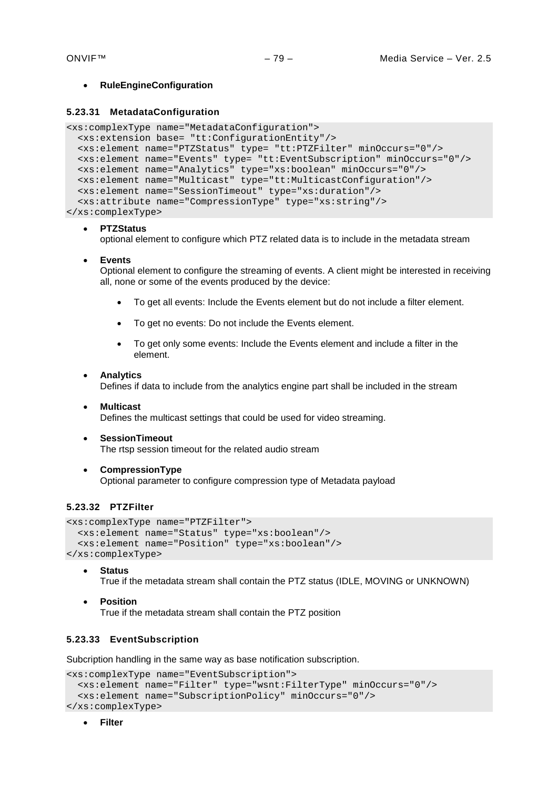# • **RuleEngineConfiguration**

# **5.23.31 MetadataConfiguration**

```
<xs:complexType name="MetadataConfiguration">
   <xs:extension base= "tt:ConfigurationEntity"/>
   <xs:element name="PTZStatus" type= "tt:PTZFilter" minOccurs="0"/>
  <xs:element name="Events" type= "tt:EventSubscription" minOccurs="0"/>
  <xs:element name="Analytics" type="xs:boolean" minOccurs="0"/>
  <xs:element name="Multicast" type="tt:MulticastConfiguration"/>
  <xs:element name="SessionTimeout" type="xs:duration"/>
   <xs:attribute name="CompressionType" type="xs:string"/>
</xs:complexType>
```
#### • **PTZStatus**

optional element to configure which PTZ related data is to include in the metadata stream

#### • **Events**

Optional element to configure the streaming of events. A client might be interested in receiving all, none or some of the events produced by the device:

- To get all events: Include the Events element but do not include a filter element.
- To get no events: Do not include the Events element.
- To get only some events: Include the Events element and include a filter in the element.
- **Analytics**

Defines if data to include from the analytics engine part shall be included in the stream

- **Multicast** Defines the multicast settings that could be used for video streaming.
- **SessionTimeout** The rtsp session timeout for the related audio stream
- **CompressionType** Optional parameter to configure compression type of Metadata payload

# **5.23.32 PTZFilter**

```
<xs:complexType name="PTZFilter">
   <xs:element name="Status" type="xs:boolean"/>
   <xs:element name="Position" type="xs:boolean"/>
</xs:complexType>
```
• **Status**

True if the metadata stream shall contain the PTZ status (IDLE, MOVING or UNKNOWN)

• **Position** True if the metadata stream shall contain the PTZ position

# **5.23.33 EventSubscription**

Subcription handling in the same way as base notification subscription.

```
<xs:complexType name="EventSubscription">
   <xs:element name="Filter" type="wsnt:FilterType" minOccurs="0"/>
   <xs:element name="SubscriptionPolicy" minOccurs="0"/>
</xs:complexType>
```
• **Filter**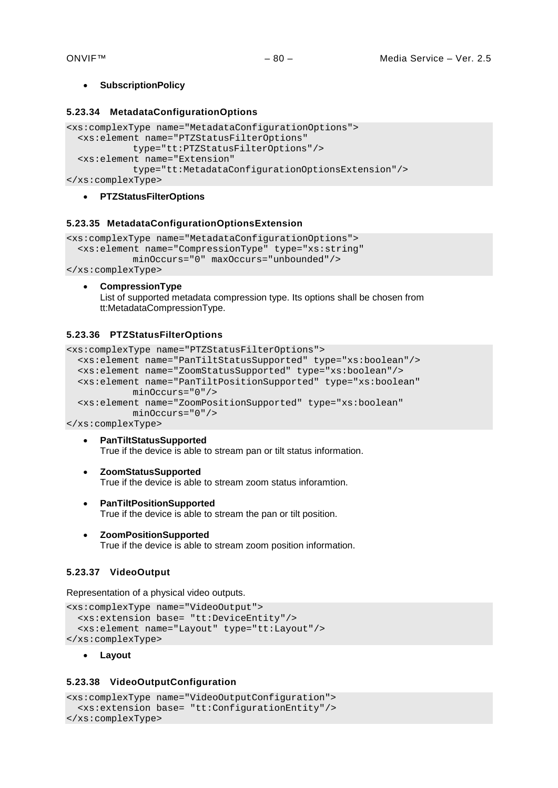#### • **SubscriptionPolicy**

#### **5.23.34 MetadataConfigurationOptions**

```
<xs:complexType name="MetadataConfigurationOptions">
   <xs:element name="PTZStatusFilterOptions" 
            type="tt:PTZStatusFilterOptions"/>
   <xs:element name="Extension" 
            type="tt:MetadataConfigurationOptionsExtension"/>
</xs:complexType>
```
• **PTZStatusFilterOptions**

#### **5.23.35 MetadataConfigurationOptionsExtension**

```
<xs:complexType name="MetadataConfigurationOptions">
   <xs:element name="CompressionType" type="xs:string" 
           minOccurs="0" maxOccurs="unbounded"/>
```
</xs:complexType>

• **CompressionType**

List of supported metadata compression type. Its options shall be chosen from tt:MetadataCompressionType.

#### **5.23.36 PTZStatusFilterOptions**

```
<xs:complexType name="PTZStatusFilterOptions">
  <xs:element name="PanTiltStatusSupported" type="xs:boolean"/>
   <xs:element name="ZoomStatusSupported" type="xs:boolean"/>
   <xs:element name="PanTiltPositionSupported" type="xs:boolean" 
           minOccurs="0"/>
   <xs:element name="ZoomPositionSupported" type="xs:boolean" 
            minOccurs="0"/>
```
</xs:complexType>

- **PanTiltStatusSupported** True if the device is able to stream pan or tilt status information.
- **ZoomStatusSupported** True if the device is able to stream zoom status inforamtion.
- **PanTiltPositionSupported** True if the device is able to stream the pan or tilt position.
- **ZoomPositionSupported** True if the device is able to stream zoom position information.

#### **5.23.37 VideoOutput**

Representation of a physical video outputs.

```
<xs:complexType name="VideoOutput">
   <xs:extension base= "tt:DeviceEntity"/>
   <xs:element name="Layout" type="tt:Layout"/>
</xs:complexType>
```
• **Layout**

#### **5.23.38 VideoOutputConfiguration**

```
<xs:complexType name="VideoOutputConfiguration">
   <xs:extension base= "tt:ConfigurationEntity"/>
</xs:complexType>
```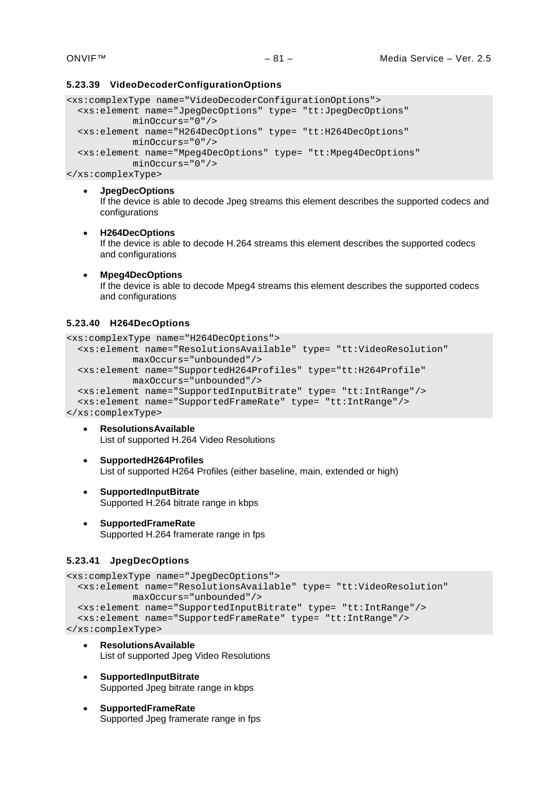# **5.23.39 VideoDecoderConfigurationOptions**

```
<xs:complexType name="VideoDecoderConfigurationOptions">
   <xs:element name="JpegDecOptions" type= "tt:JpegDecOptions"
           minOccurs="0"/>
   <xs:element name="H264DecOptions" type= "tt:H264DecOptions"
           minOccurs="0"/>
   <xs:element name="Mpeg4DecOptions" type= "tt:Mpeg4DecOptions"
           minOccurs="0"/>
```
</xs:complexType>

#### • **JpegDecOptions**

If the device is able to decode Jpeg streams this element describes the supported codecs and configurations

#### • **H264DecOptions**

If the device is able to decode H.264 streams this element describes the supported codecs and configurations

• **Mpeg4DecOptions**

If the device is able to decode Mpeg4 streams this element describes the supported codecs and configurations

# **5.23.40 H264DecOptions**

```
<xs:complexType name="H264DecOptions">
   <xs:element name="ResolutionsAvailable" type= "tt:VideoResolution"
           maxOccurs="unbounded"/>
   <xs:element name="SupportedH264Profiles" type="tt:H264Profile" 
           maxOccurs="unbounded"/>
   <xs:element name="SupportedInputBitrate" type= "tt:IntRange"/>
   <xs:element name="SupportedFrameRate" type= "tt:IntRange"/>
</xs:complexType>
```
- **ResolutionsAvailable** List of supported H.264 Video Resolutions
- **SupportedH264Profiles** List of supported H264 Profiles (either baseline, main, extended or high)
- **SupportedInputBitrate** Supported H.264 bitrate range in kbps
- **SupportedFrameRate** Supported H.264 framerate range in fps

# **5.23.41 JpegDecOptions**

```
<xs:complexType name="JpegDecOptions">
   <xs:element name="ResolutionsAvailable" type= "tt:VideoResolution"
           maxOccurs="unbounded"/>
   <xs:element name="SupportedInputBitrate" type= "tt:IntRange"/>
   <xs:element name="SupportedFrameRate" type= "tt:IntRange"/>
</xs:complexType>
```
- **ResolutionsAvailable** List of supported Jpeg Video Resolutions
- **SupportedInputBitrate** Supported Jpeg bitrate range in kbps
- **SupportedFrameRate** Supported Jpeg framerate range in fps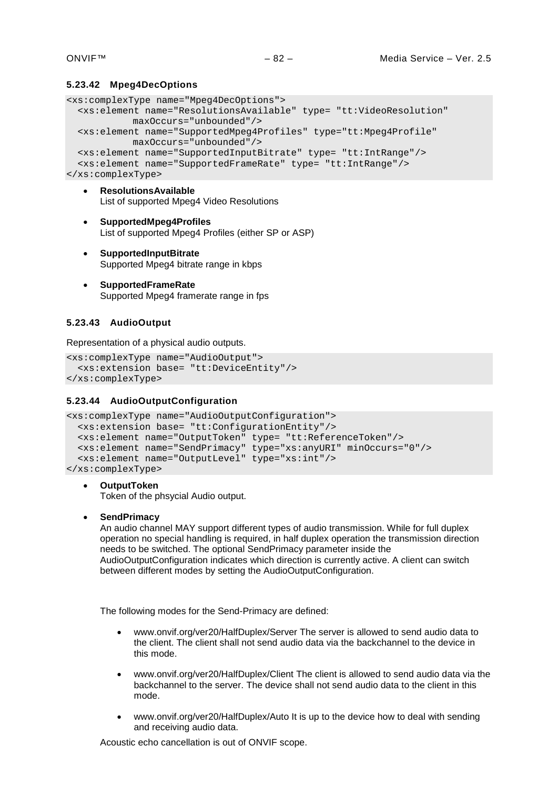# **5.23.42 Mpeg4DecOptions**

```
<xs:complexType name="Mpeg4DecOptions">
   <xs:element name="ResolutionsAvailable" type= "tt:VideoResolution"
           maxOccurs="unbounded"/>
   <xs:element name="SupportedMpeg4Profiles" type="tt:Mpeg4Profile" 
          maxOccurs="unbounded"/>
   <xs:element name="SupportedInputBitrate" type= "tt:IntRange"/>
   <xs:element name="SupportedFrameRate" type= "tt:IntRange"/>
</xs:complexType>
```
- **ResolutionsAvailable** List of supported Mpeg4 Video Resolutions
- **SupportedMpeg4Profiles** List of supported Mpeg4 Profiles (either SP or ASP)
- **SupportedInputBitrate** Supported Mpeg4 bitrate range in kbps
- **SupportedFrameRate** Supported Mpeg4 framerate range in fps

# **5.23.43 AudioOutput**

Representation of a physical audio outputs.

```
<xs:complexType name="AudioOutput">
   <xs:extension base= "tt:DeviceEntity"/>
</xs:complexType>
```
#### **5.23.44 AudioOutputConfiguration**

```
<xs:complexType name="AudioOutputConfiguration">
   <xs:extension base= "tt:ConfigurationEntity"/>
   <xs:element name="OutputToken" type= "tt:ReferenceToken"/>
  <xs:element name="SendPrimacy" type="xs:anyURI" minOccurs="0"/>
   <xs:element name="OutputLevel" type="xs:int"/>
</xs:complexType>
```
• **OutputToken**

Token of the phsycial Audio output.

• **SendPrimacy**

An audio channel MAY support different types of audio transmission. While for full duplex operation no special handling is required, in half duplex operation the transmission direction needs to be switched. The optional SendPrimacy parameter inside the AudioOutputConfiguration indicates which direction is currently active. A client can switch between different modes by setting the AudioOutputConfiguration.

The following modes for the Send-Primacy are defined:

- www.onvif.org/ver20/HalfDuplex/Server The server is allowed to send audio data to the client. The client shall not send audio data via the backchannel to the device in this mode.
- www.onvif.org/ver20/HalfDuplex/Client The client is allowed to send audio data via the backchannel to the server. The device shall not send audio data to the client in this mode.
- www.onvif.org/ver20/HalfDuplex/Auto It is up to the device how to deal with sending and receiving audio data.

Acoustic echo cancellation is out of ONVIF scope.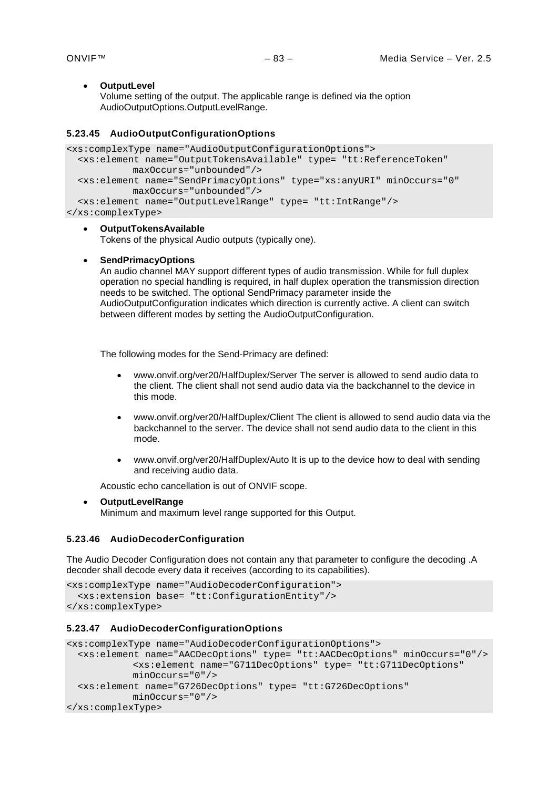• **OutputLevel**

Volume setting of the output. The applicable range is defined via the option AudioOutputOptions.OutputLevelRange.

# **5.23.45 AudioOutputConfigurationOptions**

```
<xs:complexType name="AudioOutputConfigurationOptions">
   <xs:element name="OutputTokensAvailable" type= "tt:ReferenceToken"
           maxOccurs="unbounded"/>
   <xs:element name="SendPrimacyOptions" type="xs:anyURI" minOccurs="0" 
           maxOccurs="unbounded"/>
   <xs:element name="OutputLevelRange" type= "tt:IntRange"/>
</xs:complexType>
```
- **OutputTokensAvailable** Tokens of the physical Audio outputs (typically one).
- **SendPrimacyOptions**

An audio channel MAY support different types of audio transmission. While for full duplex operation no special handling is required, in half duplex operation the transmission direction needs to be switched. The optional SendPrimacy parameter inside the AudioOutputConfiguration indicates which direction is currently active. A client can switch between different modes by setting the AudioOutputConfiguration.

The following modes for the Send-Primacy are defined:

- www.onvif.org/ver20/HalfDuplex/Server The server is allowed to send audio data to the client. The client shall not send audio data via the backchannel to the device in this mode.
- www.onvif.org/ver20/HalfDuplex/Client The client is allowed to send audio data via the backchannel to the server. The device shall not send audio data to the client in this mode.
- www.onvif.org/ver20/HalfDuplex/Auto It is up to the device how to deal with sending and receiving audio data.

Acoustic echo cancellation is out of ONVIF scope.

#### • **OutputLevelRange**

Minimum and maximum level range supported for this Output.

#### **5.23.46 AudioDecoderConfiguration**

The Audio Decoder Configuration does not contain any that parameter to configure the decoding .A decoder shall decode every data it receives (according to its capabilities).

```
<xs:complexType name="AudioDecoderConfiguration">
   <xs:extension base= "tt:ConfigurationEntity"/>
</xs:complexType>
```
#### **5.23.47 AudioDecoderConfigurationOptions**

```
<xs:complexType name="AudioDecoderConfigurationOptions">
   <xs:element name="AACDecOptions" type= "tt:AACDecOptions" minOccurs="0"/>
           <xs:element name="G711DecOptions" type= "tt:G711DecOptions"
           minOccurs="0"/>
   <xs:element name="G726DecOptions" type= "tt:G726DecOptions"
           minOccurs="0"/>
</xs:complexType>
```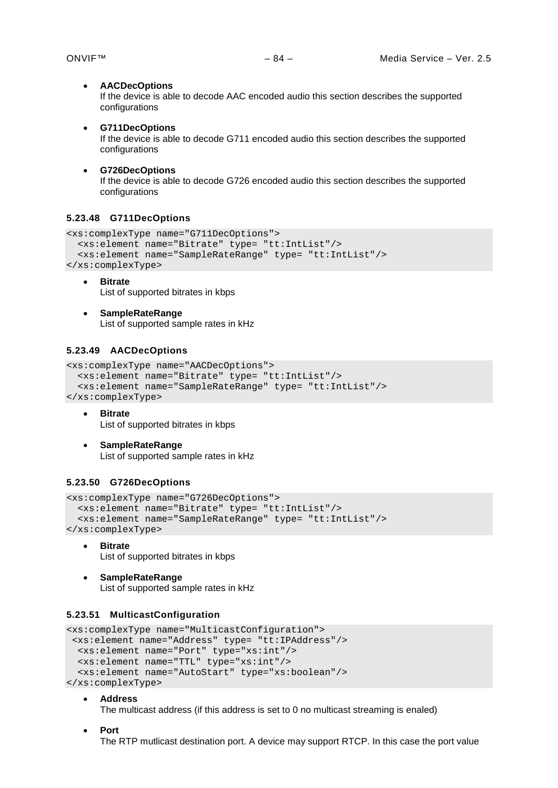#### • **AACDecOptions**

If the device is able to decode AAC encoded audio this section describes the supported configurations

• **G711DecOptions** If the device is able to decode G711 encoded audio this section describes the supported configurations

#### • **G726DecOptions**

If the device is able to decode G726 encoded audio this section describes the supported configurations

#### **5.23.48 G711DecOptions**

```
<xs:complexType name="G711DecOptions">
   <xs:element name="Bitrate" type= "tt:IntList"/>
   <xs:element name="SampleRateRange" type= "tt:IntList"/>
</xs:complexType>
```
- **Bitrate** List of supported bitrates in kbps
- **SampleRateRange** List of supported sample rates in kHz

# **5.23.49 AACDecOptions**

```
<xs:complexType name="AACDecOptions">
   <xs:element name="Bitrate" type= "tt:IntList"/>
   <xs:element name="SampleRateRange" type= "tt:IntList"/>
</xs:complexType>
```
- **Bitrate** List of supported bitrates in kbps
- **SampleRateRange** List of supported sample rates in kHz

#### **5.23.50 G726DecOptions**

```
<xs:complexType name="G726DecOptions">
   <xs:element name="Bitrate" type= "tt:IntList"/>
   <xs:element name="SampleRateRange" type= "tt:IntList"/>
</xs:complexType>
```
- **Bitrate** List of supported bitrates in kbps
- **SampleRateRange** List of supported sample rates in kHz

# **5.23.51 MulticastConfiguration**

```
<xs:complexType name="MulticastConfiguration">
 <xs:element name="Address" type= "tt:IPAddress"/>
   <xs:element name="Port" type="xs:int"/>
   <xs:element name="TTL" type="xs:int"/>
   <xs:element name="AutoStart" type="xs:boolean"/>
</xs:complexType>
```
• **Address**

The multicast address (if this address is set to 0 no multicast streaming is enaled)

• **Port**

The RTP mutlicast destination port. A device may support RTCP. In this case the port value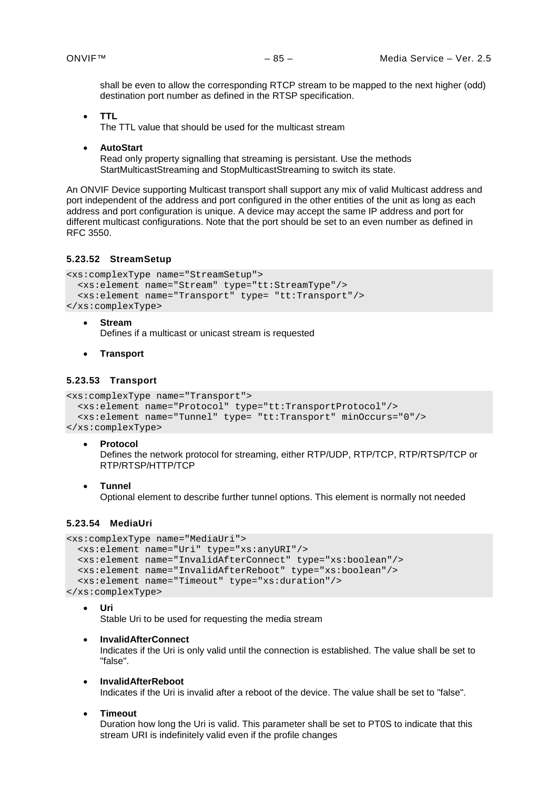shall be even to allow the corresponding RTCP stream to be mapped to the next higher (odd) destination port number as defined in the RTSP specification.

• **TTL**

The TTL value that should be used for the multicast stream

• **AutoStart** Read only property signalling that streaming is persistant. Use the methods StartMulticastStreaming and StopMulticastStreaming to switch its state.

An ONVIF Device supporting Multicast transport shall support any mix of valid Multicast address and port independent of the address and port configured in the other entities of the unit as long as each address and port configuration is unique. A device may accept the same IP address and port for different multicast configurations. Note that the port should be set to an even number as defined in RFC 3550.

# **5.23.52 StreamSetup**

```
<xs:complexType name="StreamSetup">
   <xs:element name="Stream" type="tt:StreamType"/>
   <xs:element name="Transport" type= "tt:Transport"/>
</xs:complexType>
```
• **Stream**

Defines if a multicast or unicast stream is requested

• **Transport**

# **5.23.53 Transport**

```
<xs:complexType name="Transport">
   <xs:element name="Protocol" type="tt:TransportProtocol"/>
   <xs:element name="Tunnel" type= "tt:Transport" minOccurs="0"/>
</xs:complexType>
```
• **Protocol**

Defines the network protocol for streaming, either RTP/UDP, RTP/TCP, RTP/RTSP/TCP or RTP/RTSP/HTTP/TCP

• **Tunnel**

Optional element to describe further tunnel options. This element is normally not needed

# **5.23.54 MediaUri**

```
<xs:complexType name="MediaUri">
   <xs:element name="Uri" type="xs:anyURI"/>
   <xs:element name="InvalidAfterConnect" type="xs:boolean"/>
   <xs:element name="InvalidAfterReboot" type="xs:boolean"/>
   <xs:element name="Timeout" type="xs:duration"/>
</xs:complexType>
```
• **Uri**

Stable Uri to be used for requesting the media stream

- **InvalidAfterConnect** Indicates if the Uri is only valid until the connection is established. The value shall be set to "false".
- **InvalidAfterReboot**

Indicates if the Uri is invalid after a reboot of the device. The value shall be set to "false".

• **Timeout**

Duration how long the Uri is valid. This parameter shall be set to PT0S to indicate that this stream URI is indefinitely valid even if the profile changes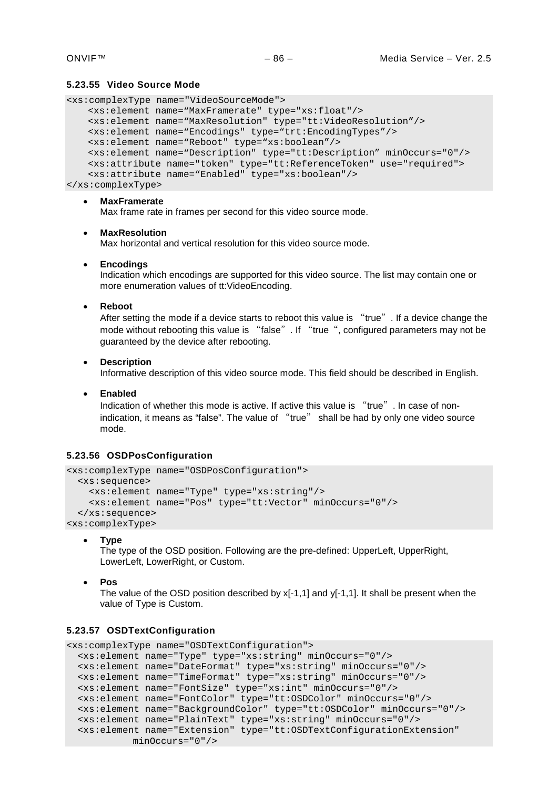#### **5.23.55 Video Source Mode**

```
<xs:complexType name="VideoSourceMode"> 
   <xs:element name="MaxFramerate" type="xs:float"/> 
   <xs:element name="MaxResolution" type="tt:VideoResolution"/> 
   <xs:element name="Encodings" type="trt:EncodingTypes"/> 
   <xs:element name="Reboot" type="xs:boolean"/> 
   <xs:element name="Description" type="tt:Description" minOccurs="0"/>
   <xs:attribute name="token" type="tt:ReferenceToken" use="required">
   <xs:attribute name="Enabled" type="xs:boolean"/> 
</xs:complexType>
```
#### • **MaxFramerate**

Max frame rate in frames per second for this video source mode.

#### • **MaxResolution**

Max horizontal and vertical resolution for this video source mode.

• **Encodings**

Indication which encodings are supported for this video source. The list may contain one or more enumeration values of tt:VideoEncoding.

• **Reboot**

After setting the mode if a device starts to reboot this value is "true". If a device change the mode without rebooting this value is "false". If "true", configured parameters may not be guaranteed by the device after rebooting.

• **Description**

Informative description of this video source mode. This field should be described in English.

• **Enabled**

Indication of whether this mode is active. If active this value is "true". In case of nonindication, it means as "false". The value of "true" shall be had by only one video source mode.

# **5.23.56 OSDPosConfiguration**

```
<xs:complexType name="OSDPosConfiguration">
   <xs:sequence>
     <xs:element name="Type" type="xs:string"/>
     <xs:element name="Pos" type="tt:Vector" minOccurs="0"/>
   </xs:sequence>
<xs:complexType>
```
• **Type**

The type of the OSD position. Following are the pre-defined: UpperLeft, UpperRight, LowerLeft, LowerRight, or Custom.

• **Pos**

The value of the OSD position described by  $x[-1,1]$  and  $y[-1,1]$ . It shall be present when the value of Type is Custom.

# **5.23.57 OSDTextConfiguration**

```
<xs:complexType name="OSDTextConfiguration">
   <xs:element name="Type" type="xs:string" minOccurs="0"/>
   <xs:element name="DateFormat" type="xs:string" minOccurs="0"/>
   <xs:element name="TimeFormat" type="xs:string" minOccurs="0"/>
   <xs:element name="FontSize" type="xs:int" minOccurs="0"/>
   <xs:element name="FontColor" type="tt:OSDColor" minOccurs="0"/>
   <xs:element name="BackgroundColor" type="tt:OSDColor" minOccurs="0"/>
   <xs:element name="PlainText" type="xs:string" minOccurs="0"/>
   <xs:element name="Extension" type="tt:OSDTextConfigurationExtension" 
           minOccurs="0"/>
```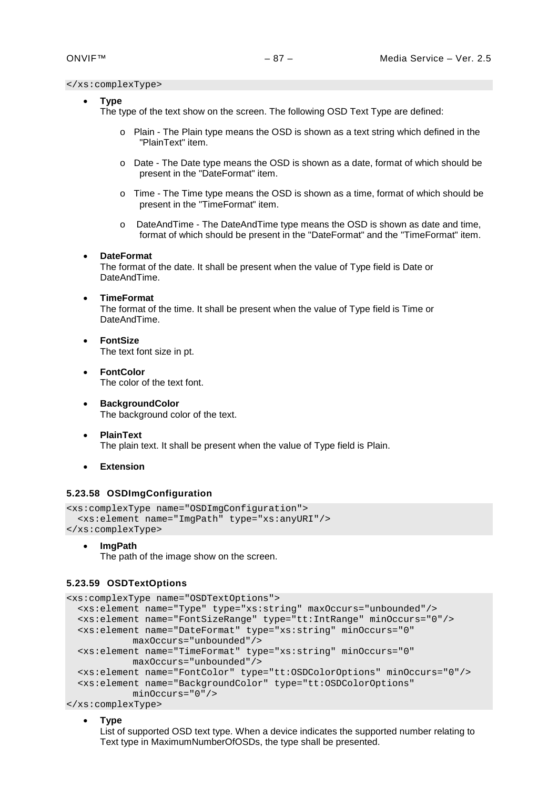#### </xs:complexType>

- **Type**
	- The type of the text show on the screen. The following OSD Text Type are defined:
		- o Plain The Plain type means the OSD is shown as a text string which defined in the "PlainText" item.
		- o Date The Date type means the OSD is shown as a date, format of which should be present in the "DateFormat" item.
		- $\circ$  Time The Time type means the OSD is shown as a time, format of which should be present in the "TimeFormat" item.
		- o DateAndTime The DateAndTime type means the OSD is shown as date and time, format of which should be present in the "DateFormat" and the "TimeFormat" item.

#### • **DateFormat**

The format of the date. It shall be present when the value of Type field is Date or DateAndTime.

#### • **TimeFormat**

The format of the time. It shall be present when the value of Type field is Time or DateAndTime.

- **FontSize** The text font size in pt.
- **FontColor** The color of the text font.
- **BackgroundColor** The background color of the text.
- **PlainText** The plain text. It shall be present when the value of Type field is Plain.
- **Extension**

#### **5.23.58 OSDImgConfiguration**

```
<xs:complexType name="OSDImgConfiguration">
   <xs:element name="ImgPath" type="xs:anyURI"/>
</xs:complexType>
```
• **ImgPath**

The path of the image show on the screen.

### **5.23.59 OSDTextOptions**

```
<xs:complexType name="OSDTextOptions">
   <xs:element name="Type" type="xs:string" maxOccurs="unbounded"/>
   <xs:element name="FontSizeRange" type="tt:IntRange" minOccurs="0"/>
   <xs:element name="DateFormat" type="xs:string" minOccurs="0" 
           maxOccurs="unbounded"/>
   <xs:element name="TimeFormat" type="xs:string" minOccurs="0" 
           maxOccurs="unbounded"/>
   <xs:element name="FontColor" type="tt:OSDColorOptions" minOccurs="0"/>
   <xs:element name="BackgroundColor" type="tt:OSDColorOptions" 
           minOccurs="0"/>
</xs:complexType>
```
• **Type**

List of supported OSD text type. When a device indicates the supported number relating to Text type in MaximumNumberOfOSDs, the type shall be presented.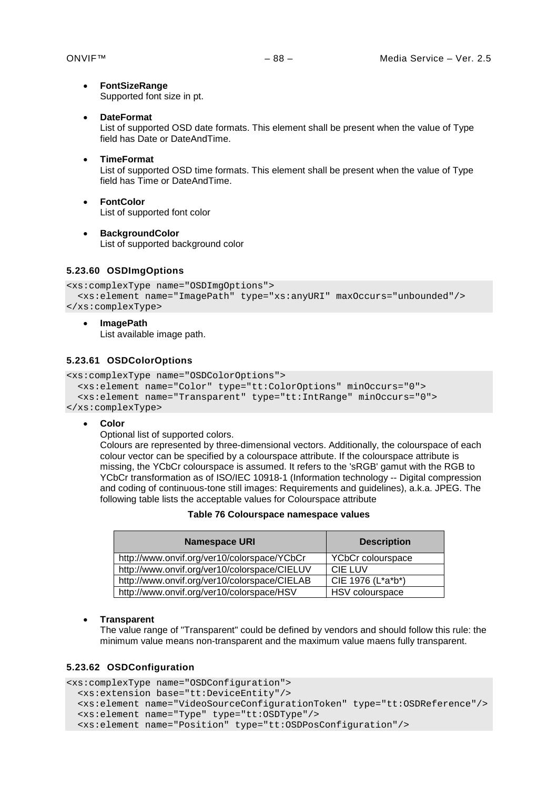- **FontSizeRange** Supported font size in pt.
- **DateFormat**

List of supported OSD date formats. This element shall be present when the value of Type field has Date or DateAndTime.

- **TimeFormat** List of supported OSD time formats. This element shall be present when the value of Type field has Time or DateAndTime.
- **FontColor** List of supported font color
- **BackgroundColor** List of supported background color

# **5.23.60 OSDImgOptions**

```
<xs:complexType name="OSDImgOptions">
   <xs:element name="ImagePath" type="xs:anyURI" maxOccurs="unbounded"/>
</xs:complexType>
```
• **ImagePath**

List available image path.

# **5.23.61 OSDColorOptions**

```
<xs:complexType name="OSDColorOptions">
```

```
 <xs:element name="Color" type="tt:ColorOptions" minOccurs="0">
   <xs:element name="Transparent" type="tt:IntRange" minOccurs="0">
</xs:complexType>
```
• **Color**

Optional list of supported colors.

Colours are represented by three-dimensional vectors. Additionally, the colourspace of each colour vector can be specified by a colourspace attribute. If the colourspace attribute is missing, the YCbCr colourspace is assumed. It refers to the 'sRGB' gamut with the RGB to YCbCr transformation as of ISO/IEC 10918-1 (Information technology -- Digital compression and coding of continuous-tone still images: Requirements and guidelines), a.k.a. JPEG. The following table lists the acceptable values for Colourspace attribute

| Table 76 Colourspace namespace values |  |
|---------------------------------------|--|
|---------------------------------------|--|

| <b>Namespace URI</b>                         | <b>Description</b> |
|----------------------------------------------|--------------------|
| http://www.onvif.org/ver10/colorspace/YCbCr  | YCbCr colourspace  |
| http://www.onvif.org/ver10/colorspace/CIELUV | <b>CIE LUV</b>     |
| http://www.onvif.org/ver10/colorspace/CIELAB | CIE 1976 (L*a*b*)  |
| http://www.onvif.org/ver10/colorspace/HSV    | HSV colourspace    |

#### • **Transparent**

The value range of "Transparent" could be defined by vendors and should follow this rule: the minimum value means non-transparent and the maximum value maens fully transparent.

# **5.23.62 OSDConfiguration**

```
<xs:complexType name="OSDConfiguration">
   <xs:extension base="tt:DeviceEntity"/>
   <xs:element name="VideoSourceConfigurationToken" type="tt:OSDReference"/>
   <xs:element name="Type" type="tt:OSDType"/>
   <xs:element name="Position" type="tt:OSDPosConfiguration"/>
```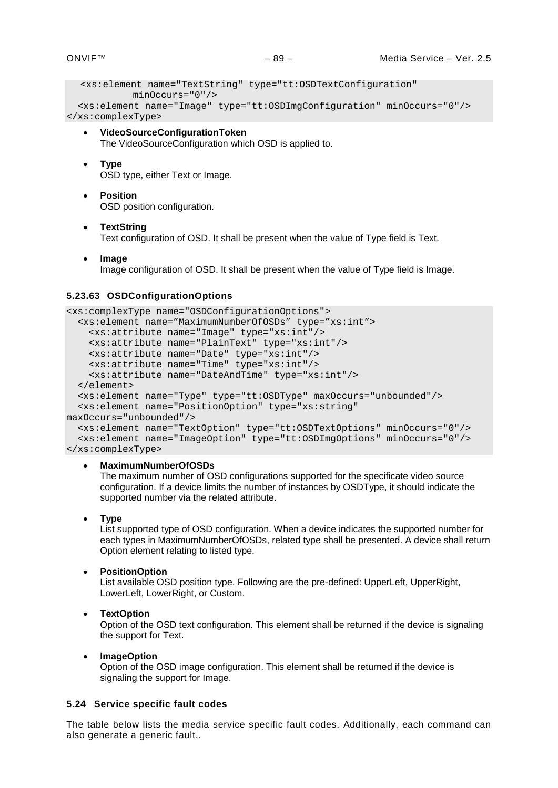```
 <xs:element name="TextString" type="tt:OSDTextConfiguration" 
          minOccurs="0"/>
   <xs:element name="Image" type="tt:OSDImgConfiguration" minOccurs="0"/>
</xs:complexType>
```
- **VideoSourceConfigurationToken** The VideoSourceConfiguration which OSD is applied to.
- **Type** OSD type, either Text or Image.
- **Position** OSD position configuration.

• **TextString** Text configuration of OSD. It shall be present when the value of Type field is Text.

• **Image**

Image configuration of OSD. It shall be present when the value of Type field is Image.

# **5.23.63 OSDConfigurationOptions**

```
<xs:complexType name="OSDConfigurationOptions">
   <xs:element name="MaximumNumberOfOSDs" type="xs:int">
     <xs:attribute name="Image" type="xs:int"/>
     <xs:attribute name="PlainText" type="xs:int"/>
     <xs:attribute name="Date" type="xs:int"/>
     <xs:attribute name="Time" type="xs:int"/>
     <xs:attribute name="DateAndTime" type="xs:int"/>
   </element>
   <xs:element name="Type" type="tt:OSDType" maxOccurs="unbounded"/>
  <xs:element name="PositionOption" type="xs:string" 
maxOccurs="unbounded"/>
   <xs:element name="TextOption" type="tt:OSDTextOptions" minOccurs="0"/>
   <xs:element name="ImageOption" type="tt:OSDImgOptions" minOccurs="0"/>
</xs:complexType>
```
# • **MaximumNumberOfOSDs**

The maximum number of OSD configurations supported for the specificate video source configuration. If a device limits the number of instances by OSDType, it should indicate the supported number via the related attribute.

#### • **Type**

List supported type of OSD configuration. When a device indicates the supported number for each types in MaximumNumberOfOSDs, related type shall be presented. A device shall return Option element relating to listed type.

• **PositionOption**

List available OSD position type. Following are the pre-defined: UpperLeft, UpperRight, LowerLeft, LowerRight, or Custom.

#### • **TextOption**

Option of the OSD text configuration. This element shall be returned if the device is signaling the support for Text.

• **ImageOption** Option of the OSD image configuration. This element shall be returned if the device is signaling the support for Image.

# **5.24 Service specific fault codes**

The table below lists the media service specific fault codes. Additionally, each command can also generate a generic fault..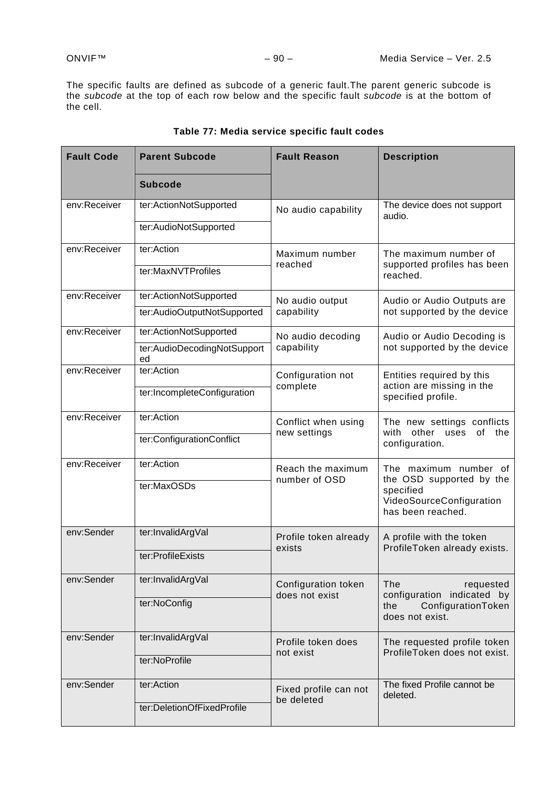The specific faults are defined as subcode of a generic fault.The parent generic subcode is the *subcode* at the top of each row below and the specific fault *subcode* is at the bottom of the cell.

| <b>Fault Code</b> | <b>Parent Subcode</b>             | <b>Fault Reason</b>                   | <b>Description</b>                                                              |
|-------------------|-----------------------------------|---------------------------------------|---------------------------------------------------------------------------------|
|                   | <b>Subcode</b>                    |                                       |                                                                                 |
| env:Receiver      | ter:ActionNotSupported            | No audio capability                   | The device does not support<br>audio.                                           |
|                   | ter:AudioNotSupported             |                                       |                                                                                 |
| env:Receiver      | ter:Action                        | Maximum number                        | The maximum number of<br>supported profiles has been<br>reached.                |
|                   | ter:MaxNVTProfiles                | reached                               |                                                                                 |
| env:Receiver      | ter:ActionNotSupported            | No audio output                       | Audio or Audio Outputs are<br>not supported by the device                       |
|                   | ter:AudioOutputNotSupported       | capability                            |                                                                                 |
| env:Receiver      | ter:ActionNotSupported            | No audio decoding                     | Audio or Audio Decoding is                                                      |
|                   | ter:AudioDecodingNotSupport<br>ed | capability                            | not supported by the device                                                     |
| env:Receiver      | ter:Action<br>Configuration not   |                                       | Entities required by this                                                       |
|                   | ter:IncompleteConfiguration       | complete                              | action are missing in the<br>specified profile.                                 |
| env:Receiver      | ter:Action                        | Conflict when using                   | The new settings conflicts<br>other uses<br>of<br>the<br>with<br>configuration. |
|                   | ter:ConfigurationConflict         | new settings                          |                                                                                 |
| env:Receiver      | ter:Action                        | Reach the maximum<br>number of OSD    | The maximum number of<br>the OSD supported by the                               |
|                   | ter:MaxOSDs                       |                                       | specified<br>VideoSourceConfiguration<br>has been reached.                      |
| env:Sender        | ter:InvalidArgVal                 | Profile token already                 | A profile with the token<br>ProfileToken already exists.                        |
|                   | ter:ProfileExists                 | exists                                |                                                                                 |
| env:Sender        | ter:InvalidArgVal                 | Configuration token<br>does not exist | The<br>requested<br>configuration indicated by                                  |
|                   | ter:NoConfig                      |                                       | ConfigurationToken<br>the<br>does not exist.                                    |
| env:Sender        | ter:InvalidArgVal                 | Profile token does<br>not exist       | The requested profile token<br>ProfileToken does not exist.                     |
|                   | ter:NoProfile                     |                                       |                                                                                 |
| env:Sender        | ter:Action                        | Fixed profile can not<br>be deleted   | The fixed Profile cannot be<br>deleted.                                         |
|                   | ter:DeletionOfFixedProfile        |                                       |                                                                                 |

# **Table 77: Media service specific fault codes**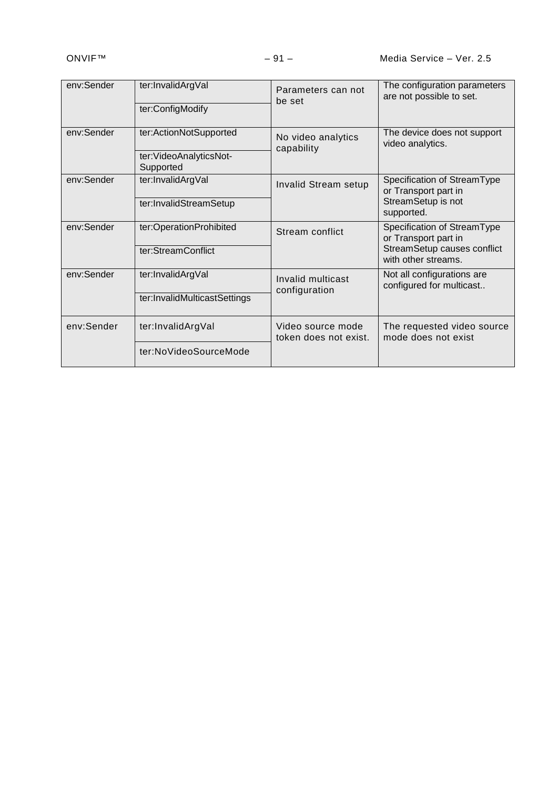| env:Sender | ter:InvalidArgVal<br>ter:ConfigModify            | Parameters can not<br>be set                                                                 | The configuration parameters<br>are not possible to set.                                                  |
|------------|--------------------------------------------------|----------------------------------------------------------------------------------------------|-----------------------------------------------------------------------------------------------------------|
| env:Sender | ter:ActionNotSupported<br>ter:VideoAnalyticsNot- | No video analytics<br>capability                                                             | The device does not support<br>video analytics.                                                           |
|            | Supported                                        |                                                                                              |                                                                                                           |
| env:Sender | ter:InvalidArgVal                                | Invalid Stream setup<br>or Transport part in<br>StreamSetup is not<br>supported.             | Specification of StreamType                                                                               |
|            | ter:InvalidStreamSetup                           |                                                                                              |                                                                                                           |
| env:Sender | ter:OperationProhibited                          | Stream conflict                                                                              | Specification of StreamType<br>or Transport part in<br>StreamSetup causes conflict<br>with other streams. |
|            | ter:StreamConflict                               |                                                                                              |                                                                                                           |
| env:Sender | ter:InvalidArgVal                                | Not all configurations are<br>Invalid multicast<br>configured for multicast<br>configuration |                                                                                                           |
|            | ter:InvalidMulticastSettings                     |                                                                                              |                                                                                                           |
| env:Sender | ter:InvalidArgVal                                | Video source mode<br>mode does not exist<br>token does not exist.                            | The requested video source                                                                                |
|            | ter:NoVideoSourceMode                            |                                                                                              |                                                                                                           |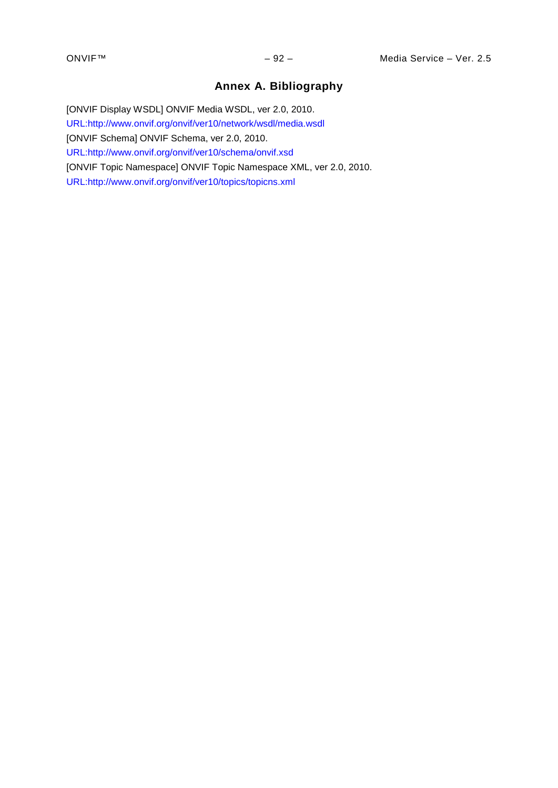# **Annex A. Bibliography**

[ONVIF Display WSDL] ONVIF Media WSDL, ver 2.0, 2010. [URL:http://www.onvif.org/onvif/ver10/network/wsdl/media.wsdl](http://www.onvif.org/onvif/ver10/network/wsdl/media.wsdl) [ONVIF Schema] ONVIF Schema, ver 2.0, 2010. [URL:http://www.onvif.org/onvif/ver10/schema/onvif.xsd](http://www.onvif.org/onvif/ver10/schema/onvif.xsd) [ONVIF Topic Namespace] ONVIF Topic Namespace XML, ver 2.0, 2010. [URL:http://www.onvif.org/onvif/ver10/topics/topicns.xml](http://www.onvif.org/onvif/ver10/topics/topicns.xml)